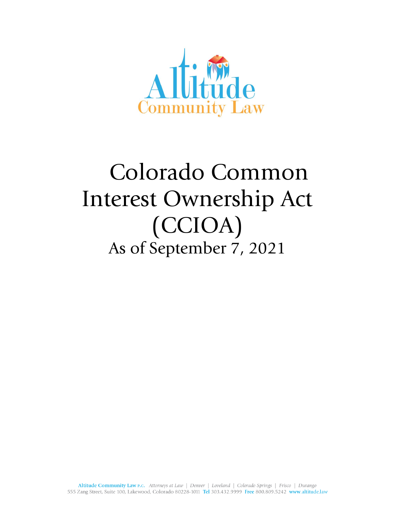

# Colorado Common Interest Ownership Act (CCIOA) As of September 7, 2021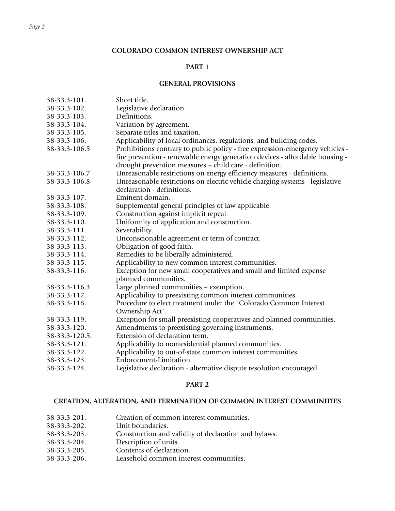## **COLORADO COMMON INTEREST OWNERSHIP ACT**

#### **PART 1**

## **GENERAL PROVISIONS**

| 38-33.3-101.   | Short title.                                                                                                                                                                                                            |  |  |
|----------------|-------------------------------------------------------------------------------------------------------------------------------------------------------------------------------------------------------------------------|--|--|
| 38-33.3-102.   | Legislative declaration.                                                                                                                                                                                                |  |  |
| 38-33.3-103.   | Definitions.                                                                                                                                                                                                            |  |  |
| 38-33.3-104.   | Variation by agreement.                                                                                                                                                                                                 |  |  |
| 38-33.3-105.   | Separate titles and taxation.                                                                                                                                                                                           |  |  |
| 38-33.3-106.   | Applicability of local ordinances, regulations, and building codes.                                                                                                                                                     |  |  |
| 38-33.3-106.5  | Prohibitions contrary to public policy - free expression-emergency vehicles -<br>fire prevention - renewable energy generation devices - affordable housing -<br>drought prevention measures - child care - definition. |  |  |
| 38-33.3-106.7  | Unreasonable restrictions on energy efficiency measures - definitions.                                                                                                                                                  |  |  |
| 38-33.3-106.8  | Unreasonable restrictions on electric vehicle charging systems - legislative                                                                                                                                            |  |  |
|                | declaration - definitions.                                                                                                                                                                                              |  |  |
| 38-33.3-107.   | Eminent domain.                                                                                                                                                                                                         |  |  |
| 38-33.3-108.   | Supplemental general principles of law applicable.                                                                                                                                                                      |  |  |
| 38-33.3-109.   | Construction against implicit repeal.                                                                                                                                                                                   |  |  |
| 38-33.3-110.   | Uniformity of application and construction.                                                                                                                                                                             |  |  |
| 38-33.3-111.   | Severability.                                                                                                                                                                                                           |  |  |
| 38-33.3-112.   | Unconscionable agreement or term of contract.                                                                                                                                                                           |  |  |
| 38-33.3-113.   | Obligation of good faith.                                                                                                                                                                                               |  |  |
| 38-33.3-114.   | Remedies to be liberally administered.                                                                                                                                                                                  |  |  |
| 38-33.3-115.   | Applicability to new common interest communities.                                                                                                                                                                       |  |  |
| 38-33.3-116.   | Exception for new small cooperatives and small and limited expense<br>planned communities.                                                                                                                              |  |  |
| 38-33.3-116.3  | Large planned communities - exemption.                                                                                                                                                                                  |  |  |
| 38-33.3-117.   | Applicability to preexisting common interest communities.                                                                                                                                                               |  |  |
| 38-33.3-118.   | Procedure to elect treatment under the "Colorado Common Interest<br>Ownership Act".                                                                                                                                     |  |  |
| 38-33.3-119.   | Exception for small preexisting cooperatives and planned communities.                                                                                                                                                   |  |  |
| 38-33.3-120.   | Amendments to preexisting governing instruments.                                                                                                                                                                        |  |  |
| 38-33.3-120.5. | Extension of declaration term.                                                                                                                                                                                          |  |  |
| 38-33.3-121.   | Applicability to nonresidential planned communities.                                                                                                                                                                    |  |  |
| 38-33.3-122.   | Applicability to out-of-state common interest communities.                                                                                                                                                              |  |  |
| 38-33.3-123.   | Enforcement-Limitation.                                                                                                                                                                                                 |  |  |
| 38-33.3-124.   | Legislative declaration - alternative dispute resolution encouraged.                                                                                                                                                    |  |  |

# **PART 2**

## **CREATION, ALTERATION, AND TERMINATION OF COMMON INTEREST COMMUNITIES**

- 38-33.3-201. Creation of common interest communities.
- 38-33.3-202. Unit boundaries.
- 38-33.3-203. Construction and validity of declaration and bylaws.
- 38-33.3-204. Description of units.
- 38-33.3-205. Contents of declaration.
- 38-33.3-206. Leasehold common interest communities.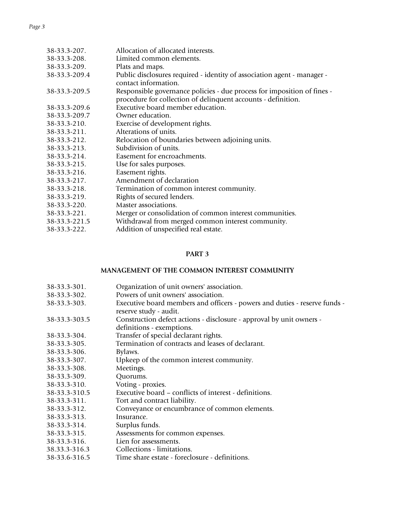| 38-33.3-207.  | Allocation of allocated interests.                                                                                                       |
|---------------|------------------------------------------------------------------------------------------------------------------------------------------|
| 38-33.3-208.  | Limited common elements.                                                                                                                 |
| 38-33.3-209.  | Plats and maps.                                                                                                                          |
| 38-33.3-209.4 | Public disclosures required - identity of association agent - manager -<br>contact information.                                          |
| 38-33.3-209.5 | Responsible governance policies - due process for imposition of fines -<br>procedure for collection of delinquent accounts - definition. |
| 38-33.3-209.6 | Executive board member education.                                                                                                        |
| 38-33.3-209.7 | Owner education.                                                                                                                         |
| 38-33.3-210.  | Exercise of development rights.                                                                                                          |
| 38-33.3-211.  | Alterations of units.                                                                                                                    |
| 38-33.3-212.  | Relocation of boundaries between adjoining units.                                                                                        |
| 38-33.3-213.  | Subdivision of units.                                                                                                                    |
| 38-33.3-214.  | Easement for encroachments.                                                                                                              |
| 38-33.3-215.  | Use for sales purposes.                                                                                                                  |
| 38-33.3-216.  | Easement rights.                                                                                                                         |
| 38-33.3-217.  | Amendment of declaration                                                                                                                 |
| 38-33.3-218.  | Termination of common interest community.                                                                                                |
| 38-33.3-219.  | Rights of secured lenders.                                                                                                               |
| 38-33.3-220.  | Master associations.                                                                                                                     |
| 38-33.3-221.  | Merger or consolidation of common interest communities.                                                                                  |
| 38-33.3-221.5 | Withdrawal from merged common interest community.                                                                                        |
| 38-33.3-222.  | Addition of unspecified real estate.                                                                                                     |

# **PART 3**

# **MANAGEMENT OF THE COMMON INTEREST COMMUNITY**

| 38-33.3-301.  | Organization of unit owners' association.                                  |  |
|---------------|----------------------------------------------------------------------------|--|
| 38-33.3-302.  | Powers of unit owners' association.                                        |  |
| 38-33.3-303.  | Executive board members and officers - powers and duties - reserve funds - |  |
|               | reserve study - audit.                                                     |  |
| 38-33.3-303.5 | Construction defect actions - disclosure - approval by unit owners -       |  |
|               | definitions - exemptions.                                                  |  |
| 38-33.3-304.  | Transfer of special declarant rights.                                      |  |
| 38-33.3-305.  | Termination of contracts and leases of declarant.                          |  |
| 38-33.3-306.  | Bylaws.                                                                    |  |
| 38-33.3-307.  | Upkeep of the common interest community.                                   |  |
| 38-33.3-308.  | Meetings.                                                                  |  |
| 38-33.3-309.  | Quorums.                                                                   |  |
| 38-33.3-310.  | Voting - proxies.                                                          |  |
| 38-33.3-310.5 | Executive board – conflicts of interest - definitions.                     |  |
| 38-33.3-311.  | Tort and contract liability.                                               |  |
| 38-33.3-312.  | Conveyance or encumbrance of common elements.                              |  |
| 38-33.3-313.  | Insurance.                                                                 |  |
| 38-33.3-314.  | Surplus funds.                                                             |  |
| 38-33.3-315.  | Assessments for common expenses.                                           |  |
| 38-33.3-316.  | Lien for assessments.                                                      |  |
| 38.33.3-316.3 | Collections - limitations.                                                 |  |
| 38-33.6-316.5 | Time share estate - foreclosure - definitions.                             |  |
|               |                                                                            |  |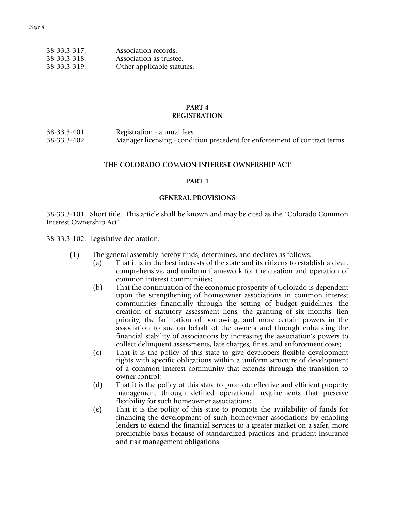| 38-33.3-317. | Association records.       |
|--------------|----------------------------|
| 38-33.3-318. | Association as trustee.    |
| 38-33.3-319. | Other applicable statutes. |

#### **PART 4 REGISTRATION**

38-33.3-401. Registration - annual fees. 38-33.3-402. Manager licensing - condition precedent for enforcement of contract terms.

### **THE COLORADO COMMON INTEREST OWNERSHIP ACT**

## **PART 1**

#### **GENERAL PROVISIONS**

38-33.3-101. Short title. This article shall be known and may be cited as the "Colorado Common Interest Ownership Act".

38-33.3-102. Legislative declaration.

- (1) The general assembly hereby finds, determines, and declares as follows:
	- (a) That it is in the best interests of the state and its citizens to establish a clear, comprehensive, and uniform framework for the creation and operation of common interest communities;
	- (b) That the continuation of the economic prosperity of Colorado is dependent upon the strengthening of homeowner associations in common interest communities financially through the setting of budget guidelines, the creation of statutory assessment liens, the granting of six months' lien priority, the facilitation of borrowing, and more certain powers in the association to sue on behalf of the owners and through enhancing the financial stability of associations by increasing the association's powers to collect delinquent assessments, late charges, fines, and enforcement costs;
	- (c) That it is the policy of this state to give developers flexible development rights with specific obligations within a uniform structure of development of a common interest community that extends through the transition to owner control;
	- (d) That it is the policy of this state to promote effective and efficient property management through defined operational requirements that preserve flexibility for such homeowner associations;
	- (e) That it is the policy of this state to promote the availability of funds for financing the development of such homeowner associations by enabling lenders to extend the financial services to a greater market on a safer, more predictable basis because of standardized practices and prudent insurance and risk management obligations.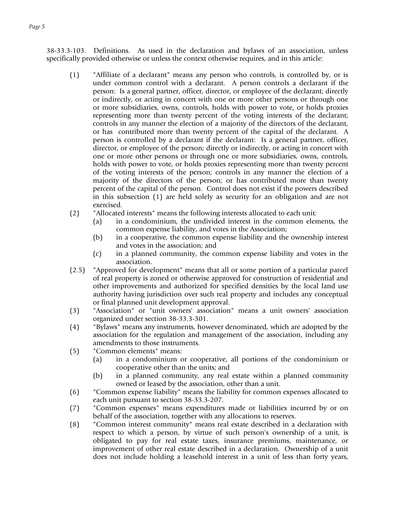38-33.3-103. Definitions. As used in the declaration and bylaws of an association, unless specifically provided otherwise or unless the context otherwise requires, and in this article:

- (1) "Affiliate of a declarant" means any person who controls, is controlled by, or is under common control with a declarant. A person controls a declarant if the person: Is a general partner, officer, director, or employee of the declarant; directly or indirectly, or acting in concert with one or more other persons or through one or more subsidiaries, owns, controls, holds with power to vote, or holds proxies representing more than twenty percent of the voting interests of the declarant; controls in any manner the election of a majority of the directors of the declarant, or has contributed more than twenty percent of the capital of the declarant. A person is controlled by a declarant if the declarant: Is a general partner, officer, director, or employee of the person; directly or indirectly, or acting in concert with one or more other persons or through one or more subsidiaries, owns, controls, holds with power to vote, or holds proxies representing more than twenty percent of the voting interests of the person; controls in any manner the election of a majority of the directors of the person; or has contributed more than twenty percent of the capital of the person. Control does not exist if the powers described in this subsection (1) are held solely as security for an obligation and are not exercised.
- (2) "Allocated interests" means the following interests allocated to each unit:
	- (a) in a condominium, the undivided interest in the common elements, the common expense liability, and votes in the Association;
	- (b) in a cooperative, the common expense liability and the ownership interest and votes in the association; and
	- (c) in a planned community, the common expense liability and votes in the association.
- (2.5) "Approved for development" means that all or some portion of a particular parcel of real property is zoned or otherwise approved for construction of residential and other improvements and authorized for specified densities by the local land use authority having jurisdiction over such real property and includes any conceptual or final planned unit development approval.
- (3) "Association" or "unit owners' association" means a unit owners' association organized under section 38-33.3-301.
- (4) "Bylaws" means any instruments, however denominated, which are adopted by the association for the regulation and management of the association, including any amendments to those instruments.
- (5) "Common elements" means:
	- (a) in a condominium or cooperative, all portions of the condominium or cooperative other than the units; and
	- (b) in a planned community, any real estate within a planned community owned or leased by the association, other than a unit.
- (6) "Common expense liability" means the liability for common expenses allocated to each unit pursuant to section 38-33.3-207.
- (7) "Common expenses" means expenditures made or liabilities incurred by or on behalf of the association, together with any allocations to reserves.
- (8) "Common interest community" means real estate described in a declaration with respect to which a person, by virtue of such person's ownership of a unit, is obligated to pay for real estate taxes, insurance premiums, maintenance, or improvement of other real estate described in a declaration. Ownership of a unit does not include holding a leasehold interest in a unit of less than forty years,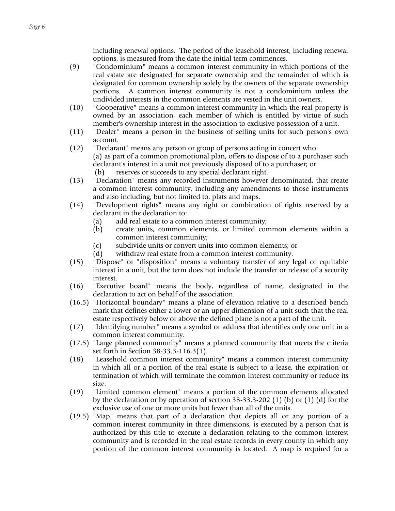including renewal options. The period of the leasehold interest, including renewal options, is measured from the date the initial term commences.

- (9) "Condominium" means a common interest community in which portions of the real estate are designated for separate ownership and the remainder of which is designated for common ownership solely by the owners of the separate ownership portions. A common interest community is not a condominium unless the undivided interests in the common elements are vested in the unit owners.
- (10) "Cooperative" means a common interest community in which the real property is owned by an association, each member of which is entitled by virtue of such member's ownership interest in the association to exclusive possession of a unit.
- (11) "Dealer" means a person in the business of selling units for such person's own account.
- (12) "Declarant" means any person or group of persons acting in concert who: (a) as part of a common promotional plan, offers to dispose of to a purchaser such declarant's interest in a unit not previously disposed of to a purchaser; or (b) reserves or succeeds to any special declarant right.
- (13) "Declaration" means any recorded instruments however denominated, that create a common interest community, including any amendments to those instruments and also including, but not limited to, plats and maps.
- (14) "Development rights" means any right or combination of rights reserved by a declarant in the declaration to:
	- (a) add real estate to a common interest community;
	- (b) create units, common elements, or limited common elements within a common interest community;
	- (c) subdivide units or convert units into common elements; or
	- (d) withdraw real estate from a common interest community.
- (15) "Dispose" or "disposition" means a voluntary transfer of any legal or equitable interest in a unit, but the term does not include the transfer or release of a security interest.
- (16) "Executive board" means the body, regardless of name, designated in the declaration to act on behalf of the association.
- (16.5) "Horizontal boundary" means a plane of elevation relative to a described bench mark that defines either a lower or an upper dimension of a unit such that the real estate respectively below or above the defined plane is not a part of the unit.
- (17) "Identifying number" means a symbol or address that identifies only one unit in a common interest community.
- (17.5) "Large planned community" means a planned community that meets the criteria set forth in Section 38-33.3-116.3(1).
- (18) "Leasehold common interest community" means a common interest community in which all or a portion of the real estate is subject to a lease, the expiration or termination of which will terminate the common interest community or reduce its size.
- (19) "Limited common element" means a portion of the common elements allocated by the declaration or by operation of section 38-33.3-202 (1) (b) or (1) (d) for the exclusive use of one or more units but fewer than all of the units.
- (19.5) "Map" means that part of a declaration that depicts all or any portion of a common interest community in three dimensions, is executed by a person that is authorized by this title to execute a declaration relating to the common interest community and is recorded in the real estate records in every county in which any portion of the common interest community is located. A map is required for a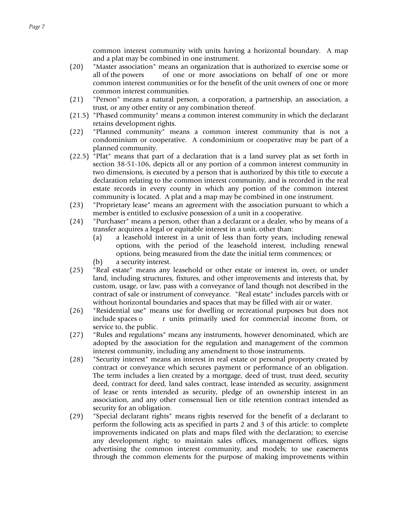common interest community with units having a horizontal boundary. A map and a plat may be combined in one instrument.

- (20) "Master association" means an organization that is authorized to exercise some or all of the powers of one or more associations on behalf of one or more common interest communities or for the benefit of the unit owners of one or more common interest communities.
- (21) "Person" means a natural person, a corporation, a partnership, an association, a trust, or any other entity or any combination thereof.
- (21.5) "Phased community" means a common interest community in which the declarant retains development rights.
- (22) "Planned community" means a common interest community that is not a condominium or cooperative. A condominium or cooperative may be part of a planned community.
- (22.5) "Plat" means that part of a declaration that is a land survey plat as set forth in section 38-51-106, depicts all or any portion of a common interest community in two dimensions, is executed by a person that is authorized by this title to execute a declaration relating to the common interest community, and is recorded in the real estate records in every county in which any portion of the common interest community is located. A plat and a map may be combined in one instrument.
- (23) "Proprietary lease" means an agreement with the association pursuant to which a member is entitled to exclusive possession of a unit in a cooperative.
- (24) "Purchaser" means a person, other than a declarant or a dealer, who by means of a transfer acquires a legal or equitable interest in a unit, other than:
	- (a) a leasehold interest in a unit of less than forty years, including renewal options, with the period of the leasehold interest, including renewal options, being measured from the date the initial term commences; or
	- (b) a security interest.
- (25) "Real estate" means any leasehold or other estate or interest in, over, or under land, including structures, fixtures, and other improvements and interests that, by custom, usage, or law, pass with a conveyance of land though not described in the contract of sale or instrument of conveyance. "Real estate" includes parcels with or without horizontal boundaries and spaces that may be filled with air or water.
- (26) "Residential use" means use for dwelling or recreational purposes but does not include spaces o r units primarily used for commercial income from, or service to, the public.
- (27) "Rules and regulations" means any instruments, however denominated, which are adopted by the association for the regulation and management of the common interest community, including any amendment to those instruments.
- (28) "Security interest" means an interest in real estate or personal property created by contract or conveyance which secures payment or performance of an obligation. The term includes a lien created by a mortgage, deed of trust, trust deed, security deed, contract for deed, land sales contract, lease intended as security, assignment of lease or rents intended as security, pledge of an ownership interest in an association, and any other consensual lien or title retention contract intended as security for an obligation.
- (29) "Special declarant rights" means rights reserved for the benefit of a declarant to perform the following acts as specified in parts 2 and 3 of this article: to complete improvements indicated on plats and maps filed with the declaration; to exercise any development right; to maintain sales offices, management offices, signs advertising the common interest community, and models; to use easements through the common elements for the purpose of making improvements within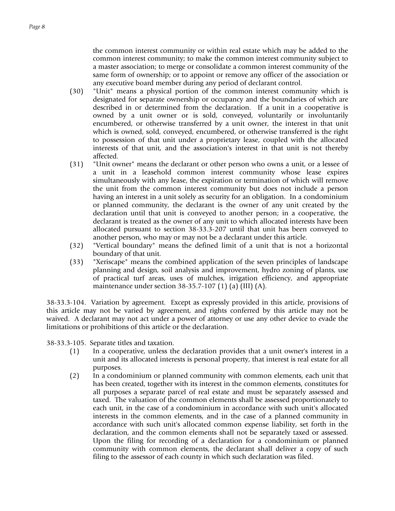the common interest community or within real estate which may be added to the common interest community; to make the common interest community subject to a master association; to merge or consolidate a common interest community of the same form of ownership; or to appoint or remove any officer of the association or any executive board member during any period of declarant control.

- (30) "Unit" means a physical portion of the common interest community which is designated for separate ownership or occupancy and the boundaries of which are described in or determined from the declaration. If a unit in a cooperative is owned by a unit owner or is sold, conveyed, voluntarily or involuntarily encumbered, or otherwise transferred by a unit owner, the interest in that unit which is owned, sold, conveyed, encumbered, or otherwise transferred is the right to possession of that unit under a proprietary lease, coupled with the allocated interests of that unit, and the association's interest in that unit is not thereby affected.
- (31) "Unit owner" means the declarant or other person who owns a unit, or a lessee of a unit in a leasehold common interest community whose lease expires simultaneously with any lease, the expiration or termination of which will remove the unit from the common interest community but does not include a person having an interest in a unit solely as security for an obligation. In a condominium or planned community, the declarant is the owner of any unit created by the declaration until that unit is conveyed to another person; in a cooperative, the declarant is treated as the owner of any unit to which allocated interests have been allocated pursuant to section 38-33.3-207 until that unit has been conveyed to another person, who may or may not be a declarant under this article.
- (32) "Vertical boundary" means the defined limit of a unit that is not a horizontal boundary of that unit.
- (33) "Xeriscape" means the combined application of the seven principles of landscape planning and design, soil analysis and improvement, hydro zoning of plants, use of practical turf areas, uses of mulches, irrigation efficiency, and appropriate maintenance under section 38-35.7-107 (1) (a) (III) (A).

38-33.3-104. Variation by agreement. Except as expressly provided in this article, provisions of this article may not be varied by agreement, and rights conferred by this article may not be waived. A declarant may not act under a power of attorney or use any other device to evade the limitations or prohibitions of this article or the declaration.

38-33.3-105. Separate titles and taxation.

- (1) In a cooperative, unless the declaration provides that a unit owner's interest in a unit and its allocated interests is personal property, that interest is real estate for all purposes.
- (2) In a condominium or planned community with common elements, each unit that has been created, together with its interest in the common elements, constitutes for all purposes a separate parcel of real estate and must be separately assessed and taxed. The valuation of the common elements shall be assessed proportionately to each unit, in the case of a condominium in accordance with such unit's allocated interests in the common elements, and in the case of a planned community in accordance with such unit's allocated common expense liability, set forth in the declaration, and the common elements shall not be separately taxed or assessed. Upon the filing for recording of a declaration for a condominium or planned community with common elements, the declarant shall deliver a copy of such filing to the assessor of each county in which such declaration was filed.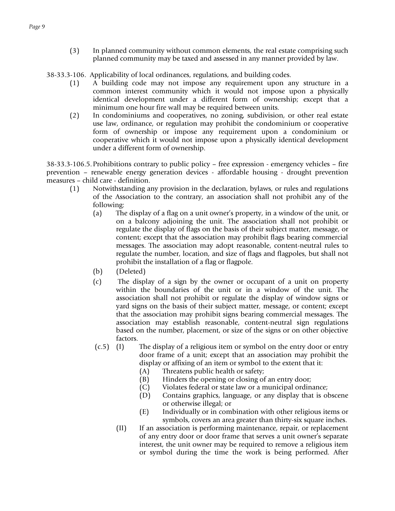38-33.3-106. Applicability of local ordinances, regulations, and building codes.

- (1) A building code may not impose any requirement upon any structure in a common interest community which it would not impose upon a physically identical development under a different form of ownership; except that a minimum one hour fire wall may be required between units.
- (2) In condominiums and cooperatives, no zoning, subdivision, or other real estate use law, ordinance, or regulation may prohibit the condominium or cooperative form of ownership or impose any requirement upon a condominium or cooperative which it would not impose upon a physically identical development under a different form of ownership.

38-33.3-106.5.Prohibitions contrary to public policy – free expression - emergency vehicles – fire prevention – renewable energy generation devices - affordable housing - drought prevention measures – child care - definition.

- (1) Notwithstanding any provision in the declaration, bylaws, or rules and regulations of the Association to the contrary, an association shall not prohibit any of the following:
	- (a) The display of a flag on a unit owner's property, in a window of the unit, or on a balcony adjoining the unit. The association shall not prohibit or regulate the display of flags on the basis of their subject matter, message, or content; except that the association may prohibit flags bearing commercial messages. The association may adopt reasonable, content-neutral rules to regulate the number, location, and size of flags and flagpoles, but shall not prohibit the installation of a flag or flagpole.
	- (b) (Deleted)
	- (c) The display of a sign by the owner or occupant of a unit on property within the boundaries of the unit or in a window of the unit. The association shall not prohibit or regulate the display of window signs or yard signs on the basis of their subject matter, message, or content; except that the association may prohibit signs bearing commercial messages. The association may establish reasonable, content-neutral sign regulations based on the number, placement, or size of the signs or on other objective factors.
	- (c.5) (I) The display of a religious item or symbol on the entry door or entry door frame of a unit; except that an association may prohibit the display or affixing of an item or symbol to the extent that it:
		- (A) Threatens public health or safety;
		- (B) Hinders the opening or closing of an entry door;
		- (C) Violates federal or state law or a municipal ordinance;
		- (D) Contains graphics, language, or any display that is obscene or otherwise illegal; or
		- (E) Individually or in combination with other religious items or symbols, covers an area greater than thirty-six square inches.
		- (II) If an association is performing maintenance, repair, or replacement of any entry door or door frame that serves a unit owner's separate interest, the unit owner may be required to remove a religious item or symbol during the time the work is being performed. After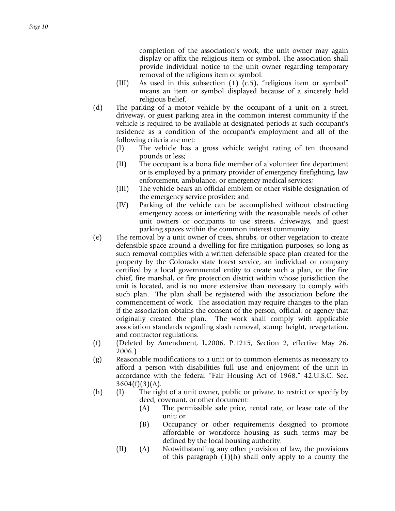completion of the association's work, the unit owner may again display or affix the religious item or symbol. The association shall provide individual notice to the unit owner regarding temporary removal of the religious item or symbol.

- (III) As used in this subsection (1) (c.5), "religious item or symbol" means an item or symbol displayed because of a sincerely held religious belief.
- (d) The parking of a motor vehicle by the occupant of a unit on a street, driveway, or guest parking area in the common interest community if the vehicle is required to be available at designated periods at such occupant's residence as a condition of the occupant's employment and all of the following criteria are met:
	- (I) The vehicle has a gross vehicle weight rating of ten thousand pounds or less;
	- (II) The occupant is a bona fide member of a volunteer fire department or is employed by a primary provider of emergency firefighting, law enforcement, ambulance, or emergency medical services;
	- (III) The vehicle bears an official emblem or other visible designation of the emergency service provider; and
	- (IV) Parking of the vehicle can be accomplished without obstructing emergency access or interfering with the reasonable needs of other unit owners or occupants to use streets, driveways, and guest parking spaces within the common interest community.
- (e) The removal by a unit owner of trees, shrubs, or other vegetation to create defensible space around a dwelling for fire mitigation purposes, so long as such removal complies with a written defensible space plan created for the property by the Colorado state forest service, an individual or company certified by a local governmental entity to create such a plan, or the fire chief, fire marshal, or fire protection district within whose jurisdiction the unit is located, and is no more extensive than necessary to comply with such plan. The plan shall be registered with the association before the commencement of work. The association may require changes to the plan if the association obtains the consent of the person, official, or agency that originally created the plan. The work shall comply with applicable association standards regarding slash removal, stump height, revegetation, and contractor regulations.
- (f) (Deleted by Amendment, L.2006, P.1215, Section 2, effective May 26, 2006.)
- (g) Reasonable modifications to a unit or to common elements as necessary to afford a person with disabilities full use and enjoyment of the unit in accordance with the federal "Fair Housing Act of 1968," 42.U.S.C. Sec.  $3604(f)(3)(A)$ .
- (h) (I) The right of a unit owner, public or private, to restrict or specify by deed, covenant, or other document:
	- (A) The permissible sale price, rental rate, or lease rate of the unit; or
	- (B) Occupancy or other requirements designed to promote affordable or workforce housing as such terms may be defined by the local housing authority.
	- (II) (A) Notwithstanding any other provision of law, the provisions of this paragraph (1)(h) shall only apply to a county the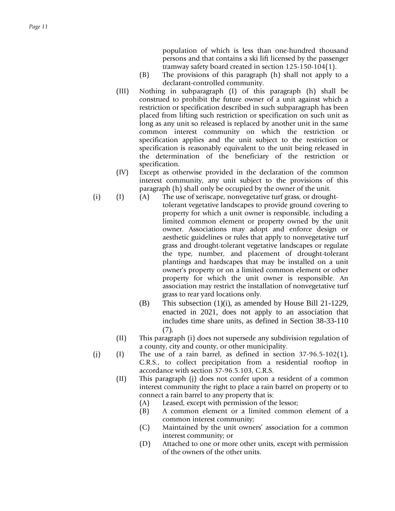population of which is less than one-hundred thousand persons and that contains a ski lift licensed by the passenger tramway safety board created in section 125-150-104(1).

- (B) The provisions of this paragraph (h) shall not apply to a declarant-controlled community.
- (III) Nothing in subparagraph (I) of this paragraph (h) shall be construed to prohibit the future owner of a unit against which a restriction or specification described in such subparagraph has been placed from lifting such restriction or specification on such unit as long as any unit so released is replaced by another unit in the same common interest community on which the restriction or specification applies and the unit subject to the restriction or specification is reasonably equivalent to the unit being released in the determination of the beneficiary of the restriction or specification.
- (IV) Except as otherwise provided in the declaration of the common interest community, any unit subject to the provisions of this paragraph (h) shall only be occupied by the owner of the unit.
- (i) (I) (A) The use of xeriscape, nonvegetative turf grass, or droughttolerant vegetative landscapes to provide ground covering to property for which a unit owner is responsible, including a limited common element or property owned by the unit owner. Associations may adopt and enforce design or aesthetic guidelines or rules that apply to nonvegetative turf grass and drought-tolerant vegetative landscapes or regulate the type, number, and placement of drought-tolerant plantings and hardscapes that may be installed on a unit owner's property or on a limited common element or other property for which the unit owner is responsible. An association may restrict the installation of nonvegetative turf grass to rear yard locations only.
	- (B) This subsection (1)(i), as amended by House Bill 21-1229, enacted in 2021, does not apply to an association that includes time share units, as defined in Section 38-33-110 (7).
	- (II) This paragraph (i) does not supersede any subdivision regulation of a county, city and county, or other municipality.
- (j) (I) The use of a rain barrel, as defined in section  $37-96.5-102(1)$ , C.R.S., to collect precipitation from a residential rooftop in accordance with section 37-96.5.103, C.R.S.
	- (II) This paragraph (j) does not confer upon a resident of a common interest community the right to place a rain barrel on property or to connect a rain barrel to any property that is:
		- (A) Leased, except with permission of the lessor;
		- (B) A common element or a limited common element of a common interest community;
		- (C) Maintained by the unit owners' association for a common interest community; or
		- (D) Attached to one or more other units, except with permission of the owners of the other units.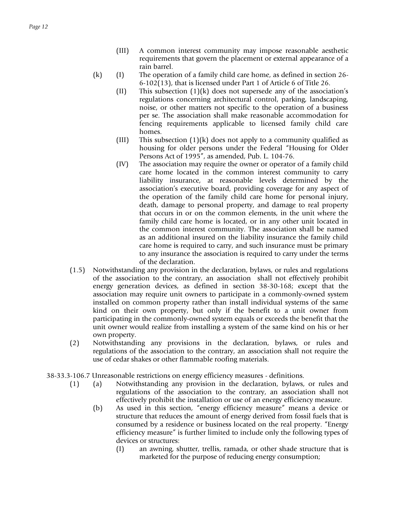- (III) A common interest community may impose reasonable aesthetic requirements that govern the placement or external appearance of a rain barrel.
- (k) (I) The operation of a family child care home, as defined in section 26- 6-102(13), that is licensed under Part 1 of Article 6 of Title 26.
	- (II) This subsection (1)(k) does not supersede any of the association's regulations concerning architectural control, parking, landscaping, noise, or other matters not specific to the operation of a business per se. The association shall make reasonable accommodation for fencing requirements applicable to licensed family child care homes.
	- (III) This subsection  $(1)(k)$  does not apply to a community qualified as housing for older persons under the Federal "Housing for Older Persons Act of 1995", as amended, Pub. L. 104-76.
	- (IV) The association may require the owner or operator of a family child care home located in the common interest community to carry liability insurance, at reasonable levels determined by the association's executive board, providing coverage for any aspect of the operation of the family child care home for personal injury, death, damage to personal property, and damage to real property that occurs in or on the common elements, in the unit where the family child care home is located, or in any other unit located in the common interest community. The association shall be named as an additional insured on the liability insurance the family child care home is required to carry, and such insurance must be primary to any insurance the association is required to carry under the terms of the declaration.
- (1.5) Notwithstanding any provision in the declaration, bylaws, or rules and regulations of the association to the contrary, an association shall not effectively prohibit energy generation devices, as defined in section 38-30-168; except that the association may require unit owners to participate in a commonly-owned system installed on common property rather than install individual systems of the same kind on their own property, but only if the benefit to a unit owner from participating in the commonly-owned system equals or exceeds the benefit that the unit owner would realize from installing a system of the same kind on his or her own property.
- (2) Notwithstanding any provisions in the declaration, bylaws, or rules and regulations of the association to the contrary, an association shall not require the use of cedar shakes or other flammable roofing materials.
- 38-33.3-106.7 Unreasonable restrictions on energy efficiency measures definitions.
	- (1) (a) Notwithstanding any provision in the declaration, bylaws, or rules and regulations of the association to the contrary, an association shall not effectively prohibit the installation or use of an energy efficiency measure.
		- (b) As used in this section, "energy efficiency measure" means a device or structure that reduces the amount of energy derived from fossil fuels that is consumed by a residence or business located on the real property. "Energy efficiency measure" is further limited to include only the following types of devices or structures:
			- (I) an awning, shutter, trellis, ramada, or other shade structure that is marketed for the purpose of reducing energy consumption;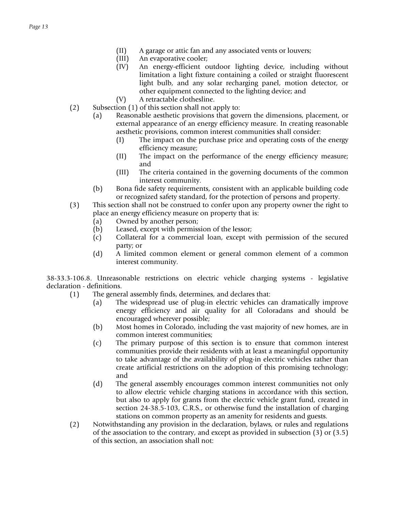- (II) A garage or attic fan and any associated vents or louvers;
- (III) An evaporative cooler;
- (IV) An energy-efficient outdoor lighting device, including without limitation a light fixture containing a coiled or straight fluorescent light bulb, and any solar recharging panel, motion detector, or other equipment connected to the lighting device; and
- (V) A retractable clothesline.
- (2) Subsection (1) of this section shall not apply to:
	- (a) Reasonable aesthetic provisions that govern the dimensions, placement, or external appearance of an energy efficiency measure. In creating reasonable aesthetic provisions, common interest communities shall consider:
		- (I) The impact on the purchase price and operating costs of the energy efficiency measure;
		- (II) The impact on the performance of the energy efficiency measure; and
		- (III) The criteria contained in the governing documents of the common interest community.
	- (b) Bona fide safety requirements, consistent with an applicable building code or recognized safety standard, for the protection of persons and property.
- (3) This section shall not be construed to confer upon any property owner the right to place an energy efficiency measure on property that is:
	- (a) Owned by another person;
	- (b) Leased, except with permission of the lessor;
	- (c) Collateral for a commercial loan, except with permission of the secured party; or
	- (d) A limited common element or general common element of a common interest community.

38-33.3-106.8. Unreasonable restrictions on electric vehicle charging systems - legislative declaration - definitions.

- (1) The general assembly finds, determines, and declares that:
	- (a) The widespread use of plug-in electric vehicles can dramatically improve energy efficiency and air quality for all Coloradans and should be encouraged wherever possible;
	- (b) Most homes in Colorado, including the vast majority of new homes, are in common interest communities;
	- (c) The primary purpose of this section is to ensure that common interest communities provide their residents with at least a meaningful opportunity to take advantage of the availability of plug-in electric vehicles rather than create artificial restrictions on the adoption of this promising technology; and
	- (d) The general assembly encourages common interest communities not only to allow electric vehicle charging stations in accordance with this section, but also to apply for grants from the electric vehicle grant fund, created in section 24-38.5-103, C.R.S., or otherwise fund the installation of charging stations on common property as an amenity for residents and guests.
- (2) Notwithstanding any provision in the declaration, bylaws, or rules and regulations of the association to the contrary, and except as provided in subsection (3) or (3.5) of this section, an association shall not: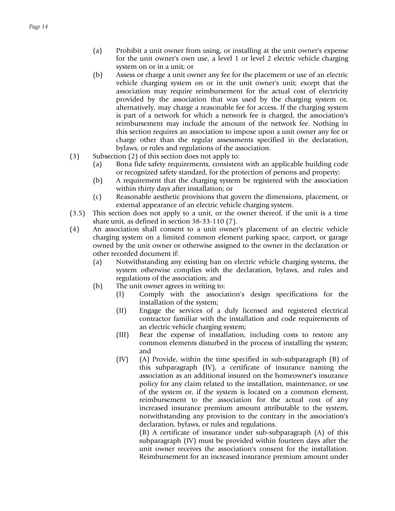- (a) Prohibit a unit owner from using, or installing at the unit owner's expense for the unit owner's own use, a level 1 or level 2 electric vehicle charging system on or in a unit; or
- (b) Assess or charge a unit owner any fee for the placement or use of an electric vehicle charging system on or in the unit owner's unit; except that the association may require reimbursement for the actual cost of electricity provided by the association that was used by the charging system or, alternatively, may charge a reasonable fee for access. If the charging system is part of a network for which a network fee is charged, the association's reimbursement may include the amount of the network fee. Nothing in this section requires an association to impose upon a unit owner any fee or charge other than the regular assessments specified in the declaration, bylaws, or rules and regulations of the association.
- (3) Subsection (2) of this section does not apply to:
	- (a) Bona fide safety requirements, consistent with an applicable building code or recognized safety standard, for the protection of persons and property;
	- (b) A requirement that the charging system be registered with the association within thirty days after installation; or
	- (c) Reasonable aesthetic provisions that govern the dimensions, placement, or external appearance of an electric vehicle charging system.
- (3.5) This section does not apply to a unit, or the owner thereof, if the unit is a time share unit, as defined in section 38-33-110 (7).
- (4) An association shall consent to a unit owner's placement of an electric vehicle charging system on a limited common element parking space, carport, or garage owned by the unit owner or otherwise assigned to the owner in the declaration or other recorded document if:
	- (a) Notwithstanding any existing ban on electric vehicle charging systems, the system otherwise complies with the declaration, bylaws, and rules and regulations of the association; and
	- (b) The unit owner agrees in writing to:
		- (I) Comply with the association's design specifications for the installation of the system;
		- (II) Engage the services of a duly licensed and registered electrical contractor familiar with the installation and code requirements of an electric vehicle charging system;
		- (III) Bear the expense of installation, including costs to restore any common elements disturbed in the process of installing the system; and
		- (IV) (A) Provide, within the time specified in sub-subparagraph (B) of this subparagraph (IV), a certificate of insurance naming the association as an additional insured on the homeowner's insurance policy for any claim related to the installation, maintenance, or use of the system or, if the system is located on a common element, reimbursement to the association for the actual cost of any increased insurance premium amount attributable to the system, notwithstanding any provision to the contrary in the association's declaration, bylaws, or rules and regulations.

(B) A certificate of insurance under sub-subparagraph (A) of this subparagraph (IV) must be provided within fourteen days after the unit owner receives the association's consent for the installation. Reimbursement for an increased insurance premium amount under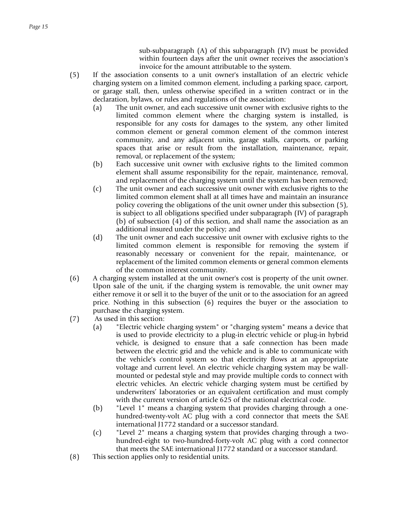sub-subparagraph (A) of this subparagraph (IV) must be provided within fourteen days after the unit owner receives the association's invoice for the amount attributable to the system.

- (5) If the association consents to a unit owner's installation of an electric vehicle charging system on a limited common element, including a parking space, carport, or garage stall, then, unless otherwise specified in a written contract or in the declaration, bylaws, or rules and regulations of the association:
	- (a) The unit owner, and each successive unit owner with exclusive rights to the limited common element where the charging system is installed, is responsible for any costs for damages to the system, any other limited common element or general common element of the common interest community, and any adjacent units, garage stalls, carports, or parking spaces that arise or result from the installation, maintenance, repair, removal, or replacement of the system;
	- (b) Each successive unit owner with exclusive rights to the limited common element shall assume responsibility for the repair, maintenance, removal, and replacement of the charging system until the system has been removed;
	- (c) The unit owner and each successive unit owner with exclusive rights to the limited common element shall at all times have and maintain an insurance policy covering the obligations of the unit owner under this subsection (5), is subject to all obligations specified under subparagraph (IV) of paragraph (b) of subsection (4) of this section, and shall name the association as an additional insured under the policy; and
	- (d) The unit owner and each successive unit owner with exclusive rights to the limited common element is responsible for removing the system if reasonably necessary or convenient for the repair, maintenance, or replacement of the limited common elements or general common elements of the common interest community.
- (6) A charging system installed at the unit owner's cost is property of the unit owner. Upon sale of the unit, if the charging system is removable, the unit owner may either remove it or sell it to the buyer of the unit or to the association for an agreed price. Nothing in this subsection (6) requires the buyer or the association to purchase the charging system.
- (7) As used in this section:
	- (a) "Electric vehicle charging system" or "charging system" means a device that is used to provide electricity to a plug-in electric vehicle or plug-in hybrid vehicle, is designed to ensure that a safe connection has been made between the electric grid and the vehicle and is able to communicate with the vehicle's control system so that electricity flows at an appropriate voltage and current level. An electric vehicle charging system may be wallmounted or pedestal style and may provide multiple cords to connect with electric vehicles. An electric vehicle charging system must be certified by underwriters' laboratories or an equivalent certification and must comply with the current version of article 625 of the national electrical code.
	- (b) "Level 1" means a charging system that provides charging through a onehundred-twenty-volt AC plug with a cord connector that meets the SAE international J1772 standard or a successor standard.
	- (c) "Level 2" means a charging system that provides charging through a twohundred-eight to two-hundred-forty-volt AC plug with a cord connector that meets the SAE international J1772 standard or a successor standard.
- (8) This section applies only to residential units.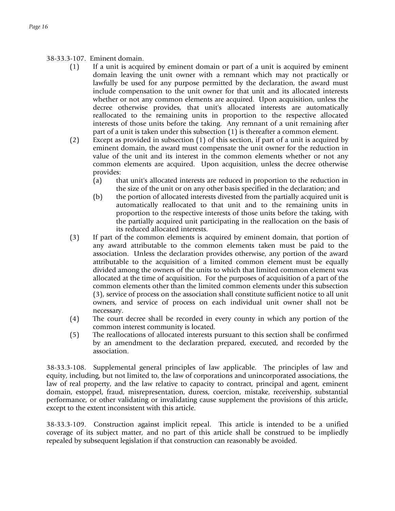## 38-33.3-107. Eminent domain.

- (1) If a unit is acquired by eminent domain or part of a unit is acquired by eminent domain leaving the unit owner with a remnant which may not practically or lawfully be used for any purpose permitted by the declaration, the award must include compensation to the unit owner for that unit and its allocated interests whether or not any common elements are acquired. Upon acquisition, unless the decree otherwise provides, that unit's allocated interests are automatically reallocated to the remaining units in proportion to the respective allocated interests of those units before the taking. Any remnant of a unit remaining after part of a unit is taken under this subsection (1) is thereafter a common element.
- (2) Except as provided in subsection (1) of this section, if part of a unit is acquired by eminent domain, the award must compensate the unit owner for the reduction in value of the unit and its interest in the common elements whether or not any common elements are acquired. Upon acquisition, unless the decree otherwise provides:
	- (a) that unit's allocated interests are reduced in proportion to the reduction in the size of the unit or on any other basis specified in the declaration; and
	- (b) the portion of allocated interests divested from the partially acquired unit is automatically reallocated to that unit and to the remaining units in proportion to the respective interests of those units before the taking, with the partially acquired unit participating in the reallocation on the basis of its reduced allocated interests.
- (3) If part of the common elements is acquired by eminent domain, that portion of any award attributable to the common elements taken must be paid to the association. Unless the declaration provides otherwise, any portion of the award attributable to the acquisition of a limited common element must be equally divided among the owners of the units to which that limited common element was allocated at the time of acquisition. For the purposes of acquisition of a part of the common elements other than the limited common elements under this subsection (3), service of process on the association shall constitute sufficient notice to all unit owners, and service of process on each individual unit owner shall not be necessary.
- (4) The court decree shall be recorded in every county in which any portion of the common interest community is located.
- (5) The reallocations of allocated interests pursuant to this section shall be confirmed by an amendment to the declaration prepared, executed, and recorded by the association.

38-33.3-108. Supplemental general principles of law applicable. The principles of law and equity, including, but not limited to, the law of corporations and unincorporated associations, the law of real property, and the law relative to capacity to contract, principal and agent, eminent domain, estoppel, fraud, misrepresentation, duress, coercion, mistake, receivership, substantial performance, or other validating or invalidating cause supplement the provisions of this article, except to the extent inconsistent with this article.

38-33.3-109. Construction against implicit repeal. This article is intended to be a unified coverage of its subject matter, and no part of this article shall be construed to be impliedly repealed by subsequent legislation if that construction can reasonably be avoided.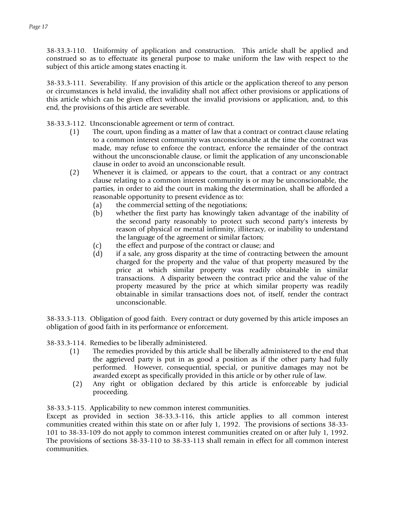38-33.3-110. Uniformity of application and construction. This article shall be applied and construed so as to effectuate its general purpose to make uniform the law with respect to the subject of this article among states enacting it.

38-33.3-111. Severability. If any provision of this article or the application thereof to any person or circumstances is held invalid, the invalidity shall not affect other provisions or applications of this article which can be given effect without the invalid provisions or application, and, to this end, the provisions of this article are severable.

38-33.3-112. Unconscionable agreement or term of contract.

- (1) The court, upon finding as a matter of law that a contract or contract clause relating to a common interest community was unconscionable at the time the contract was made, may refuse to enforce the contract, enforce the remainder of the contract without the unconscionable clause, or limit the application of any unconscionable clause in order to avoid an unconscionable result.
- (2) Whenever it is claimed, or appears to the court, that a contract or any contract clause relating to a common interest community is or may be unconscionable, the parties, in order to aid the court in making the determination, shall be afforded a reasonable opportunity to present evidence as to:
	- (a) the commercial setting of the negotiations;
	- (b) whether the first party has knowingly taken advantage of the inability of the second party reasonably to protect such second party's interests by reason of physical or mental infirmity, illiteracy, or inability to understand the language of the agreement or similar factors;
	- (c) the effect and purpose of the contract or clause; and
	- (d) if a sale, any gross disparity at the time of contracting between the amount charged for the property and the value of that property measured by the price at which similar property was readily obtainable in similar transactions. A disparity between the contract price and the value of the property measured by the price at which similar property was readily obtainable in similar transactions does not, of itself, render the contract unconscionable.

38-33.3-113. Obligation of good faith. Every contract or duty governed by this article imposes an obligation of good faith in its performance or enforcement.

38-33.3-114. Remedies to be liberally administered.

- (1) The remedies provided by this article shall be liberally administered to the end that the aggrieved party is put in as good a position as if the other party had fully performed. However, consequential, special, or punitive damages may not be awarded except as specifically provided in this article or by other rule of law.
- (2) Any right or obligation declared by this article is enforceable by judicial proceeding.

38-33.3-115. Applicability to new common interest communities.

Except as provided in section 38-33.3-116, this article applies to all common interest communities created within this state on or after July 1, 1992. The provisions of sections 38-33- 101 to 38-33-109 do not apply to common interest communities created on or after July 1, 1992. The provisions of sections 38-33-110 to 38-33-113 shall remain in effect for all common interest communities.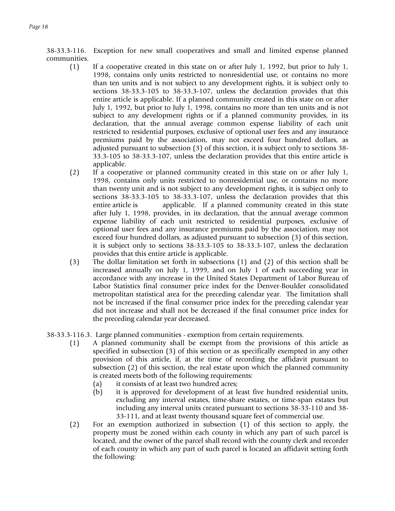38-33.3-116. Exception for new small cooperatives and small and limited expense planned communities.

- (1) If a cooperative created in this state on or after July 1, 1992, but prior to July 1, 1998, contains only units restricted to nonresidential use, or contains no more than ten units and is not subject to any development rights, it is subject only to sections 38-33.3-105 to 38-33.3-107, unless the declaration provides that this entire article is applicable. If a planned community created in this state on or after July 1, 1992, but prior to July 1, 1998, contains no more than ten units and is not subject to any development rights or if a planned community provides, in its declaration, that the annual average common expense liability of each unit restricted to residential purposes, exclusive of optional user fees and any insurance premiums paid by the association, may not exceed four hundred dollars, as adjusted pursuant to subsection (3) of this section, it is subject only to sections 38- 33.3-105 to 38-33.3-107, unless the declaration provides that this entire article is applicable.
- (2) If a cooperative or planned community created in this state on or after July 1, 1998, contains only units restricted to nonresidential use, or contains no more than twenty unit and is not subject to any development rights, it is subject only to sections 38-33.3-105 to 38-33.3-107, unless the declaration provides that this entire article is applicable. If a planned community created in this state after July 1, 1998, provides, in its declaration, that the annual average common expense liability of each unit restricted to residential purposes, exclusive of optional user fees and any insurance premiums paid by the association, may not exceed four hundred dollars, as adjusted pursuant to subsection (3) of this section, it is subject only to sections 38-33.3-105 to 38-33.3-107, unless the declaration provides that this entire article is applicable.
- (3) The dollar limitation set forth in subsections (1) and (2) of this section shall be increased annually on July 1, 1999, and on July 1 of each succeeding year in accordance with any increase in the United States Department of Labor Bureau of Labor Statistics final consumer price index for the Denver-Boulder consolidated metropolitan statistical area for the preceding calendar year. The limitation shall not be increased if the final consumer price index for the preceding calendar year did not increase and shall not be decreased if the final consumer price index for the preceding calendar year decreased.
- 38-33.3-116.3. Large planned communities exemption from certain requirements.
	- (1) A planned community shall be exempt from the provisions of this article as specified in subsection (3) of this section or as specifically exempted in any other provision of this article, if, at the time of recording the affidavit pursuant to subsection (2) of this section, the real estate upon which the planned community is created meets both of the following requirements:
		- (a) it consists of at least two hundred acres;
		- (b) it is approved for development of at least five hundred residential units, excluding any interval estates, time-share estates, or time-span estates but including any interval units created pursuant to sections 38-33-110 and 38- 33-111, and at least twenty thousand square feet of commercial use.
	- (2) For an exemption authorized in subsection (1) of this section to apply, the property must be zoned within each county in which any part of such parcel is located, and the owner of the parcel shall record with the county clerk and recorder of each county in which any part of such parcel is located an affidavit setting forth the following: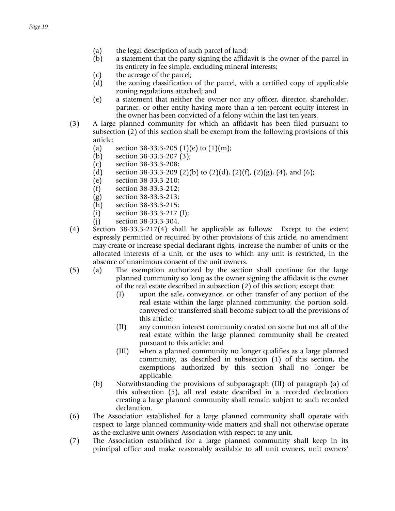- (a) the legal description of such parcel of land;
- (b) a statement that the party signing the affidavit is the owner of the parcel in its entirety in fee simple, excluding mineral interests;
- (c) the acreage of the parcel;
- (d) the zoning classification of the parcel, with a certified copy of applicable zoning regulations attached; and
- (e) a statement that neither the owner nor any officer, director, shareholder, partner, or other entity having more than a ten-percent equity interest in the owner has been convicted of a felony within the last ten years.
- (3) A large planned community for which an affidavit has been filed pursuant to subsection (2) of this section shall be exempt from the following provisions of this article:
	- (a) section 38-33.3-205 (1)(e) to  $(1)(m)$ ;
	- (b) section 38-33.3-207 (3);
	- (c) section 38-33.3-208;
	- (d) section 38-33.3-209 (2)(b) to (2)(d), (2)(f), (2)(g), (4), and (6);
	- (e) section 38-33.3-210;
	- (f) section 38-33.3-212;
	- (g) section 38-33.3-213;
	- (h) section 38-33.3-215;
	- (i) section 38-33.3-217 (l);
	- (j) section 38-33.3-304.
- (4) Section 38-33.3-217(4) shall be applicable as follows: Except to the extent expressly permitted or required by other provisions of this article, no amendment may create or increase special declarant rights, increase the number of units or the allocated interests of a unit, or the uses to which any unit is restricted, in the absence of unanimous consent of the unit owners.
- (5) (a) The exemption authorized by the section shall continue for the large planned community so long as the owner signing the affidavit is the owner of the real estate described in subsection (2) of this section; except that:
	- (I) upon the sale, conveyance, or other transfer of any portion of the real estate within the large planned community, the portion sold, conveyed or transferred shall become subject to all the provisions of this article;
	- (II) any common interest community created on some but not all of the real estate within the large planned community shall be created pursuant to this article; and
	- (III) when a planned community no longer qualifies as a large planned community, as described in subsection (1) of this section, the exemptions authorized by this section shall no longer be applicable.
	- (b) Notwithstanding the provisions of subparagraph (III) of paragraph (a) of this subsection (5), all real estate described in a recorded declaration creating a large planned community shall remain subject to such recorded declaration.
- (6) The Association established for a large planned community shall operate with respect to large planned community-wide matters and shall not otherwise operate as the exclusive unit owners' Association with respect to any unit.
- (7) The Association established for a large planned community shall keep in its principal office and make reasonably available to all unit owners, unit owners'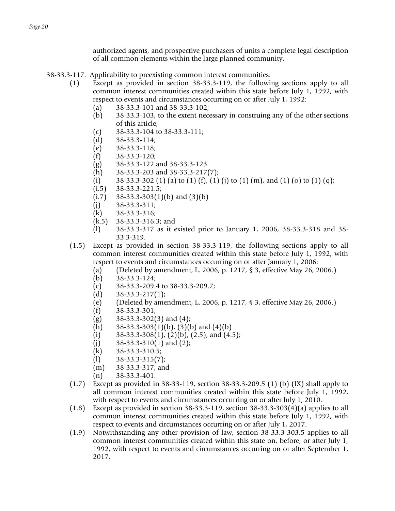authorized agents, and prospective purchasers of units a complete legal description of all common elements within the large planned community.

- 38-33.3-117. Applicability to preexisting common interest communities.
	- (1) Except as provided in section 38-33.3-119, the following sections apply to all common interest communities created within this state before July 1, 1992, with respect to events and circumstances occurring on or after July 1, 1992:
		- (a) 38-33.3-101 and 38-33.3-102;
		- (b) 38-33.3-103, to the extent necessary in construing any of the other sections of this article;
		- (c) 38-33.3-104 to 38-33.3-111;
		- (d) 38-33.3-114;
		- (e) 38-33.3-118;
		- (f) 38-33.3-120;
		- (g) 38-33.3-122 and 38-33.3-123
		- (h) 38-33.3-203 and 38-33.3-217(7);
		- (i) 38-33.3-302 (1) (a) to (1) (f), (1) (j) to (1) (m), and (1) (o) to (1) (q);
		- (i.5) 38-33.3-221.5;
		- $(i.7)$  38-33.3-303(1)(b) and (3)(b)
		- $(j)$  38-33.3-311;
		- (k) 38-33.3-316;
		- (k.5) 38-33.3-316.3; and
		- (l) 38-33.3-317 as it existed prior to January 1, 2006, 38-33.3-318 and 38- 33.3-319.
	- (1.5) Except as provided in section 38-33.3-119, the following sections apply to all common interest communities created within this state before July 1, 1992, with respect to events and circumstances occurring on or after January 1, 2006:
		- (a) (Deleted by amendment, L. 2006, p. 1217, § 3, effective May 26, 2006.)
		- (b) 38-33.3-124;
		- (c) 38-33.3-209.4 to 38-33.3-209.7;
		- (d)  $38-33.3-217(1);$
		- (e) (Deleted by amendment, L. 2006, p. 1217, § 3, effective May 26, 2006.)
		- (f) 38-33.3-301;
		- (g) 38-33.3-302(3) and (4);
		- (h)  $38-33.3-303(1)(b)$ ,  $(3)(b)$  and  $(4)(b)$
		- (i)  $38-33.3-308(1)$ , (2)(b), (2.5), and (4.5);
		- (j)  $38-33.3-310(1)$  and  $(2)$ ;
		- (k) 38-33.3-310.5;
		- $(l)$  38-33.3-315(7);
		- (m) 38-33.3-317; and
		- (n) 38-33.3-401.
	- (1.7) Except as provided in 38-33-119, section 38-33.3-209.5 (1) (b) (IX) shall apply to all common interest communities created within this state before July 1, 1992, with respect to events and circumstances occurring on or after July 1, 2010.
	- (1.8) Except as provided in section 38-33.3-119, section 38-33.3-303(4)(a) applies to all common interest communities created within this state before July 1, 1992, with respect to events and circumstances occurring on or after July 1, 2017.
	- (1.9) Notwithstanding any other provision of law, section 38-33.3-303.5 applies to all common interest communities created within this state on, before, or after July 1, 1992, with respect to events and circumstances occurring on or after September 1, 2017.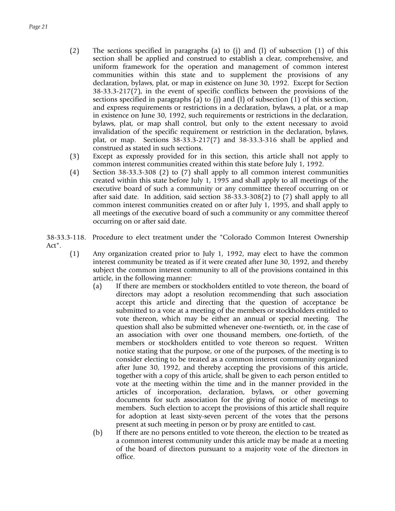- (2) The sections specified in paragraphs (a) to (j) and (l) of subsection (1) of this section shall be applied and construed to establish a clear, comprehensive, and uniform framework for the operation and management of common interest communities within this state and to supplement the provisions of any declaration, bylaws, plat, or map in existence on June 30, 1992. Except for Section 38-33.3-217(7), in the event of specific conflicts between the provisions of the sections specified in paragraphs (a) to (j) and (l) of subsection (1) of this section, and express requirements or restrictions in a declaration, bylaws, a plat, or a map in existence on June 30, 1992, such requirements or restrictions in the declaration, bylaws, plat, or map shall control, but only to the extent necessary to avoid invalidation of the specific requirement or restriction in the declaration, bylaws, plat, or map. Sections 38-33.3-217(7) and 38-33.3-316 shall be applied and construed as stated in such sections.
- (3) Except as expressly provided for in this section, this article shall not apply to common interest communities created within this state before July 1, 1992.
- (4) Section 38-33.3-308 (2) to (7) shall apply to all common interest communities created within this state before July 1, 1995 and shall apply to all meetings of the executive board of such a community or any committee thereof occurring on or after said date. In addition, said section 38-33.3-308(2) to (7) shall apply to all common interest communities created on or after July 1, 1995, and shall apply to all meetings of the executive board of such a community or any committee thereof occurring on or after said date.

38-33.3-118. Procedure to elect treatment under the "Colorado Common Interest Ownership Act".

- (1) Any organization created prior to July 1, 1992, may elect to have the common interest community be treated as if it were created after June 30, 1992, and thereby subject the common interest community to all of the provisions contained in this article, in the following manner:
	- (a) If there are members or stockholders entitled to vote thereon, the board of directors may adopt a resolution recommending that such association accept this article and directing that the question of acceptance be submitted to a vote at a meeting of the members or stockholders entitled to vote thereon, which may be either an annual or special meeting. The question shall also be submitted whenever one-twentieth, or, in the case of an association with over one thousand members, one-fortieth, of the members or stockholders entitled to vote thereon so request. Written notice stating that the purpose, or one of the purposes, of the meeting is to consider electing to be treated as a common interest community organized after June 30, 1992, and thereby accepting the provisions of this article, together with a copy of this article, shall be given to each person entitled to vote at the meeting within the time and in the manner provided in the articles of incorporation, declaration, bylaws, or other governing documents for such association for the giving of notice of meetings to members. Such election to accept the provisions of this article shall require for adoption at least sixty-seven percent of the votes that the persons present at such meeting in person or by proxy are entitled to cast.
	- (b) If there are no persons entitled to vote thereon, the election to be treated as a common interest community under this article may be made at a meeting of the board of directors pursuant to a majority vote of the directors in office.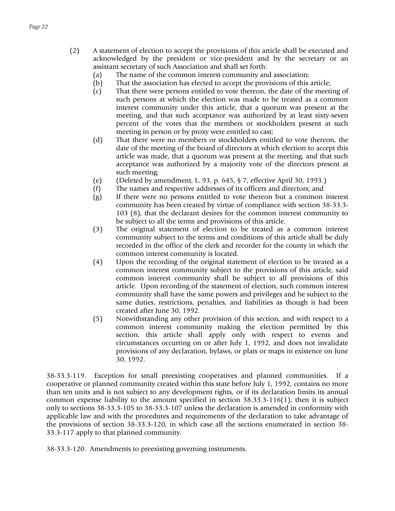- (2) A statement of election to accept the provisions of this article shall be executed and acknowledged by the president or vice-president and by the secretary or an assistant secretary of such Association and shall set forth:
	- (a) The name of the common interest community and association;
	- (b) That the association has elected to accept the provisions of this article;
	- (c) That there were persons entitled to vote thereon, the date of the meeting of such persons at which the election was made to be treated as a common interest community under this article, that a quorum was present at the meeting, and that such acceptance was authorized by at least sixty-seven percent of the votes that the members or stockholders present at such meeting in person or by proxy were entitled to cast;
	- (d) That there were no members or stockholders entitled to vote thereon, the date of the meeting of the board of directors at which election to accept this article was made, that a quorum was present at the meeting, and that such acceptance was authorized by a majority vote of the directors present at such meeting;
	- (e) (Deleted by amendment, L. 93, p. 645, § 7, effective April 30, 1993.)
	- (f) The names and respective addresses of its officers and directors; and
	- (g) If there were no persons entitled to vote thereon but a common interest community has been created by virtue of compliance with section 38-33.3- 103 (8), that the declarant desires for the common interest community to be subject to all the terms and provisions of this article.
	- (3) The original statement of election to be treated as a common interest community subject to the terms and conditions of this article shall be duly recorded in the office of the clerk and recorder for the county in which the common interest community is located.
	- (4) Upon the recording of the original statement of election to be treated as a common interest community subject to the provisions of this article, said common interest community shall be subject to all provisions of this article. Upon recording of the statement of election, such common interest community shall have the same powers and privileges and be subject to the same duties, restrictions, penalties, and liabilities as though it had been created after June 30, 1992.
	- (5) Notwithstanding any other provision of this section, and with respect to a common interest community making the election permitted by this section, this article shall apply only with respect to events and circumstances occurring on or after July 1, 1992, and does not invalidate provisions of any declaration, bylaws, or plats or maps in existence on June 30, 1992.

38-33.3-119. Exception for small preexisting cooperatives and planned communities. If a cooperative or planned community created within this state before July 1, 1992, contains no more than ten units and is not subject to any development rights, or if its declaration limits its annual common expense liability to the amount specified in section 38.33.3-116(1), then it is subject only to sections 38-33.3-105 to 38-33.3-107 unless the declaration is amended in conformity with applicable law and with the procedures and requirements of the declaration to take advantage of the provisions of section 38-33.3-120, in which case all the sections enumerated in section 38- 33.3-117 apply to that planned community.

38-33.3-120. Amendments to preexisting governing instruments.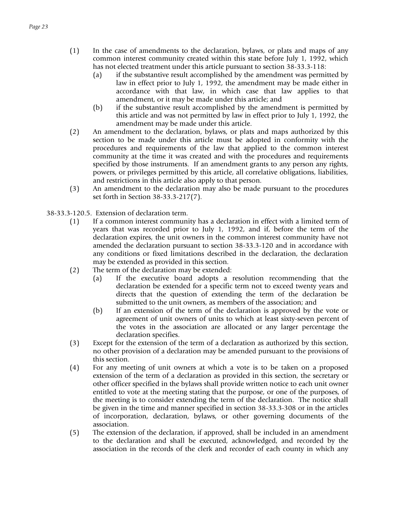- (1) In the case of amendments to the declaration, bylaws, or plats and maps of any common interest community created within this state before July 1, 1992, which has not elected treatment under this article pursuant to section 38-33.3-118:
	- (a) if the substantive result accomplished by the amendment was permitted by law in effect prior to July 1, 1992, the amendment may be made either in accordance with that law, in which case that law applies to that amendment, or it may be made under this article; and
	- (b) if the substantive result accomplished by the amendment is permitted by this article and was not permitted by law in effect prior to July 1, 1992, the amendment may be made under this article.
- (2) An amendment to the declaration, bylaws, or plats and maps authorized by this section to be made under this article must be adopted in conformity with the procedures and requirements of the law that applied to the common interest community at the time it was created and with the procedures and requirements specified by those instruments. If an amendment grants to any person any rights, powers, or privileges permitted by this article, all correlative obligations, liabilities, and restrictions in this article also apply to that person.
- (3) An amendment to the declaration may also be made pursuant to the procedures set forth in Section 38-33.3-217(7).

38-33.3-120.5. Extension of declaration term.

- (1) If a common interest community has a declaration in effect with a limited term of years that was recorded prior to July 1, 1992, and if, before the term of the declaration expires, the unit owners in the common interest community have not amended the declaration pursuant to section 38-33.3-120 and in accordance with any conditions or fixed limitations described in the declaration, the declaration may be extended as provided in this section.
- (2) The term of the declaration may be extended:
	- (a) If the executive board adopts a resolution recommending that the declaration be extended for a specific term not to exceed twenty years and directs that the question of extending the term of the declaration be submitted to the unit owners, as members of the association; and
	- (b) If an extension of the term of the declaration is approved by the vote or agreement of unit owners of units to which at least sixty-seven percent of the votes in the association are allocated or any larger percentage the declaration specifies.
- (3) Except for the extension of the term of a declaration as authorized by this section, no other provision of a declaration may be amended pursuant to the provisions of this section.
- (4) For any meeting of unit owners at which a vote is to be taken on a proposed extension of the term of a declaration as provided in this section, the secretary or other officer specified in the bylaws shall provide written notice to each unit owner entitled to vote at the meeting stating that the purpose, or one of the purposes, of the meeting is to consider extending the term of the declaration. The notice shall be given in the time and manner specified in section 38-33.3-308 or in the articles of incorporation, declaration, bylaws, or other governing documents of the association.
- (5) The extension of the declaration, if approved, shall be included in an amendment to the declaration and shall be executed, acknowledged, and recorded by the association in the records of the clerk and recorder of each county in which any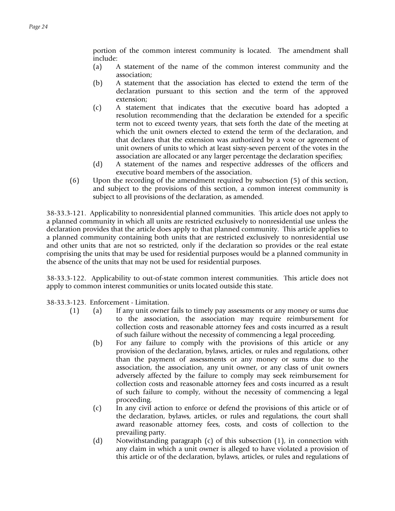portion of the common interest community is located. The amendment shall include:

- (a) A statement of the name of the common interest community and the association;
- (b) A statement that the association has elected to extend the term of the declaration pursuant to this section and the term of the approved extension;
- (c) A statement that indicates that the executive board has adopted a resolution recommending that the declaration be extended for a specific term not to exceed twenty years, that sets forth the date of the meeting at which the unit owners elected to extend the term of the declaration, and that declares that the extension was authorized by a vote or agreement of unit owners of units to which at least sixty-seven percent of the votes in the association are allocated or any larger percentage the declaration specifies;
- (d) A statement of the names and respective addresses of the officers and executive board members of the association.
- (6) Upon the recording of the amendment required by subsection (5) of this section, and subject to the provisions of this section, a common interest community is subject to all provisions of the declaration, as amended.

38-33.3-121. Applicability to nonresidential planned communities. This article does not apply to a planned community in which all units are restricted exclusively to nonresidential use unless the declaration provides that the article does apply to that planned community. This article applies to a planned community containing both units that are restricted exclusively to nonresidential use and other units that are not so restricted, only if the declaration so provides or the real estate comprising the units that may be used for residential purposes would be a planned community in the absence of the units that may not be used for residential purposes.

38-33.3-122. Applicability to out-of-state common interest communities. This article does not apply to common interest communities or units located outside this state.

38-33.3-123. Enforcement - Limitation.

- (1) (a) If any unit owner fails to timely pay assessments or any money or sums due to the association, the association may require reimbursement for collection costs and reasonable attorney fees and costs incurred as a result of such failure without the necessity of commencing a legal proceeding.
	- (b) For any failure to comply with the provisions of this article or any provision of the declaration, bylaws, articles, or rules and regulations, other than the payment of assessments or any money or sums due to the association, the association, any unit owner, or any class of unit owners adversely affected by the failure to comply may seek reimbursement for collection costs and reasonable attorney fees and costs incurred as a result of such failure to comply, without the necessity of commencing a legal proceeding.
	- (c) In any civil action to enforce or defend the provisions of this article or of the declaration, bylaws, articles, or rules and regulations, the court shall award reasonable attorney fees, costs, and costs of collection to the prevailing party.
	- (d) Notwithstanding paragraph (c) of this subsection (1), in connection with any claim in which a unit owner is alleged to have violated a provision of this article or of the declaration, bylaws, articles, or rules and regulations of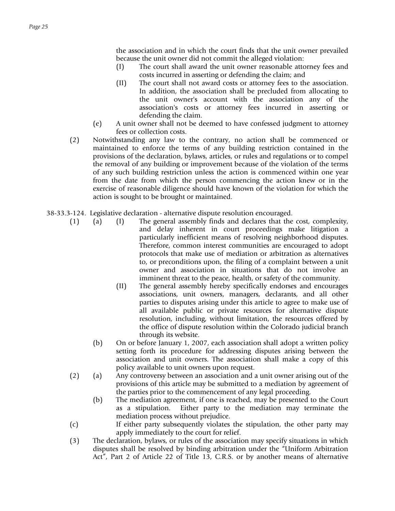the association and in which the court finds that the unit owner prevailed because the unit owner did not commit the alleged violation:

- (I) The court shall award the unit owner reasonable attorney fees and costs incurred in asserting or defending the claim; and
- (II) The court shall not award costs or attorney fees to the association. In addition, the association shall be precluded from allocating to the unit owner's account with the association any of the association's costs or attorney fees incurred in asserting or defending the claim.
- (e) A unit owner shall not be deemed to have confessed judgment to attorney fees or collection costs.
- (2) Notwithstanding any law to the contrary, no action shall be commenced or maintained to enforce the terms of any building restriction contained in the provisions of the declaration, bylaws, articles, or rules and regulations or to compel the removal of any building or improvement because of the violation of the terms of any such building restriction unless the action is commenced within one year from the date from which the person commencing the action knew or in the exercise of reasonable diligence should have known of the violation for which the action is sought to be brought or maintained.
- 38-33.3-124. Legislative declaration alternative dispute resolution encouraged.
	- (1) (a) (I) The general assembly finds and declares that the cost, complexity, and delay inherent in court proceedings make litigation a particularly inefficient means of resolving neighborhood disputes. Therefore, common interest communities are encouraged to adopt protocols that make use of mediation or arbitration as alternatives to, or preconditions upon, the filing of a complaint between a unit owner and association in situations that do not involve an imminent threat to the peace, health, or safety of the community.
		- (II) The general assembly hereby specifically endorses and encourages associations, unit owners, managers, declarants, and all other parties to disputes arising under this article to agree to make use of all available public or private resources for alternative dispute resolution, including, without limitation, the resources offered by the office of dispute resolution within the Colorado judicial branch through its website.
		- (b) On or before January 1, 2007, each association shall adopt a written policy setting forth its procedure for addressing disputes arising between the association and unit owners. The association shall make a copy of this policy available to unit owners upon request.
	- (2) (a) Any controversy between an association and a unit owner arising out of the provisions of this article may be submitted to a mediation by agreement of the parties prior to the commencement of any legal proceeding.
		- (b) The mediation agreement, if one is reached, may be presented to the Court as a stipulation. Either party to the mediation may terminate the mediation process without prejudice.
	- (c) If either party subsequently violates the stipulation, the other party may apply immediately to the court for relief.
	- (3) The declaration, bylaws, or rules of the association may specify situations in which disputes shall be resolved by binding arbitration under the "Uniform Arbitration Act", Part 2 of Article 22 of Title 13, C.R.S. or by another means of alternative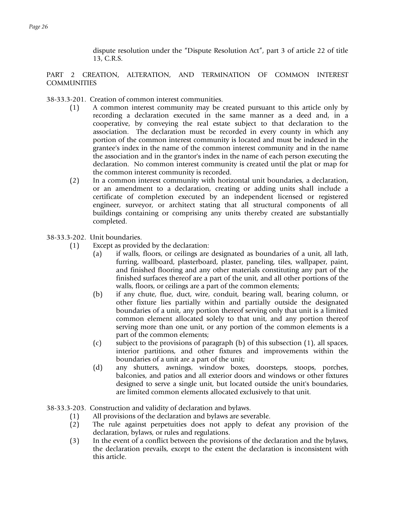dispute resolution under the "Dispute Resolution Act", part 3 of article 22 of title 13, C.R.S.

PART 2 CREATION, ALTERATION, AND TERMINATION OF COMMON INTEREST **COMMUNITIES** 

## 38-33.3-201. Creation of common interest communities.

- (1) A common interest community may be created pursuant to this article only by recording a declaration executed in the same manner as a deed and, in a cooperative, by conveying the real estate subject to that declaration to the association. The declaration must be recorded in every county in which any portion of the common interest community is located and must be indexed in the grantee's index in the name of the common interest community and in the name the association and in the grantor's index in the name of each person executing the declaration. No common interest community is created until the plat or map for the common interest community is recorded.
- (2) In a common interest community with horizontal unit boundaries, a declaration, or an amendment to a declaration, creating or adding units shall include a certificate of completion executed by an independent licensed or registered engineer, surveyor, or architect stating that all structural components of all buildings containing or comprising any units thereby created are substantially completed.

38-33.3-202. Unit boundaries.

- (1) Except as provided by the declaration:
	- (a) if walls, floors, or ceilings are designated as boundaries of a unit, all lath, furring, wallboard, plasterboard, plaster, paneling, tiles, wallpaper, paint, and finished flooring and any other materials constituting any part of the finished surfaces thereof are a part of the unit, and all other portions of the walls, floors, or ceilings are a part of the common elements;
	- (b) if any chute, flue, duct, wire, conduit, bearing wall, bearing column, or other fixture lies partially within and partially outside the designated boundaries of a unit, any portion thereof serving only that unit is a limited common element allocated solely to that unit, and any portion thereof serving more than one unit, or any portion of the common elements is a part of the common elements;
	- (c) subject to the provisions of paragraph (b) of this subsection (1), all spaces, interior partitions, and other fixtures and improvements within the boundaries of a unit are a part of the unit;
	- (d) any shutters, awnings, window boxes, doorsteps, stoops, porches, balconies, and patios and all exterior doors and windows or other fixtures designed to serve a single unit, but located outside the unit's boundaries, are limited common elements allocated exclusively to that unit.

38-33.3-203. Construction and validity of declaration and bylaws.

- (1) All provisions of the declaration and bylaws are severable.
- (2) The rule against perpetuities does not apply to defeat any provision of the declaration, bylaws, or rules and regulations.
- (3) In the event of a conflict between the provisions of the declaration and the bylaws, the declaration prevails, except to the extent the declaration is inconsistent with this article.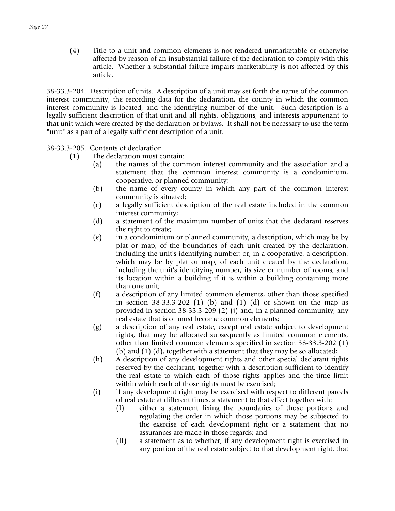(4) Title to a unit and common elements is not rendered unmarketable or otherwise affected by reason of an insubstantial failure of the declaration to comply with this article. Whether a substantial failure impairs marketability is not affected by this article.

38-33.3-204. Description of units. A description of a unit may set forth the name of the common interest community, the recording data for the declaration, the county in which the common interest community is located, and the identifying number of the unit. Such description is a legally sufficient description of that unit and all rights, obligations, and interests appurtenant to that unit which were created by the declaration or bylaws. It shall not be necessary to use the term "unit" as a part of a legally sufficient description of a unit.

38-33.3-205. Contents of declaration.

- (1) The declaration must contain:
	- (a) the names of the common interest community and the association and a statement that the common interest community is a condominium, cooperative, or planned community;
	- (b) the name of every county in which any part of the common interest community is situated;
	- (c) a legally sufficient description of the real estate included in the common interest community;
	- (d) a statement of the maximum number of units that the declarant reserves the right to create;
	- (e) in a condominium or planned community, a description, which may be by plat or map, of the boundaries of each unit created by the declaration, including the unit's identifying number; or, in a cooperative, a description, which may be by plat or map, of each unit created by the declaration, including the unit's identifying number, its size or number of rooms, and its location within a building if it is within a building containing more than one unit;
	- (f) a description of any limited common elements, other than those specified in section  $38-33.3-202$  (1) (b) and (1) (d) or shown on the map as provided in section 38-33.3-209 (2) (j) and, in a planned community, any real estate that is or must become common elements;
	- (g) a description of any real estate, except real estate subject to development rights, that may be allocated subsequently as limited common elements, other than limited common elements specified in section 38-33.3-202 (1) (b) and (1) (d), together with a statement that they may be so allocated;
	- (h) A description of any development rights and other special declarant rights reserved by the declarant, together with a description sufficient to identify the real estate to which each of those rights applies and the time limit within which each of those rights must be exercised;
	- (i) if any development right may be exercised with respect to different parcels of real estate at different times, a statement to that effect together with:
		- (I) either a statement fixing the boundaries of those portions and regulating the order in which those portions may be subjected to the exercise of each development right or a statement that no assurances are made in those regards; and
		- (II) a statement as to whether, if any development right is exercised in any portion of the real estate subject to that development right, that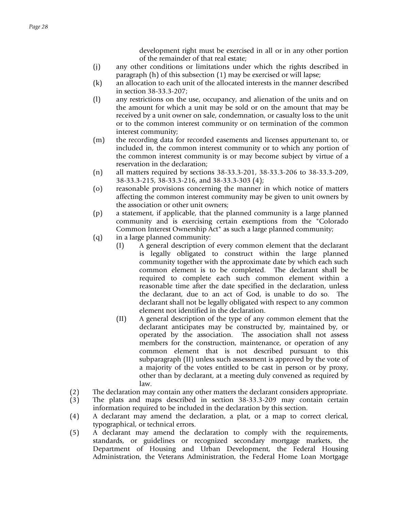development right must be exercised in all or in any other portion of the remainder of that real estate;

- (j) any other conditions or limitations under which the rights described in paragraph (h) of this subsection (1) may be exercised or will lapse;
- (k) an allocation to each unit of the allocated interests in the manner described in section 38-33.3-207;
- (l) any restrictions on the use, occupancy, and alienation of the units and on the amount for which a unit may be sold or on the amount that may be received by a unit owner on sale, condemnation, or casualty loss to the unit or to the common interest community or on termination of the common interest community;
- (m) the recording data for recorded easements and licenses appurtenant to, or included in, the common interest community or to which any portion of the common interest community is or may become subject by virtue of a reservation in the declaration;
- (n) all matters required by sections 38-33.3-201, 38-33.3-206 to 38-33.3-209, 38-33.3-215, 38-33.3-216, and 38-33.3-303 (4);
- (o) reasonable provisions concerning the manner in which notice of matters affecting the common interest community may be given to unit owners by the association or other unit owners;
- (p) a statement, if applicable, that the planned community is a large planned community and is exercising certain exemptions from the "Colorado Common Interest Ownership Act" as such a large planned community;
- (q) in a large planned community:
	- (I) A general description of every common element that the declarant is legally obligated to construct within the large planned community together with the approximate date by which each such common element is to be completed. The declarant shall be required to complete each such common element within a reasonable time after the date specified in the declaration, unless the declarant, due to an act of God, is unable to do so. The declarant shall not be legally obligated with respect to any common element not identified in the declaration.
	- (II) A general description of the type of any common element that the declarant anticipates may be constructed by, maintained by, or operated by the association. The association shall not assess members for the construction, maintenance, or operation of any common element that is not described pursuant to this subparagraph (II) unless such assessment is approved by the vote of a majority of the votes entitled to be cast in person or by proxy, other than by declarant, at a meeting duly convened as required by law.
- (2) The declaration may contain any other matters the declarant considers appropriate.
- (3) The plats and maps described in section 38-33.3-209 may contain certain information required to be included in the declaration by this section.
- (4) A declarant may amend the declaration, a plat, or a map to correct clerical, typographical, or technical errors.
- (5) A declarant may amend the declaration to comply with the requirements, standards, or guidelines or recognized secondary mortgage markets, the Department of Housing and Urban Development, the Federal Housing Administration, the Veterans Administration, the Federal Home Loan Mortgage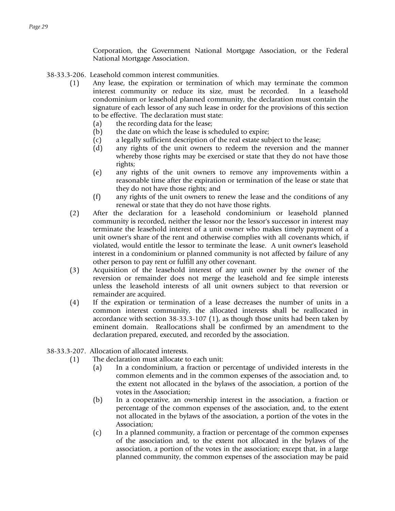Corporation, the Government National Mortgage Association, or the Federal National Mortgage Association.

- 38-33.3-206. Leasehold common interest communities.
	- (1) Any lease, the expiration or termination of which may terminate the common interest community or reduce its size, must be recorded. In a leasehold condominium or leasehold planned community, the declaration must contain the signature of each lessor of any such lease in order for the provisions of this section to be effective. The declaration must state:
		- (a) the recording data for the lease;
		- (b) the date on which the lease is scheduled to expire;
		- (c) a legally sufficient description of the real estate subject to the lease;
		- (d) any rights of the unit owners to redeem the reversion and the manner whereby those rights may be exercised or state that they do not have those rights;
		- (e) any rights of the unit owners to remove any improvements within a reasonable time after the expiration or termination of the lease or state that they do not have those rights; and
		- (f) any rights of the unit owners to renew the lease and the conditions of any renewal or state that they do not have those rights.
	- (2) After the declaration for a leasehold condominium or leasehold planned community is recorded, neither the lessor nor the lessor's successor in interest may terminate the leasehold interest of a unit owner who makes timely payment of a unit owner's share of the rent and otherwise complies with all covenants which, if violated, would entitle the lessor to terminate the lease. A unit owner's leasehold interest in a condominium or planned community is not affected by failure of any other person to pay rent or fulfill any other covenant.
	- (3) Acquisition of the leasehold interest of any unit owner by the owner of the reversion or remainder does not merge the leasehold and fee simple interests unless the leasehold interests of all unit owners subject to that reversion or remainder are acquired.
	- (4) If the expiration or termination of a lease decreases the number of units in a common interest community, the allocated interests shall be reallocated in accordance with section 38-33.3-107 (1), as though those units had been taken by eminent domain. Reallocations shall be confirmed by an amendment to the declaration prepared, executed, and recorded by the association.
- 38-33.3-207. Allocation of allocated interests.
	- (1) The declaration must allocate to each unit:
		- (a) In a condominium, a fraction or percentage of undivided interests in the common elements and in the common expenses of the association and, to the extent not allocated in the bylaws of the association, a portion of the votes in the Association;
		- (b) In a cooperative, an ownership interest in the association, a fraction or percentage of the common expenses of the association, and, to the extent not allocated in the bylaws of the association, a portion of the votes in the Association;
		- (c) In a planned community, a fraction or percentage of the common expenses of the association and, to the extent not allocated in the bylaws of the association, a portion of the votes in the association; except that, in a large planned community, the common expenses of the association may be paid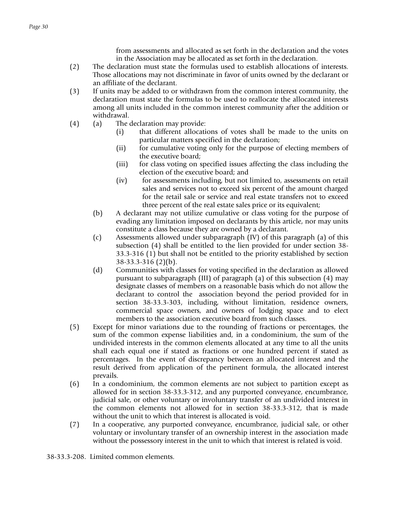from assessments and allocated as set forth in the declaration and the votes in the Association may be allocated as set forth in the declaration.

- (2) The declaration must state the formulas used to establish allocations of interests. Those allocations may not discriminate in favor of units owned by the declarant or an affiliate of the declarant.
- (3) If units may be added to or withdrawn from the common interest community, the declaration must state the formulas to be used to reallocate the allocated interests among all units included in the common interest community after the addition or withdrawal.
- (4) (a) The declaration may provide:
	- (i) that different allocations of votes shall be made to the units on particular matters specified in the declaration;
	- (ii) for cumulative voting only for the purpose of electing members of the executive board;
	- (iii) for class voting on specified issues affecting the class including the election of the executive board; and
	- (iv) for assessments including, but not limited to, assessments on retail sales and services not to exceed six percent of the amount charged for the retail sale or service and real estate transfers not to exceed three percent of the real estate sales price or its equivalent;
	- (b) A declarant may not utilize cumulative or class voting for the purpose of evading any limitation imposed on declarants by this article, nor may units constitute a class because they are owned by a declarant.
	- (c) Assessments allowed under subparagraph (IV) of this paragraph (a) of this subsection (4) shall be entitled to the lien provided for under section 38- 33.3-316 (1) but shall not be entitled to the priority established by section 38-33.3-316 (2)(b).
	- (d) Communities with classes for voting specified in the declaration as allowed pursuant to subparagraph (III) of paragraph (a) of this subsection (4) may designate classes of members on a reasonable basis which do not allow the declarant to control the association beyond the period provided for in section 38-33.3-303, including, without limitation, residence owners, commercial space owners, and owners of lodging space and to elect members to the association executive board from such classes.
- (5) Except for minor variations due to the rounding of fractions or percentages, the sum of the common expense liabilities and, in a condominium, the sum of the undivided interests in the common elements allocated at any time to all the units shall each equal one if stated as fractions or one hundred percent if stated as percentages. In the event of discrepancy between an allocated interest and the result derived from application of the pertinent formula, the allocated interest prevails.
- (6) In a condominium, the common elements are not subject to partition except as allowed for in section 38-33.3-312, and any purported conveyance, encumbrance, judicial sale, or other voluntary or involuntary transfer of an undivided interest in the common elements not allowed for in section 38-33.3-312, that is made without the unit to which that interest is allocated is void.
- (7) In a cooperative, any purported conveyance, encumbrance, judicial sale, or other voluntary or involuntary transfer of an ownership interest in the association made without the possessory interest in the unit to which that interest is related is void.

38-33.3-208. Limited common elements.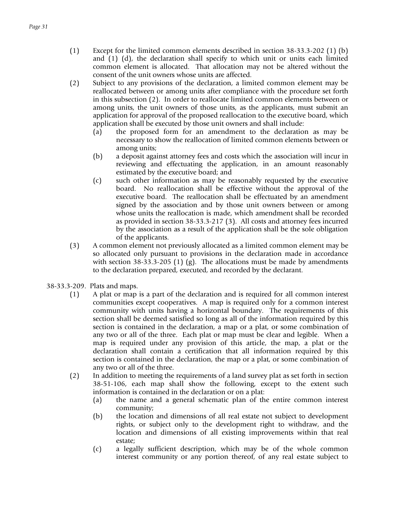- (1) Except for the limited common elements described in section 38-33.3-202 (1) (b) and (1) (d), the declaration shall specify to which unit or units each limited common element is allocated. That allocation may not be altered without the consent of the unit owners whose units are affected.
- (2) Subject to any provisions of the declaration, a limited common element may be reallocated between or among units after compliance with the procedure set forth in this subsection (2). In order to reallocate limited common elements between or among units, the unit owners of those units, as the applicants, must submit an application for approval of the proposed reallocation to the executive board, which application shall be executed by those unit owners and shall include:
	- (a) the proposed form for an amendment to the declaration as may be necessary to show the reallocation of limited common elements between or among units;
	- (b) a deposit against attorney fees and costs which the association will incur in reviewing and effectuating the application, in an amount reasonably estimated by the executive board; and
	- (c) such other information as may be reasonably requested by the executive board. No reallocation shall be effective without the approval of the executive board. The reallocation shall be effectuated by an amendment signed by the association and by those unit owners between or among whose units the reallocation is made, which amendment shall be recorded as provided in section 38-33.3-217 (3). All costs and attorney fees incurred by the association as a result of the application shall be the sole obligation of the applicants.
- (3) A common element not previously allocated as a limited common element may be so allocated only pursuant to provisions in the declaration made in accordance with section 38-33.3-205 (1) (g). The allocations must be made by amendments to the declaration prepared, executed, and recorded by the declarant.
- 38-33.3-209. Plats and maps.
	- (1) A plat or map is a part of the declaration and is required for all common interest communities except cooperatives. A map is required only for a common interest community with units having a horizontal boundary. The requirements of this section shall be deemed satisfied so long as all of the information required by this section is contained in the declaration, a map or a plat, or some combination of any two or all of the three. Each plat or map must be clear and legible. When a map is required under any provision of this article, the map, a plat or the declaration shall contain a certification that all information required by this section is contained in the declaration, the map or a plat, or some combination of any two or all of the three.
	- (2) In addition to meeting the requirements of a land survey plat as set forth in section 38-51-106, each map shall show the following, except to the extent such information is contained in the declaration or on a plat:
		- (a) the name and a general schematic plan of the entire common interest community;
		- (b) the location and dimensions of all real estate not subject to development rights, or subject only to the development right to withdraw, and the location and dimensions of all existing improvements within that real estate;
		- (c) a legally sufficient description, which may be of the whole common interest community or any portion thereof, of any real estate subject to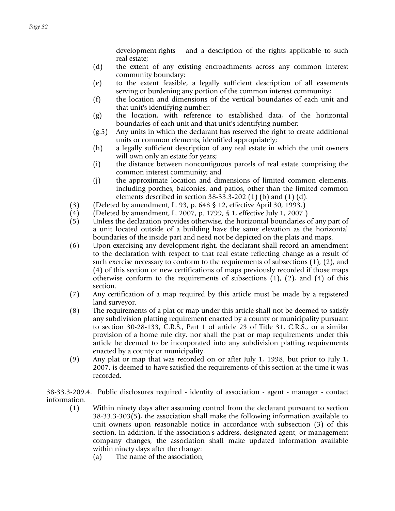development rights and a description of the rights applicable to such real estate;

- (d) the extent of any existing encroachments across any common interest community boundary;
- (e) to the extent feasible, a legally sufficient description of all easements serving or burdening any portion of the common interest community;
- (f) the location and dimensions of the vertical boundaries of each unit and that unit's identifying number;
- (g) the location, with reference to established data, of the horizontal boundaries of each unit and that unit's identifying number;
- (g.5) Any units in which the declarant has reserved the right to create additional units or common elements, identified appropriately;
- (h) a legally sufficient description of any real estate in which the unit owners will own only an estate for years;
- (i) the distance between noncontiguous parcels of real estate comprising the common interest community; and
- (j) the approximate location and dimensions of limited common elements, including porches, balconies, and patios, other than the limited common elements described in section 38-33.3-202 (1) (b) and (1) (d).
- (3) (Deleted by amendment, L. 93, p. 648 § 12, effective April 30, 1993.)
- (4) (Deleted by amendment, L. 2007, p. 1799, § 1, effective July 1, 2007.)
- (5) Unless the declaration provides otherwise, the horizontal boundaries of any part of a unit located outside of a building have the same elevation as the horizontal boundaries of the inside part and need not be depicted on the plats and maps.
- (6) Upon exercising any development right, the declarant shall record an amendment to the declaration with respect to that real estate reflecting change as a result of such exercise necessary to conform to the requirements of subsections (1), (2), and (4) of this section or new certifications of maps previously recorded if those maps otherwise conform to the requirements of subsections (1), (2), and (4) of this section.
- (7) Any certification of a map required by this article must be made by a registered land surveyor.
- (8) The requirements of a plat or map under this article shall not be deemed to satisfy any subdivision platting requirement enacted by a county or municipality pursuant to section 30-28-133, C.R.S., Part 1 of article 23 of Title 31, C.R.S., or a similar provision of a home rule city, nor shall the plat or map requirements under this article be deemed to be incorporated into any subdivision platting requirements enacted by a county or municipality.
- (9) Any plat or map that was recorded on or after July 1, 1998, but prior to July 1, 2007, is deemed to have satisfied the requirements of this section at the time it was recorded.

38-33.3-209.4. Public disclosures required - identity of association - agent - manager - contact information.

- (1) Within ninety days after assuming control from the declarant pursuant to section 38-33.3-303(5), the association shall make the following information available to unit owners upon reasonable notice in accordance with subsection (3) of this section. In addition, if the association's address, designated agent, or management company changes, the association shall make updated information available within ninety days after the change:
	- (a) The name of the association;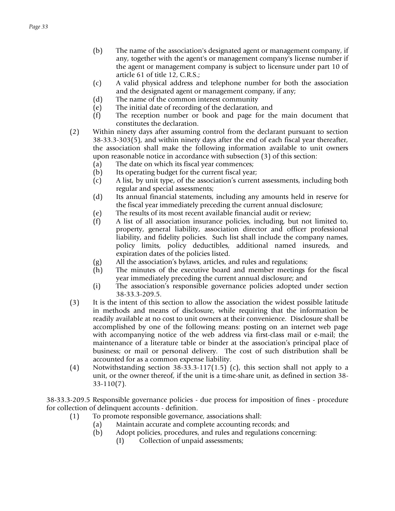- (b) The name of the association's designated agent or management company, if any, together with the agent's or management company's license number if the agent or management company is subject to licensure under part 10 of article 61 of title 12, C.R.S.;
- (c) A valid physical address and telephone number for both the association and the designated agent or management company, if any;
- (d) The name of the common interest community
- (e) The initial date of recording of the declaration, and
- (f) The reception number or book and page for the main document that constitutes the declaration.
- (2) Within ninety days after assuming control from the declarant pursuant to section 38-33.3-303(5), and within ninety days after the end of each fiscal year thereafter, the association shall make the following information available to unit owners upon reasonable notice in accordance with subsection (3) of this section:
	- (a) The date on which its fiscal year commences;
	- (b) Its operating budget for the current fiscal year;
	- (c) A list, by unit type, of the association's current assessments, including both regular and special assessments;
	- (d) Its annual financial statements, including any amounts held in reserve for the fiscal year immediately preceding the current annual disclosure;
	- (e) The results of its most recent available financial audit or review;
	- (f) A list of all association insurance policies, including, but not limited to, property, general liability, association director and officer professional liability, and fidelity policies. Such list shall include the company names, policy limits, policy deductibles, additional named insureds, and expiration dates of the policies listed.
	- (g) All the association's bylaws, articles, and rules and regulations;
	- (h) The minutes of the executive board and member meetings for the fiscal year immediately preceding the current annual disclosure; and
	- (i) The association's responsible governance policies adopted under section 38-33.3-209.5.
- (3) It is the intent of this section to allow the association the widest possible latitude in methods and means of disclosure, while requiring that the information be readily available at no cost to unit owners at their convenience. Disclosure shall be accomplished by one of the following means: posting on an internet web page with accompanying notice of the web address via first-class mail or e-mail; the maintenance of a literature table or binder at the association's principal place of business; or mail or personal delivery. The cost of such distribution shall be accounted for as a common expense liability.
- (4) Notwithstanding section 38-33.3-117(1.5) (c), this section shall not apply to a unit, or the owner thereof, if the unit is a time-share unit, as defined in section 38- 33-110(7).

38-33.3-209.5 Responsible governance policies - due process for imposition of fines - procedure for collection of delinquent accounts - definition.

- (1) To promote responsible governance, associations shall:
	- (a) Maintain accurate and complete accounting records; and
	- (b) Adopt policies, procedures, and rules and regulations concerning:
		- (I) Collection of unpaid assessments;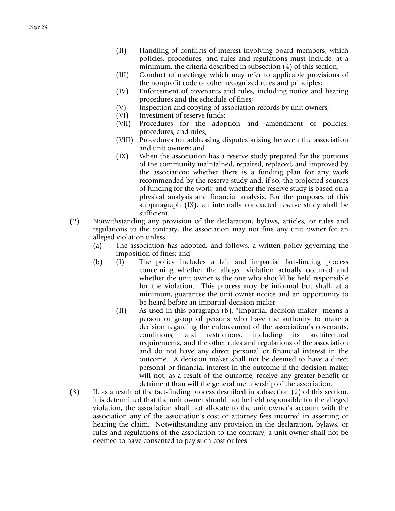- (II) Handling of conflicts of interest involving board members, which policies, procedures, and rules and regulations must include, at a minimum, the criteria described in subsection (4) of this section;
- (III) Conduct of meetings, which may refer to applicable provisions of the nonprofit code or other recognized rules and principles;
- (IV) Enforcement of covenants and rules, including notice and hearing procedures and the schedule of fines;
- (V) Inspection and copying of association records by unit owners;
- (VI) Investment of reserve funds;
- (VII) Procedures for the adoption and amendment of policies, procedures, and rules;
- (VIII) Procedures for addressing disputes arising between the association and unit owners; and
- (IX) When the association has a reserve study prepared for the portions of the community maintained, repaired, replaced, and improved by the association; whether there is a funding plan for any work recommended by the reserve study and, if so, the projected sources of funding for the work; and whether the reserve study is based on a physical analysis and financial analysis. For the purposes of this subparagraph (IX), an internally conducted reserve study shall be sufficient.
- (2) Notwithstanding any provision of the declaration, bylaws, articles, or rules and regulations to the contrary, the association may not fine any unit owner for an alleged violation unless
	- (a) The association has adopted, and follows, a written policy governing the imposition of fines; and
	- (b) (I) The policy includes a fair and impartial fact-finding process concerning whether the alleged violation actually occurred and whether the unit owner is the one who should be held responsible for the violation. This process may be informal but shall, at a minimum, guarantee the unit owner notice and an opportunity to be heard before an impartial decision maker.
		- (II) As used in this paragraph (b), "impartial decision maker" means a person or group of persons who have the authority to make a decision regarding the enforcement of the association's covenants, conditions, and restrictions, including its architectural requirements, and the other rules and regulations of the association and do not have any direct personal or financial interest in the outcome. A decision maker shall not be deemed to have a direct personal or financial interest in the outcome if the decision maker will not, as a result of the outcome, receive any greater benefit or detriment than will the general membership of the association.
- (3) If, as a result of the fact-finding process described in subsection (2) of this section, it is determined that the unit owner should not be held responsible for the alleged violation, the association shall not allocate to the unit owner's account with the association any of the association's cost or attorney fees incurred in asserting or hearing the claim. Notwithstanding any provision in the declaration, bylaws, or rules and regulations of the association to the contrary, a unit owner shall not be deemed to have consented to pay such cost or fees.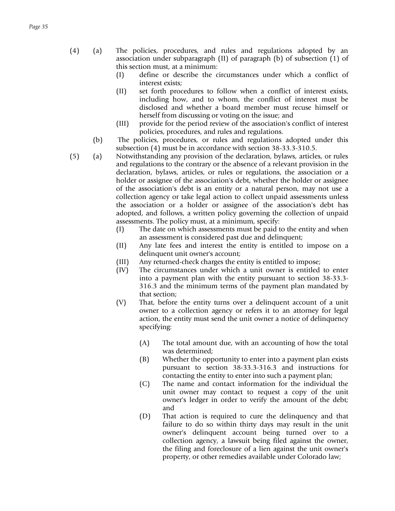- (4) (a) The policies, procedures, and rules and regulations adopted by an association under subparagraph (II) of paragraph (b) of subsection (1) of this section must, at a minimum:
	- (I) define or describe the circumstances under which a conflict of interest exists;
	- (II) set forth procedures to follow when a conflict of interest exists, including how, and to whom, the conflict of interest must be disclosed and whether a board member must recuse himself or herself from discussing or voting on the issue; and
	- (III) provide for the period review of the association's conflict of interest policies, procedures, and rules and regulations.
	- (b) The policies, procedures, or rules and regulations adopted under this subsection (4) must be in accordance with section 38-33.3-310.5.
- (5) (a) Notwithstanding any provision of the declaration, bylaws, articles, or rules and regulations to the contrary or the absence of a relevant provision in the declaration, bylaws, articles, or rules or regulations, the association or a holder or assignee of the association's debt, whether the holder or assignee of the association's debt is an entity or a natural person, may not use a collection agency or take legal action to collect unpaid assessments unless the association or a holder or assignee of the association's debt has adopted, and follows, a written policy governing the collection of unpaid assessments. The policy must, at a minimum, specify:
	- (I) The date on which assessments must be paid to the entity and when an assessment is considered past due and delinquent;
	- (II) Any late fees and interest the entity is entitled to impose on a delinquent unit owner's account;
	- (III) Any returned-check charges the entity is entitled to impose;
	- (IV) The circumstances under which a unit owner is entitled to enter into a payment plan with the entity pursuant to section 38-33.3- 316.3 and the minimum terms of the payment plan mandated by that section;
	- (V) That, before the entity turns over a delinquent account of a unit owner to a collection agency or refers it to an attorney for legal action, the entity must send the unit owner a notice of delinquency specifying:
		- (A) The total amount due, with an accounting of how the total was determined;
		- (B) Whether the opportunity to enter into a payment plan exists pursuant to section 38-33.3-316.3 and instructions for contacting the entity to enter into such a payment plan;
		- (C) The name and contact information for the individual the unit owner may contact to request a copy of the unit owner's ledger in order to verify the amount of the debt; and
		- (D) That action is required to cure the delinquency and that failure to do so within thirty days may result in the unit owner's delinquent account being turned over to a collection agency, a lawsuit being filed against the owner, the filing and foreclosure of a lien against the unit owner's property, or other remedies available under Colorado law;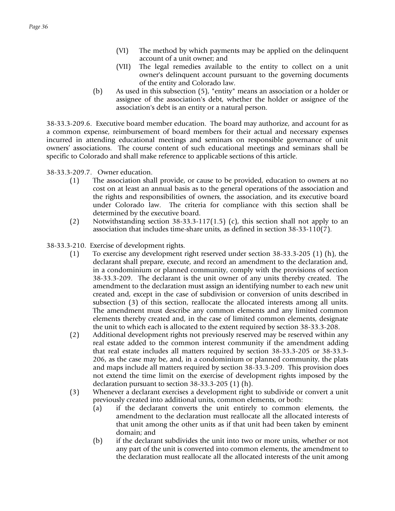- (VI) The method by which payments may be applied on the delinquent account of a unit owner; and
- (VII) The legal remedies available to the entity to collect on a unit owner's delinquent account pursuant to the governing documents of the entity and Colorado law.
- (b) As used in this subsection (5), "entity" means an association or a holder or assignee of the association's debt, whether the holder or assignee of the association's debt is an entity or a natural person.

38-33.3-209.6. Executive board member education. The board may authorize, and account for as a common expense, reimbursement of board members for their actual and necessary expenses incurred in attending educational meetings and seminars on responsible governance of unit owners' associations. The course content of such educational meetings and seminars shall be specific to Colorado and shall make reference to applicable sections of this article.

38-33.3-209.7. Owner education.

- (1) The association shall provide, or cause to be provided, education to owners at no cost on at least an annual basis as to the general operations of the association and the rights and responsibilities of owners, the association, and its executive board under Colorado law. The criteria for compliance with this section shall be determined by the executive board.
- (2) Notwithstanding section 38-33.3-117(1.5) (c), this section shall not apply to an association that includes time-share units, as defined in section 38-33-110(7).

38-33.3-210. Exercise of development rights.

- (1) To exercise any development right reserved under section 38-33.3-205 (1) (h), the declarant shall prepare, execute, and record an amendment to the declaration and, in a condominium or planned community, comply with the provisions of section 38-33.3-209. The declarant is the unit owner of any units thereby created. The amendment to the declaration must assign an identifying number to each new unit created and, except in the case of subdivision or conversion of units described in subsection (3) of this section, reallocate the allocated interests among all units. The amendment must describe any common elements and any limited common elements thereby created and, in the case of limited common elements, designate the unit to which each is allocated to the extent required by section 38-33.3-208.
- (2) Additional development rights not previously reserved may be reserved within any real estate added to the common interest community if the amendment adding that real estate includes all matters required by section 38-33.3-205 or 38-33.3- 206, as the case may be, and, in a condominium or planned community, the plats and maps include all matters required by section 38-33.3-209. This provision does not extend the time limit on the exercise of development rights imposed by the declaration pursuant to section 38-33.3-205 (1) (h).
- (3) Whenever a declarant exercises a development right to subdivide or convert a unit previously created into additional units, common elements, or both:
	- (a) if the declarant converts the unit entirely to common elements, the amendment to the declaration must reallocate all the allocated interests of that unit among the other units as if that unit had been taken by eminent domain; and
	- (b) if the declarant subdivides the unit into two or more units, whether or not any part of the unit is converted into common elements, the amendment to the declaration must reallocate all the allocated interests of the unit among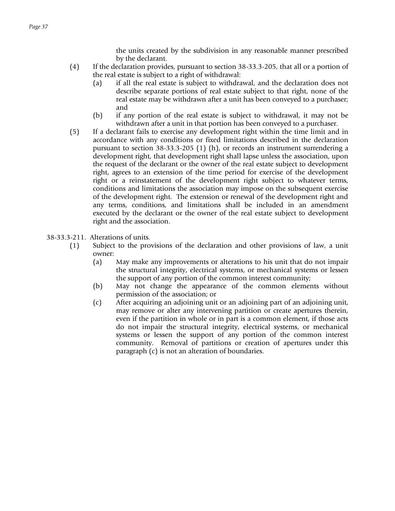the units created by the subdivision in any reasonable manner prescribed by the declarant.

- (4) If the declaration provides, pursuant to section 38-33.3-205, that all or a portion of the real estate is subject to a right of withdrawal:
	- (a) if all the real estate is subject to withdrawal, and the declaration does not describe separate portions of real estate subject to that right, none of the real estate may be withdrawn after a unit has been conveyed to a purchaser; and
	- (b) if any portion of the real estate is subject to withdrawal, it may not be withdrawn after a unit in that portion has been conveyed to a purchaser.
- (5) If a declarant fails to exercise any development right within the time limit and in accordance with any conditions or fixed limitations described in the declaration pursuant to section 38-33.3-205 (1) (h), or records an instrument surrendering a development right, that development right shall lapse unless the association, upon the request of the declarant or the owner of the real estate subject to development right, agrees to an extension of the time period for exercise of the development right or a reinstatement of the development right subject to whatever terms, conditions and limitations the association may impose on the subsequent exercise of the development right. The extension or renewal of the development right and any terms, conditions, and limitations shall be included in an amendment executed by the declarant or the owner of the real estate subject to development right and the association.
- 38-33.3-211. Alterations of units.
	- (1) Subject to the provisions of the declaration and other provisions of law, a unit owner:
		- (a) May make any improvements or alterations to his unit that do not impair the structural integrity, electrical systems, or mechanical systems or lessen the support of any portion of the common interest community;
		- (b) May not change the appearance of the common elements without permission of the association; or
		- (c) After acquiring an adjoining unit or an adjoining part of an adjoining unit, may remove or alter any intervening partition or create apertures therein, even if the partition in whole or in part is a common element, if those acts do not impair the structural integrity, electrical systems, or mechanical systems or lessen the support of any portion of the common interest community. Removal of partitions or creation of apertures under this paragraph (c) is not an alteration of boundaries.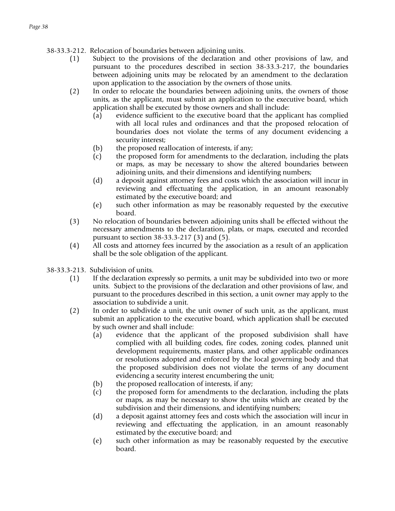- 38-33.3-212. Relocation of boundaries between adjoining units.
	- (1) Subject to the provisions of the declaration and other provisions of law, and pursuant to the procedures described in section 38-33.3-217, the boundaries between adjoining units may be relocated by an amendment to the declaration upon application to the association by the owners of those units.
	- (2) In order to relocate the boundaries between adjoining units, the owners of those units, as the applicant, must submit an application to the executive board, which application shall be executed by those owners and shall include:
		- (a) evidence sufficient to the executive board that the applicant has complied with all local rules and ordinances and that the proposed relocation of boundaries does not violate the terms of any document evidencing a security interest;
		- (b) the proposed reallocation of interests, if any;
		- (c) the proposed form for amendments to the declaration, including the plats or maps, as may be necessary to show the altered boundaries between adjoining units, and their dimensions and identifying numbers;
		- (d) a deposit against attorney fees and costs which the association will incur in reviewing and effectuating the application, in an amount reasonably estimated by the executive board; and
		- (e) such other information as may be reasonably requested by the executive board.
	- (3) No relocation of boundaries between adjoining units shall be effected without the necessary amendments to the declaration, plats, or maps, executed and recorded pursuant to section 38-33.3-217 (3) and (5).
	- (4) All costs and attorney fees incurred by the association as a result of an application shall be the sole obligation of the applicant.
- 38-33.3-213. Subdivision of units.
	- (1) If the declaration expressly so permits, a unit may be subdivided into two or more units. Subject to the provisions of the declaration and other provisions of law, and pursuant to the procedures described in this section, a unit owner may apply to the association to subdivide a unit.
	- (2) In order to subdivide a unit, the unit owner of such unit, as the applicant, must submit an application to the executive board, which application shall be executed by such owner and shall include:
		- (a) evidence that the applicant of the proposed subdivision shall have complied with all building codes, fire codes, zoning codes, planned unit development requirements, master plans, and other applicable ordinances or resolutions adopted and enforced by the local governing body and that the proposed subdivision does not violate the terms of any document evidencing a security interest encumbering the unit;
		- (b) the proposed reallocation of interests, if any;
		- (c) the proposed form for amendments to the declaration, including the plats or maps, as may be necessary to show the units which are created by the subdivision and their dimensions, and identifying numbers;
		- (d) a deposit against attorney fees and costs which the association will incur in reviewing and effectuating the application, in an amount reasonably estimated by the executive board; and
		- (e) such other information as may be reasonably requested by the executive board.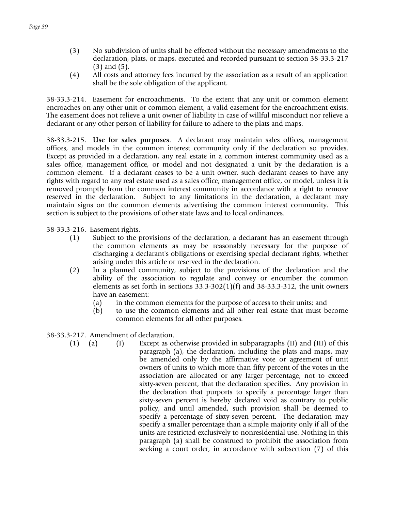- (3) No subdivision of units shall be effected without the necessary amendments to the declaration, plats, or maps, executed and recorded pursuant to section 38-33.3-217 (3) and (5).
- (4) All costs and attorney fees incurred by the association as a result of an application shall be the sole obligation of the applicant.

38-33.3-214. Easement for encroachments. To the extent that any unit or common element encroaches on any other unit or common element, a valid easement for the encroachment exists. The easement does not relieve a unit owner of liability in case of willful misconduct nor relieve a declarant or any other person of liability for failure to adhere to the plats and maps.

38-33.3-215. **Use for sales purposes**. A declarant may maintain sales offices, management offices, and models in the common interest community only if the declaration so provides. Except as provided in a declaration, any real estate in a common interest community used as a sales office, management office, or model and not designated a unit by the declaration is a common element. If a declarant ceases to be a unit owner, such declarant ceases to have any rights with regard to any real estate used as a sales office, management office, or model, unless it is removed promptly from the common interest community in accordance with a right to remove reserved in the declaration. Subject to any limitations in the declaration, a declarant may maintain signs on the common elements advertising the common interest community. This section is subject to the provisions of other state laws and to local ordinances.

38-33.3-216. Easement rights.

- (1) Subject to the provisions of the declaration, a declarant has an easement through the common elements as may be reasonably necessary for the purpose of discharging a declarant's obligations or exercising special declarant rights, whether arising under this article or reserved in the declaration.
- (2) In a planned community, subject to the provisions of the declaration and the ability of the association to regulate and convey or encumber the common elements as set forth in sections  $33.3-302(1)(f)$  and  $38-33.3-312$ , the unit owners have an easement:
	- (a) in the common elements for the purpose of access to their units; and
	- (b) to use the common elements and all other real estate that must become common elements for all other purposes.

38-33.3-217. Amendment of declaration.

(1) (a) (I) Except as otherwise provided in subparagraphs (II) and (III) of this paragraph (a), the declaration, including the plats and maps, may be amended only by the affirmative vote or agreement of unit owners of units to which more than fifty percent of the votes in the association are allocated or any larger percentage, not to exceed sixty-seven percent, that the declaration specifies. Any provision in the declaration that purports to specify a percentage larger than sixty-seven percent is hereby declared void as contrary to public policy, and until amended, such provision shall be deemed to specify a percentage of sixty-seven percent. The declaration may specify a smaller percentage than a simple majority only if all of the units are restricted exclusively to nonresidential use. Nothing in this paragraph (a) shall be construed to prohibit the association from seeking a court order, in accordance with subsection (7) of this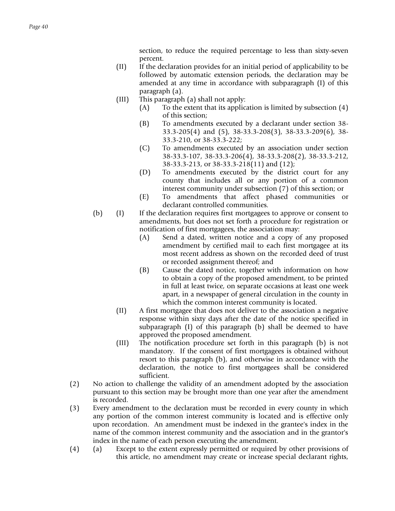section, to reduce the required percentage to less than sixty-seven percent.

- (II) If the declaration provides for an initial period of applicability to be followed by automatic extension periods, the declaration may be amended at any time in accordance with subparagraph (I) of this paragraph (a).
- (III) This paragraph (a) shall not apply:
	- (A) To the extent that its application is limited by subsection (4) of this section;
	- (B) To amendments executed by a declarant under section 38- 33.3-205(4) and (5), 38-33.3-208(3), 38-33.3-209(6), 38- 33.3-210, or 38-33.3-222;
	- (C) To amendments executed by an association under section 38-33.3-107, 38-33.3-206(4), 38-33.3-208(2), 38-33.3-212, 38-33.3-213, or 38-33.3-218(11) and (12);
	- (D) To amendments executed by the district court for any county that includes all or any portion of a common interest community under subsection (7) of this section; or
	- (E) To amendments that affect phased communities or declarant controlled communities.
- (b) (I) If the declaration requires first mortgagees to approve or consent to amendments, but does not set forth a procedure for registration or notification of first mortgagees, the association may:
	- (A) Send a dated, written notice and a copy of any proposed amendment by certified mail to each first mortgagee at its most recent address as shown on the recorded deed of trust or recorded assignment thereof; and
	- (B) Cause the dated notice, together with information on how to obtain a copy of the proposed amendment, to be printed in full at least twice, on separate occasions at least one week apart, in a newspaper of general circulation in the county in which the common interest community is located.
	- (II) A first mortgagee that does not deliver to the association a negative response within sixty days after the date of the notice specified in subparagraph (I) of this paragraph (b) shall be deemed to have approved the proposed amendment.
	- (III) The notification procedure set forth in this paragraph (b) is not mandatory. If the consent of first mortgagees is obtained without resort to this paragraph (b), and otherwise in accordance with the declaration, the notice to first mortgagees shall be considered sufficient.
- (2) No action to challenge the validity of an amendment adopted by the association pursuant to this section may be brought more than one year after the amendment is recorded.
- (3) Every amendment to the declaration must be recorded in every county in which any portion of the common interest community is located and is effective only upon recordation. An amendment must be indexed in the grantee's index in the name of the common interest community and the association and in the grantor's index in the name of each person executing the amendment.
- (4) (a) Except to the extent expressly permitted or required by other provisions of this article, no amendment may create or increase special declarant rights,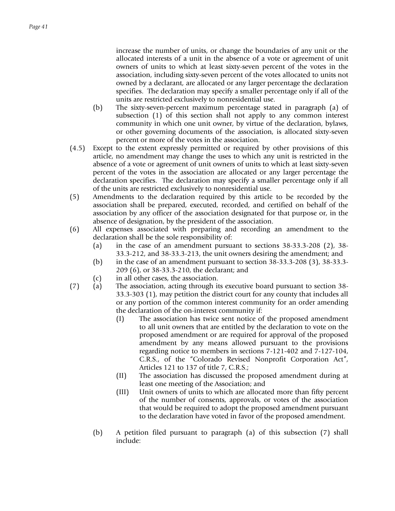increase the number of units, or change the boundaries of any unit or the allocated interests of a unit in the absence of a vote or agreement of unit owners of units to which at least sixty-seven percent of the votes in the association, including sixty-seven percent of the votes allocated to units not owned by a declarant, are allocated or any larger percentage the declaration specifies. The declaration may specify a smaller percentage only if all of the units are restricted exclusively to nonresidential use.

- (b) The sixty-seven-percent maximum percentage stated in paragraph (a) of subsection (1) of this section shall not apply to any common interest community in which one unit owner, by virtue of the declaration, bylaws, or other governing documents of the association, is allocated sixty-seven percent or more of the votes in the association.
- (4.5) Except to the extent expressly permitted or required by other provisions of this article, no amendment may change the uses to which any unit is restricted in the absence of a vote or agreement of unit owners of units to which at least sixty-seven percent of the votes in the association are allocated or any larger percentage the declaration specifies. The declaration may specify a smaller percentage only if all of the units are restricted exclusively to nonresidential use.
- (5) Amendments to the declaration required by this article to be recorded by the association shall be prepared, executed, recorded, and certified on behalf of the association by any officer of the association designated for that purpose or, in the absence of designation, by the president of the association.
- (6) All expenses associated with preparing and recording an amendment to the declaration shall be the sole responsibility of:
	- (a) in the case of an amendment pursuant to sections 38-33.3-208 (2), 38- 33.3-212, and 38-33.3-213, the unit owners desiring the amendment; and
	- (b) in the case of an amendment pursuant to section 38-33.3-208 (3), 38-33.3- 209 (6), or 38-33.3-210, the declarant; and
	- (c) in all other cases, the association.
- (7) (a) The association, acting through its executive board pursuant to section 38- 33.3-303 (1), may petition the district court for any county that includes all or any portion of the common interest community for an order amending the declaration of the on-interest community if:
	- (I) The association has twice sent notice of the proposed amendment to all unit owners that are entitled by the declaration to vote on the proposed amendment or are required for approval of the proposed amendment by any means allowed pursuant to the provisions regarding notice to members in sections 7-121-402 and 7-127-104, C.R.S., of the "Colorado Revised Nonprofit Corporation Act", Articles 121 to 137 of title 7, C.R.S.;
	- (II) The association has discussed the proposed amendment during at least one meeting of the Association; and
	- (III) Unit owners of units to which are allocated more than fifty percent of the number of consents, approvals, or votes of the association that would be required to adopt the proposed amendment pursuant to the declaration have voted in favor of the proposed amendment.
	- (b) A petition filed pursuant to paragraph (a) of this subsection (7) shall include: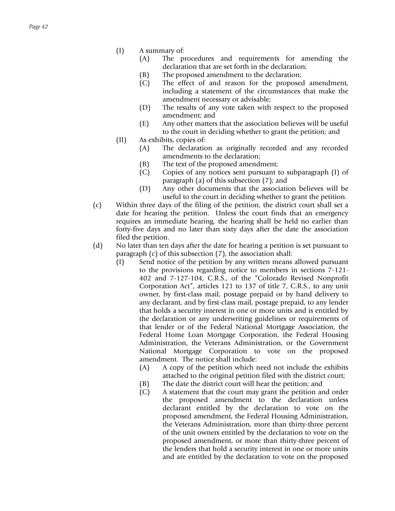- (I) A summary of:
	- (A) The procedures and requirements for amending the declaration that are set forth in the declaration;
	- (B) The proposed amendment to the declaration;
	- (C) The effect of and reason for the proposed amendment, including a statement of the circumstances that make the amendment necessary or advisable;
	- (D) The results of any vote taken with respect to the proposed amendment; and
	- (E) Any other matters that the association believes will be useful to the court in deciding whether to grant the petition; and
- (II) As exhibits, copies of:
	- (A) The declaration as originally recorded and any recorded amendments to the declaration;
	- (B) The text of the proposed amendment;
	- (C) Copies of any notices sent pursuant to subparagraph (I) of paragraph (a) of this subsection (7); and
	- (D) Any other documents that the association believes will be useful to the court in deciding whether to grant the petition.
- (c) Within three days of the filing of the petition, the district court shall set a date for hearing the petition. Unless the court finds that an emergency requires an immediate hearing, the hearing shall be held no earlier than forty-five days and no later than sixty days after the date the association filed the petition.
- (d) No later than ten days after the date for hearing a petition is set pursuant to paragraph (c) of this subsection (7), the association shall:
	- (I) Send notice of the petition by any written means allowed pursuant to the provisions regarding notice to members in sections 7-121- 402 and 7-127-104, C.R.S., of the "Colorado Revised Nonprofit Corporation Act", articles 121 to 137 of title 7, C.R.S., to any unit owner, by first-class mail, postage prepaid or by hand delivery to any declarant, and by first-class mail, postage prepaid, to any lender that holds a security interest in one or more units and is entitled by the declaration or any underwriting guidelines or requirements of that lender or of the Federal National Mortgage Association, the Federal Home Loan Mortgage Corporation, the Federal Housing Administration, the Veterans Administration, or the Government National Mortgage Corporation to vote on the proposed amendment. The notice shall include:
		- (A) A copy of the petition which need not include the exhibits attached to the original petition filed with the district court;
		- (B) The date the district court will hear the petition; and
		- (C) A statement that the court may grant the petition and order the proposed amendment to the declaration unless declarant entitled by the declaration to vote on the proposed amendment, the Federal Housing Administration, the Veterans Administration, more than thirty-three percent of the unit owners entitled by the declaration to vote on the proposed amendment, or more than thirty-three percent of the lenders that hold a security interest in one or more units and are entitled by the declaration to vote on the proposed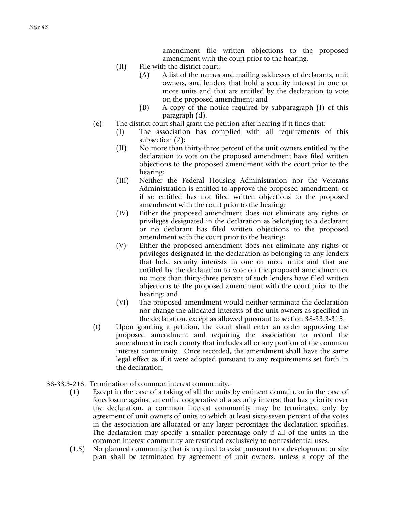amendment file written objections to the proposed amendment with the court prior to the hearing.

- (II) File with the district court:
	- (A) A list of the names and mailing addresses of declarants, unit owners, and lenders that hold a security interest in one or more units and that are entitled by the declaration to vote on the proposed amendment; and
	- (B) A copy of the notice required by subparagraph (I) of this paragraph (d).
- (e) The district court shall grant the petition after hearing if it finds that:
	- (I) The association has complied with all requirements of this subsection (7);
	- (II) No more than thirty-three percent of the unit owners entitled by the declaration to vote on the proposed amendment have filed written objections to the proposed amendment with the court prior to the hearing;
	- (III) Neither the Federal Housing Administration nor the Veterans Administration is entitled to approve the proposed amendment, or if so entitled has not filed written objections to the proposed amendment with the court prior to the hearing;
	- (IV) Either the proposed amendment does not eliminate any rights or privileges designated in the declaration as belonging to a declarant or no declarant has filed written objections to the proposed amendment with the court prior to the hearing;
	- (V) Either the proposed amendment does not eliminate any rights or privileges designated in the declaration as belonging to any lenders that hold security interests in one or more units and that are entitled by the declaration to vote on the proposed amendment or no more than thirty-three percent of such lenders have filed written objections to the proposed amendment with the court prior to the hearing; and
	- (VI) The proposed amendment would neither terminate the declaration nor change the allocated interests of the unit owners as specified in the declaration, except as allowed pursuant to section 38-33.3-315.
- (f) Upon granting a petition, the court shall enter an order approving the proposed amendment and requiring the association to record the amendment in each county that includes all or any portion of the common interest community. Once recorded, the amendment shall have the same legal effect as if it were adopted pursuant to any requirements set forth in the declaration.
- 38-33.3-218. Termination of common interest community.
	- (1) Except in the case of a taking of all the units by eminent domain, or in the case of foreclosure against an entire cooperative of a security interest that has priority over the declaration, a common interest community may be terminated only by agreement of unit owners of units to which at least sixty-seven percent of the votes in the association are allocated or any larger percentage the declaration specifies. The declaration may specify a smaller percentage only if all of the units in the common interest community are restricted exclusively to nonresidential uses.
	- (1.5) No planned community that is required to exist pursuant to a development or site plan shall be terminated by agreement of unit owners, unless a copy of the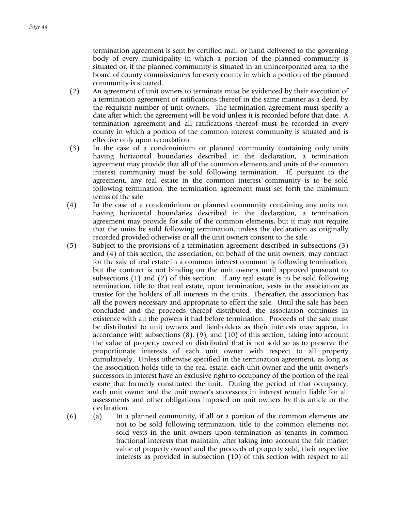termination agreement is sent by certified mail or hand delivered to the governing body of every municipality in which a portion of the planned community is situated or, if the planned community is situated in an unincorporated area, to the board of county commissioners for every county in which a portion of the planned community is situated.

- (2) An agreement of unit owners to terminate must be evidenced by their execution of a termination agreement or ratifications thereof in the same manner as a deed, by the requisite number of unit owners. The termination agreement must specify a date after which the agreement will be void unless it is recorded before that date. A termination agreement and all ratifications thereof must be recorded in every county in which a portion of the common interest community is situated and is effective only upon recordation.
- (3) In the case of a condominium or planned community containing only units having horizontal boundaries described in the declaration, a termination agreement may provide that all of the common elements and units of the common interest community must be sold following termination. If, pursuant to the agreement, any real estate in the common interest community is to be sold following termination, the termination agreement must set forth the minimum terms of the sale.
- (4) In the case of a condominium or planned community containing any units not having horizontal boundaries described in the declaration, a termination agreement may provide for sale of the common elements, but it may not require that the units be sold following termination, unless the declaration as originally recorded provided otherwise or all the unit owners consent to the sale.
- (5) Subject to the provisions of a termination agreement described in subsections (3) and (4) of this section, the association, on behalf of the unit owners, may contract for the sale of real estate in a common interest community following termination, but the contract is not binding on the unit owners until approved pursuant to subsections (1) and (2) of this section. If any real estate is to be sold following termination, title to that real estate, upon termination, vests in the association as trustee for the holders of all interests in the units. Thereafter, the association has all the powers necessary and appropriate to effect the sale. Until the sale has been concluded and the proceeds thereof distributed, the association continues in existence with all the powers it had before termination. Proceeds of the sale must be distributed to unit owners and lienholders as their interests may appear, in accordance with subsections (8), (9), and (10) of this section, taking into account the value of property owned or distributed that is not sold so as to preserve the proportionate interests of each unit owner with respect to all property cumulatively. Unless otherwise specified in the termination agreement, as long as the association holds title to the real estate, each unit owner and the unit owner's successors in interest have an exclusive right to occupancy of the portion of the real estate that formerly constituted the unit. During the period of that occupancy, each unit owner and the unit owner's successors in interest remain liable for all assessments and other obligations imposed on unit owners by this article or the declaration.
- (6) (a) In a planned community, if all or a portion of the common elements are not to be sold following termination, title to the common elements not sold vests in the unit owners upon termination as tenants in common fractional interests that maintain, after taking into account the fair market value of property owned and the proceeds of property sold, their respective interests as provided in subsection (10) of this section with respect to all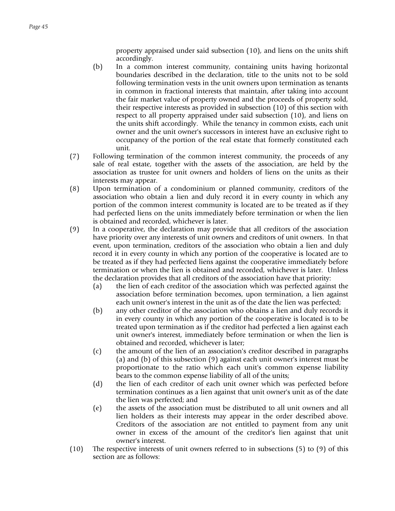property appraised under said subsection (10), and liens on the units shift accordingly.

- (b) In a common interest community, containing units having horizontal boundaries described in the declaration, title to the units not to be sold following termination vests in the unit owners upon termination as tenants in common in fractional interests that maintain, after taking into account the fair market value of property owned and the proceeds of property sold, their respective interests as provided in subsection (10) of this section with respect to all property appraised under said subsection (10), and liens on the units shift accordingly. While the tenancy in common exists, each unit owner and the unit owner's successors in interest have an exclusive right to occupancy of the portion of the real estate that formerly constituted each unit.
- (7) Following termination of the common interest community, the proceeds of any sale of real estate, together with the assets of the association, are held by the association as trustee for unit owners and holders of liens on the units as their interests may appear.
- (8) Upon termination of a condominium or planned community, creditors of the association who obtain a lien and duly record it in every county in which any portion of the common interest community is located are to be treated as if they had perfected liens on the units immediately before termination or when the lien is obtained and recorded, whichever is later.
- (9) In a cooperative, the declaration may provide that all creditors of the association have priority over any interests of unit owners and creditors of unit owners. In that event, upon termination, creditors of the association who obtain a lien and duly record it in every county in which any portion of the cooperative is located are to be treated as if they had perfected liens against the cooperative immediately before termination or when the lien is obtained and recorded, whichever is later. Unless the declaration provides that all creditors of the association have that priority:
	- (a) the lien of each creditor of the association which was perfected against the association before termination becomes, upon termination, a lien against each unit owner's interest in the unit as of the date the lien was perfected;
	- (b) any other creditor of the association who obtains a lien and duly records it in every county in which any portion of the cooperative is located is to be treated upon termination as if the creditor had perfected a lien against each unit owner's interest, immediately before termination or when the lien is obtained and recorded, whichever is later;
	- (c) the amount of the lien of an association's creditor described in paragraphs (a) and (b) of this subsection (9) against each unit owner's interest must be proportionate to the ratio which each unit's common expense liability bears to the common expense liability of all of the units;
	- (d) the lien of each creditor of each unit owner which was perfected before termination continues as a lien against that unit owner's unit as of the date the lien was perfected; and
	- (e) the assets of the association must be distributed to all unit owners and all lien holders as their interests may appear in the order described above. Creditors of the association are not entitled to payment from any unit owner in excess of the amount of the creditor's lien against that unit owner's interest.
- (10) The respective interests of unit owners referred to in subsections (5) to (9) of this section are as follows: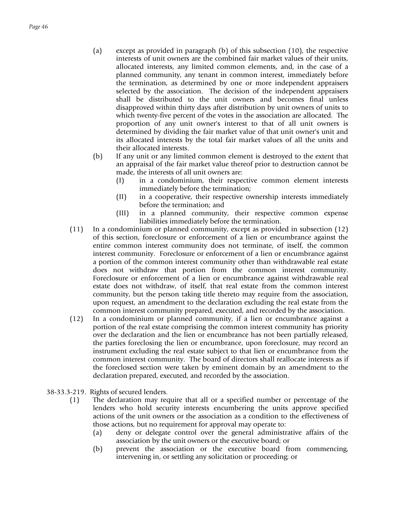- (a) except as provided in paragraph (b) of this subsection (10), the respective interests of unit owners are the combined fair market values of their units, allocated interests, any limited common elements, and, in the case of a planned community, any tenant in common interest, immediately before the termination, as determined by one or more independent appraisers selected by the association. The decision of the independent appraisers shall be distributed to the unit owners and becomes final unless disapproved within thirty days after distribution by unit owners of units to which twenty-five percent of the votes in the association are allocated. The proportion of any unit owner's interest to that of all unit owners is determined by dividing the fair market value of that unit owner's unit and its allocated interests by the total fair market values of all the units and their allocated interests.
- (b) If any unit or any limited common element is destroyed to the extent that an appraisal of the fair market value thereof prior to destruction cannot be made, the interests of all unit owners are:
	- (I) in a condominium, their respective common element interests immediately before the termination;
	- (II) in a cooperative, their respective ownership interests immediately before the termination; and
	- (III) in a planned community, their respective common expense liabilities immediately before the termination.
- (11) In a condominium or planned community, except as provided in subsection (12) of this section, foreclosure or enforcement of a lien or encumbrance against the entire common interest community does not terminate, of itself, the common interest community. Foreclosure or enforcement of a lien or encumbrance against a portion of the common interest community other than withdrawable real estate does not withdraw that portion from the common interest community. Foreclosure or enforcement of a lien or encumbrance against withdrawable real estate does not withdraw, of itself, that real estate from the common interest community, but the person taking title thereto may require from the association, upon request, an amendment to the declaration excluding the real estate from the common interest community prepared, executed, and recorded by the association.
- (12) In a condominium or planned community, if a lien or encumbrance against a portion of the real estate comprising the common interest community has priority over the declaration and the lien or encumbrance has not been partially released, the parties foreclosing the lien or encumbrance, upon foreclosure, may record an instrument excluding the real estate subject to that lien or encumbrance from the common interest community. The board of directors shall reallocate interests as if the foreclosed section were taken by eminent domain by an amendment to the declaration prepared, executed, and recorded by the association.
- 38-33.3-219. Rights of secured lenders.
	- (1) The declaration may require that all or a specified number or percentage of the lenders who hold security interests encumbering the units approve specified actions of the unit owners or the association as a condition to the effectiveness of those actions, but no requirement for approval may operate to:
		- (a) deny or delegate control over the general administrative affairs of the association by the unit owners or the executive board; or
		- (b) prevent the association or the executive board from commencing, intervening in, or settling any solicitation or proceeding; or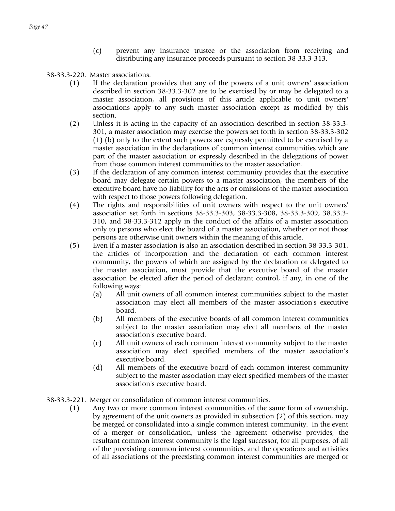- (c) prevent any insurance trustee or the association from receiving and distributing any insurance proceeds pursuant to section 38-33.3-313.
- 38-33.3-220. Master associations.
	- (1) If the declaration provides that any of the powers of a unit owners' association described in section 38-33.3-302 are to be exercised by or may be delegated to a master association, all provisions of this article applicable to unit owners' associations apply to any such master association except as modified by this section.
	- (2) Unless it is acting in the capacity of an association described in section 38-33.3- 301, a master association may exercise the powers set forth in section 38-33.3-302 (1) (b) only to the extent such powers are expressly permitted to be exercised by a master association in the declarations of common interest communities which are part of the master association or expressly described in the delegations of power from those common interest communities to the master association.
	- (3) If the declaration of any common interest community provides that the executive board may delegate certain powers to a master association, the members of the executive board have no liability for the acts or omissions of the master association with respect to those powers following delegation.
	- (4) The rights and responsibilities of unit owners with respect to the unit owners' association set forth in sections 38-33.3-303, 38-33.3-308, 38-33.3-309, 38.33.3- 310, and 38-33.3-312 apply in the conduct of the affairs of a master association only to persons who elect the board of a master association, whether or not those persons are otherwise unit owners within the meaning of this article.
	- (5) Even if a master association is also an association described in section 38-33.3-301, the articles of incorporation and the declaration of each common interest community, the powers of which are assigned by the declaration or delegated to the master association, must provide that the executive board of the master association be elected after the period of declarant control, if any, in one of the following ways:
		- (a) All unit owners of all common interest communities subject to the master association may elect all members of the master association's executive board.
		- (b) All members of the executive boards of all common interest communities subject to the master association may elect all members of the master association's executive board.
		- (c) All unit owners of each common interest community subject to the master association may elect specified members of the master association's executive board.
		- (d) All members of the executive board of each common interest community subject to the master association may elect specified members of the master association's executive board.
- 38-33.3-221. Merger or consolidation of common interest communities.
	- (1) Any two or more common interest communities of the same form of ownership, by agreement of the unit owners as provided in subsection (2) of this section, may be merged or consolidated into a single common interest community. In the event of a merger or consolidation, unless the agreement otherwise provides, the resultant common interest community is the legal successor, for all purposes, of all of the preexisting common interest communities, and the operations and activities of all associations of the preexisting common interest communities are merged or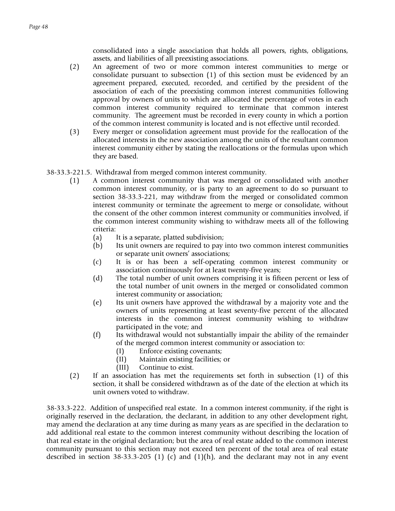consolidated into a single association that holds all powers, rights, obligations, assets, and liabilities of all preexisting associations.

- (2) An agreement of two or more common interest communities to merge or consolidate pursuant to subsection (1) of this section must be evidenced by an agreement prepared, executed, recorded, and certified by the president of the association of each of the preexisting common interest communities following approval by owners of units to which are allocated the percentage of votes in each common interest community required to terminate that common interest community. The agreement must be recorded in every county in which a portion of the common interest community is located and is not effective until recorded.
- (3) Every merger or consolidation agreement must provide for the reallocation of the allocated interests in the new association among the units of the resultant common interest community either by stating the reallocations or the formulas upon which they are based.

## 38-33.3-221.5. Withdrawal from merged common interest community.

- (1) A common interest community that was merged or consolidated with another common interest community, or is party to an agreement to do so pursuant to section 38-33.3-221, may withdraw from the merged or consolidated common interest community or terminate the agreement to merge or consolidate, without the consent of the other common interest community or communities involved, if the common interest community wishing to withdraw meets all of the following criteria:
	- (a) It is a separate, platted subdivision;
	- (b) Its unit owners are required to pay into two common interest communities or separate unit owners' associations;
	- (c) It is or has been a self-operating common interest community or association continuously for at least twenty-five years;
	- (d) The total number of unit owners comprising it is fifteen percent or less of the total number of unit owners in the merged or consolidated common interest community or association;
	- (e) Its unit owners have approved the withdrawal by a majority vote and the owners of units representing at least seventy-five percent of the allocated interests in the common interest community wishing to withdraw participated in the vote; and
	- (f) Its withdrawal would not substantially impair the ability of the remainder of the merged common interest community or association to:
		- (I) Enforce existing covenants;
		- (II) Maintain existing facilities; or
		- (III) Continue to exist.
- (2) If an association has met the requirements set forth in subsection (1) of this section, it shall be considered withdrawn as of the date of the election at which its unit owners voted to withdraw.

38-33.3-222. Addition of unspecified real estate. In a common interest community, if the right is originally reserved in the declaration, the declarant, in addition to any other development right, may amend the declaration at any time during as many years as are specified in the declaration to add additional real estate to the common interest community without describing the location of that real estate in the original declaration; but the area of real estate added to the common interest community pursuant to this section may not exceed ten percent of the total area of real estate described in section  $38-33.3-205$  (1) (c) and (1)(h), and the declarant may not in any event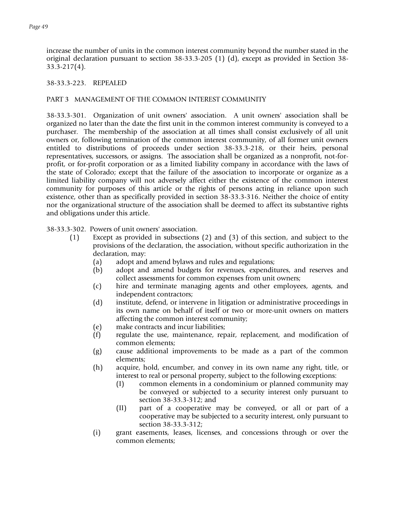increase the number of units in the common interest community beyond the number stated in the original declaration pursuant to section 38-33.3-205 (1) (d), except as provided in Section 38- 33.3-217(4).

38-33.3-223. REPEALED

## PART 3 MANAGEMENT OF THE COMMON INTEREST COMMUNITY

38-33.3-301. Organization of unit owners' association. A unit owners' association shall be organized no later than the date the first unit in the common interest community is conveyed to a purchaser. The membership of the association at all times shall consist exclusively of all unit owners or, following termination of the common interest community, of all former unit owners entitled to distributions of proceeds under section 38-33.3-218, or their heirs, personal representatives, successors, or assigns. The association shall be organized as a nonprofit, not-forprofit, or for-profit corporation or as a limited liability company in accordance with the laws of the state of Colorado; except that the failure of the association to incorporate or organize as a limited liability company will not adversely affect either the existence of the common interest community for purposes of this article or the rights of persons acting in reliance upon such existence, other than as specifically provided in section 38-33.3-316. Neither the choice of entity nor the organizational structure of the association shall be deemed to affect its substantive rights and obligations under this article.

38-33.3-302. Powers of unit owners' association.

- (1) Except as provided in subsections (2) and (3) of this section, and subject to the provisions of the declaration, the association, without specific authorization in the declaration, may:
	- (a) adopt and amend bylaws and rules and regulations;
	- (b) adopt and amend budgets for revenues, expenditures, and reserves and collect assessments for common expenses from unit owners;
	- (c) hire and terminate managing agents and other employees, agents, and independent contractors;
	- (d) institute, defend, or intervene in litigation or administrative proceedings in its own name on behalf of itself or two or more-unit owners on matters affecting the common interest community;
	- (e) make contracts and incur liabilities;
	- (f) regulate the use, maintenance, repair, replacement, and modification of common elements;
	- (g) cause additional improvements to be made as a part of the common elements;
	- (h) acquire, hold, encumber, and convey in its own name any right, title, or interest to real or personal property, subject to the following exceptions:
		- (I) common elements in a condominium or planned community may be conveyed or subjected to a security interest only pursuant to section 38-33.3-312; and
		- (II) part of a cooperative may be conveyed, or all or part of a cooperative may be subjected to a security interest, only pursuant to section 38-33.3-312;
	- (i) grant easements, leases, licenses, and concessions through or over the common elements;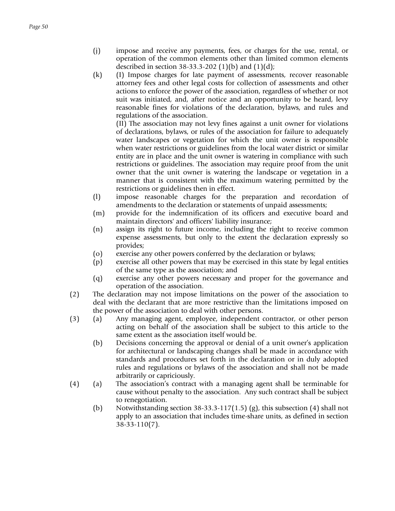- (j) impose and receive any payments, fees, or charges for the use, rental, or operation of the common elements other than limited common elements described in section 38-33.3-202 (1)(b) and (1)(d);
- (k) (I) Impose charges for late payment of assessments, recover reasonable attorney fees and other legal costs for collection of assessments and other actions to enforce the power of the association, regardless of whether or not suit was initiated, and, after notice and an opportunity to be heard, levy reasonable fines for violations of the declaration, bylaws, and rules and regulations of the association.

(II) The association may not levy fines against a unit owner for violations of declarations, bylaws, or rules of the association for failure to adequately water landscapes or vegetation for which the unit owner is responsible when water restrictions or guidelines from the local water district or similar entity are in place and the unit owner is watering in compliance with such restrictions or guidelines. The association may require proof from the unit owner that the unit owner is watering the landscape or vegetation in a manner that is consistent with the maximum watering permitted by the restrictions or guidelines then in effect.

- (l) impose reasonable charges for the preparation and recordation of amendments to the declaration or statements of unpaid assessments;
- (m) provide for the indemnification of its officers and executive board and maintain directors' and officers' liability insurance;
- (n) assign its right to future income, including the right to receive common expense assessments, but only to the extent the declaration expressly so provides;
- (o) exercise any other powers conferred by the declaration or bylaws;
- (p) exercise all other powers that may be exercised in this state by legal entities of the same type as the association; and
- (q) exercise any other powers necessary and proper for the governance and operation of the association.
- (2) The declaration may not impose limitations on the power of the association to deal with the declarant that are more restrictive than the limitations imposed on the power of the association to deal with other persons.
- (3) (a) Any managing agent, employee, independent contractor, or other person acting on behalf of the association shall be subject to this article to the same extent as the association itself would be.
	- (b) Decisions concerning the approval or denial of a unit owner's application for architectural or landscaping changes shall be made in accordance with standards and procedures set forth in the declaration or in duly adopted rules and regulations or bylaws of the association and shall not be made arbitrarily or capriciously.
- (4) (a) The association's contract with a managing agent shall be terminable for cause without penalty to the association. Any such contract shall be subject to renegotiation.
	- (b) Notwithstanding section 38-33.3-117(1.5) (g), this subsection (4) shall not apply to an association that includes time-share units, as defined in section 38-33-110(7).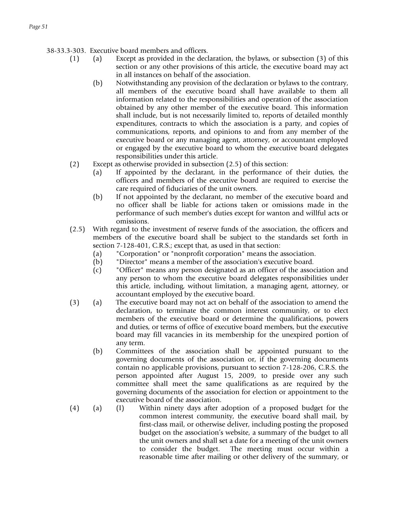- 38-33.3-303. Executive board members and officers.
	- (1) (a) Except as provided in the declaration, the bylaws, or subsection (3) of this section or any other provisions of this article, the executive board may act in all instances on behalf of the association.
		- (b) Notwithstanding any provision of the declaration or bylaws to the contrary, all members of the executive board shall have available to them all information related to the responsibilities and operation of the association obtained by any other member of the executive board. This information shall include, but is not necessarily limited to, reports of detailed monthly expenditures, contracts to which the association is a party, and copies of communications, reports, and opinions to and from any member of the executive board or any managing agent, attorney, or accountant employed or engaged by the executive board to whom the executive board delegates responsibilities under this article.
	- (2) Except as otherwise provided in subsection (2.5) of this section:
		- (a) If appointed by the declarant, in the performance of their duties, the officers and members of the executive board are required to exercise the care required of fiduciaries of the unit owners.
		- (b) If not appointed by the declarant, no member of the executive board and no officer shall be liable for actions taken or omissions made in the performance of such member's duties except for wanton and willful acts or omissions.
	- (2.5) With regard to the investment of reserve funds of the association, the officers and members of the executive board shall be subject to the standards set forth in section 7-128-401, C.R.S.; except that, as used in that section:
		- (a) "Corporation" or "nonprofit corporation" means the association.
		- (b) "Director" means a member of the association's executive board.
		- (c) "Officer" means any person designated as an officer of the association and any person to whom the executive board delegates responsibilities under this article, including, without limitation, a managing agent, attorney, or accountant employed by the executive board.
	- (3) (a) The executive board may not act on behalf of the association to amend the declaration, to terminate the common interest community, or to elect members of the executive board or determine the qualifications, powers and duties, or terms of office of executive board members, but the executive board may fill vacancies in its membership for the unexpired portion of any term.
		- (b) Committees of the association shall be appointed pursuant to the governing documents of the association or, if the governing documents contain no applicable provisions, pursuant to section 7-128-206, C.R.S. the person appointed after August 15, 2009, to preside over any such committee shall meet the same qualifications as are required by the governing documents of the association for election or appointment to the executive board of the association.
	- (4) (a) (I) Within ninety days after adoption of a proposed budget for the common interest community, the executive board shall mail, by first-class mail, or otherwise deliver, including posting the proposed budget on the association's website, a summary of the budget to all the unit owners and shall set a date for a meeting of the unit owners to consider the budget. The meeting must occur within a reasonable time after mailing or other delivery of the summary, or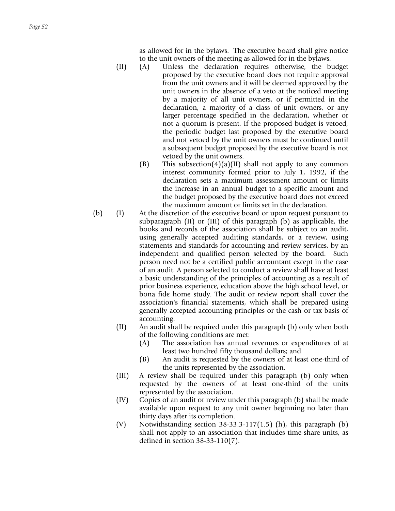as allowed for in the bylaws. The executive board shall give notice to the unit owners of the meeting as allowed for in the bylaws.

- (II) (A) Unless the declaration requires otherwise, the budget proposed by the executive board does not require approval from the unit owners and it will be deemed approved by the unit owners in the absence of a veto at the noticed meeting by a majority of all unit owners, or if permitted in the declaration, a majority of a class of unit owners, or any larger percentage specified in the declaration, whether or not a quorum is present. If the proposed budget is vetoed, the periodic budget last proposed by the executive board and not vetoed by the unit owners must be continued until a subsequent budget proposed by the executive board is not vetoed by the unit owners.
	- $(B)$  This subsection(4)(a)(II) shall not apply to any common interest community formed prior to July 1, 1992, if the declaration sets a maximum assessment amount or limits the increase in an annual budget to a specific amount and the budget proposed by the executive board does not exceed the maximum amount or limits set in the declaration.
- (b) (I) At the discretion of the executive board or upon request pursuant to subparagraph (II) or (III) of this paragraph (b) as applicable, the books and records of the association shall be subject to an audit, using generally accepted auditing standards, or a review, using statements and standards for accounting and review services, by an independent and qualified person selected by the board. Such person need not be a certified public accountant except in the case of an audit. A person selected to conduct a review shall have at least a basic understanding of the principles of accounting as a result of prior business experience, education above the high school level, or bona fide home study. The audit or review report shall cover the association's financial statements, which shall be prepared using generally accepted accounting principles or the cash or tax basis of accounting.
	- (II) An audit shall be required under this paragraph (b) only when both of the following conditions are met:
		- (A) The association has annual revenues or expenditures of at least two hundred fifty thousand dollars; and
		- (B) An audit is requested by the owners of at least one-third of the units represented by the association.
	- (III) A review shall be required under this paragraph (b) only when requested by the owners of at least one-third of the units represented by the association.
	- (IV) Copies of an audit or review under this paragraph (b) shall be made available upon request to any unit owner beginning no later than thirty days after its completion.
	- (V) Notwithstanding section 38-33.3-117(1.5) (h), this paragraph (b) shall not apply to an association that includes time-share units, as defined in section 38-33-110(7).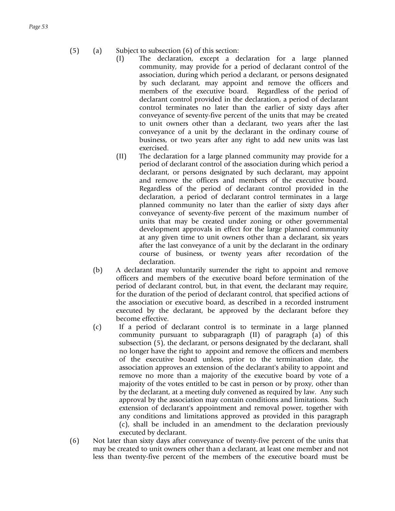- (5) (a) Subject to subsection (6) of this section:
	- (I) The declaration, except a declaration for a large planned community, may provide for a period of declarant control of the association, during which period a declarant, or persons designated by such declarant, may appoint and remove the officers and members of the executive board. Regardless of the period of declarant control provided in the declaration, a period of declarant control terminates no later than the earlier of sixty days after conveyance of seventy-five percent of the units that may be created to unit owners other than a declarant, two years after the last conveyance of a unit by the declarant in the ordinary course of business, or two years after any right to add new units was last exercised.
	- (II) The declaration for a large planned community may provide for a period of declarant control of the association during which period a declarant, or persons designated by such declarant, may appoint and remove the officers and members of the executive board. Regardless of the period of declarant control provided in the declaration, a period of declarant control terminates in a large planned community no later than the earlier of sixty days after conveyance of seventy-five percent of the maximum number of units that may be created under zoning or other governmental development approvals in effect for the large planned community at any given time to unit owners other than a declarant, six years after the last conveyance of a unit by the declarant in the ordinary course of business, or twenty years after recordation of the declaration.
	- (b) A declarant may voluntarily surrender the right to appoint and remove officers and members of the executive board before termination of the period of declarant control, but, in that event, the declarant may require, for the duration of the period of declarant control, that specified actions of the association or executive board, as described in a recorded instrument executed by the declarant, be approved by the declarant before they become effective.
	- (c) If a period of declarant control is to terminate in a large planned community pursuant to subparagraph (II) of paragraph (a) of this subsection (5), the declarant, or persons designated by the declarant, shall no longer have the right to appoint and remove the officers and members of the executive board unless, prior to the termination date, the association approves an extension of the declarant's ability to appoint and remove no more than a majority of the executive board by vote of a majority of the votes entitled to be cast in person or by proxy, other than by the declarant, at a meeting duly convened as required by law. Any such approval by the association may contain conditions and limitations. Such extension of declarant's appointment and removal power, together with any conditions and limitations approved as provided in this paragraph (c), shall be included in an amendment to the declaration previously executed by declarant.
- (6) Not later than sixty days after conveyance of twenty-five percent of the units that may be created to unit owners other than a declarant, at least one member and not less than twenty-five percent of the members of the executive board must be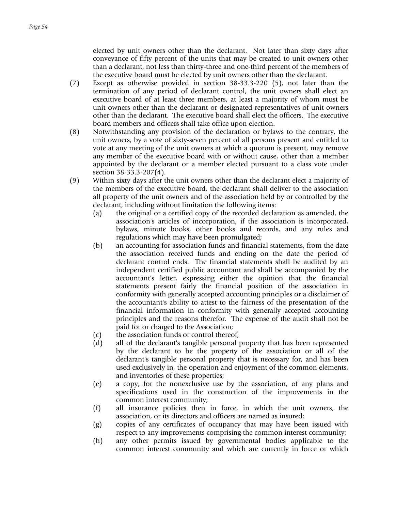elected by unit owners other than the declarant. Not later than sixty days after conveyance of fifty percent of the units that may be created to unit owners other than a declarant, not less than thirty-three and one-third percent of the members of the executive board must be elected by unit owners other than the declarant.

- (7) Except as otherwise provided in section 38-33.3-220 (5), not later than the termination of any period of declarant control, the unit owners shall elect an executive board of at least three members, at least a majority of whom must be unit owners other than the declarant or designated representatives of unit owners other than the declarant. The executive board shall elect the officers. The executive board members and officers shall take office upon election.
- (8) Notwithstanding any provision of the declaration or bylaws to the contrary, the unit owners, by a vote of sixty-seven percent of all persons present and entitled to vote at any meeting of the unit owners at which a quorum is present, may remove any member of the executive board with or without cause, other than a member appointed by the declarant or a member elected pursuant to a class vote under section 38-33.3-207(4).
- (9) Within sixty days after the unit owners other than the declarant elect a majority of the members of the executive board, the declarant shall deliver to the association all property of the unit owners and of the association held by or controlled by the declarant, including without limitation the following items:
	- (a) the original or a certified copy of the recorded declaration as amended, the association's articles of incorporation, if the association is incorporated, bylaws, minute books, other books and records, and any rules and regulations which may have been promulgated;
	- (b) an accounting for association funds and financial statements, from the date the association received funds and ending on the date the period of declarant control ends. The financial statements shall be audited by an independent certified public accountant and shall be accompanied by the accountant's letter, expressing either the opinion that the financial statements present fairly the financial position of the association in conformity with generally accepted accounting principles or a disclaimer of the accountant's ability to attest to the fairness of the presentation of the financial information in conformity with generally accepted accounting principles and the reasons therefor. The expense of the audit shall not be paid for or charged to the Association;
	- (c) the association funds or control thereof;
	- (d) all of the declarant's tangible personal property that has been represented by the declarant to be the property of the association or all of the declarant's tangible personal property that is necessary for, and has been used exclusively in, the operation and enjoyment of the common elements, and inventories of these properties;
	- (e) a copy, for the nonexclusive use by the association, of any plans and specifications used in the construction of the improvements in the common interest community;
	- (f) all insurance policies then in force, in which the unit owners, the association, or its directors and officers are named as insured;
	- (g) copies of any certificates of occupancy that may have been issued with respect to any improvements comprising the common interest community;
	- (h) any other permits issued by governmental bodies applicable to the common interest community and which are currently in force or which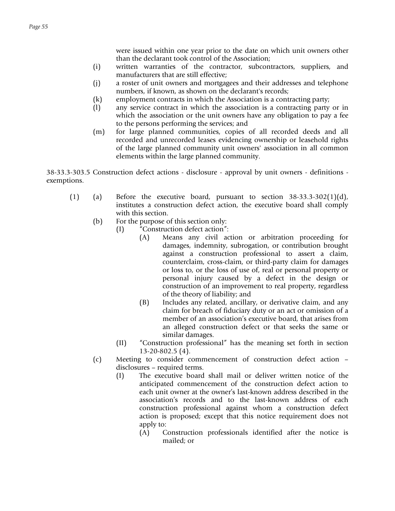were issued within one year prior to the date on which unit owners other than the declarant took control of the Association;

- (i) written warranties of the contractor, subcontractors, suppliers, and manufacturers that are still effective;
- (j) a roster of unit owners and mortgagees and their addresses and telephone numbers, if known, as shown on the declarant's records;
- (k) employment contracts in which the Association is a contracting party;
- (l) any service contract in which the association is a contracting party or in which the association or the unit owners have any obligation to pay a fee to the persons performing the services; and
- (m) for large planned communities, copies of all recorded deeds and all recorded and unrecorded leases evidencing ownership or leasehold rights of the large planned community unit owners' association in all common elements within the large planned community.

38-33.3-303.5 Construction defect actions - disclosure - approval by unit owners - definitions exemptions.

- (1) (a) Before the executive board, pursuant to section 38-33.3-302(1)(d), institutes a construction defect action, the executive board shall comply with this section.
	- (b) For the purpose of this section only:
		- (I) "Construction defect action":
			- (A) Means any civil action or arbitration proceeding for damages, indemnity, subrogation, or contribution brought against a construction professional to assert a claim, counterclaim, cross-claim, or third-party claim for damages or loss to, or the loss of use of, real or personal property or personal injury caused by a defect in the design or construction of an improvement to real property, regardless of the theory of liability; and
			- (B) Includes any related, ancillary, or derivative claim, and any claim for breach of fiduciary duty or an act or omission of a member of an association's executive board, that arises from an alleged construction defect or that seeks the same or similar damages.
		- (II) "Construction professional" has the meaning set forth in section 13-20-802.5 (4).
	- (c) Meeting to consider commencement of construction defect action disclosures – required terms.
		- (I) The executive board shall mail or deliver written notice of the anticipated commencement of the construction defect action to each unit owner at the owner's last-known address described in the association's records and to the last-known address of each construction professional against whom a construction defect action is proposed; except that this notice requirement does not apply to:
			- (A) Construction professionals identified after the notice is mailed; or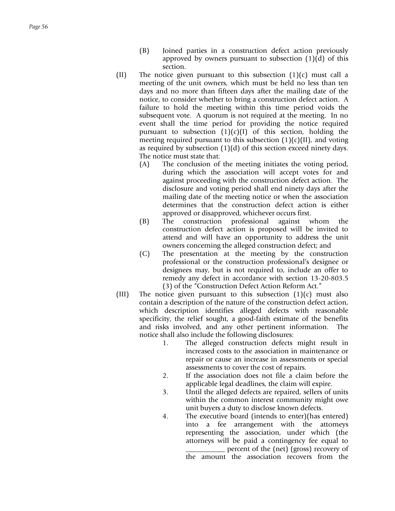- (B) Joined parties in a construction defect action previously approved by owners pursuant to subsection (1)(d) of this section.
- (II) The notice given pursuant to this subsection  $(1)(c)$  must call a meeting of the unit owners, which must be held no less than ten days and no more than fifteen days after the mailing date of the notice, to consider whether to bring a construction defect action. A failure to hold the meeting within this time period voids the subsequent vote. A quorum is not required at the meeting. In no event shall the time period for providing the notice required pursuant to subsection  $(1)(c)(I)$  of this section, holding the meeting required pursuant to this subsection  $(1)(c)(II)$ , and voting as required by subsection  $(1)(d)$  of this section exceed ninety days. The notice must state that:
	- (A) The conclusion of the meeting initiates the voting period, during which the association will accept votes for and against proceeding with the construction defect action. The disclosure and voting period shall end ninety days after the mailing date of the meeting notice or when the association determines that the construction defect action is either approved or disapproved, whichever occurs first.
	- (B) The construction professional against whom the construction defect action is proposed will be invited to attend and will have an opportunity to address the unit owners concerning the alleged construction defect; and
	- (C) The presentation at the meeting by the construction professional or the construction professional's designee or designees may, but is not required to, include an offer to remedy any defect in accordance with section 13-20-803.5 (3) of the "Construction Defect Action Reform Act."
- (III) The notice given pursuant to this subsection (1)(c) must also contain a description of the nature of the construction defect action, which description identifies alleged defects with reasonable specificity, the relief sought, a good-faith estimate of the benefits and risks involved, and any other pertinent information. The notice shall also include the following disclosures:
	- 1. The alleged construction defects might result in increased costs to the association in maintenance or repair or cause an increase in assessments or special assessments to cover the cost of repairs.
	- 2. If the association does not file a claim before the applicable legal deadlines, the claim will expire.
	- 3. Until the alleged defects are repaired, sellers of units within the common interest community might owe unit buyers a duty to disclose known defects.
	- 4. The executive board (intends to enter)(has entered) into a fee arrangement with the attorneys representing the association, under which (the attorneys will be paid a contingency fee equal to \_\_\_\_\_\_\_\_\_\_\_ percent of the (net) (gross) recovery of the amount the association recovers from the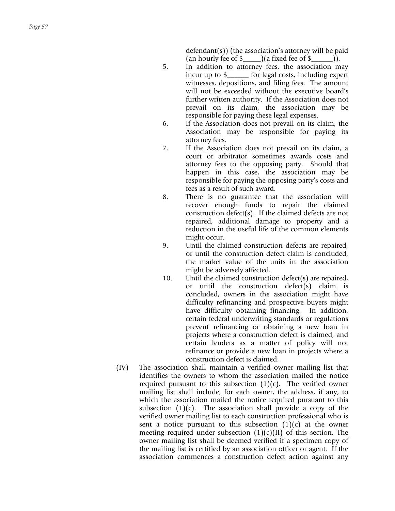- 5. In addition to attorney fees, the association may incur up to \$\_\_\_\_\_\_ for legal costs, including expert witnesses, depositions, and filing fees. The amount will not be exceeded without the executive board's further written authority. If the Association does not prevail on its claim, the association may be responsible for paying these legal expenses.
- 6. If the Association does not prevail on its claim, the Association may be responsible for paying its attorney fees.
- 7. If the Association does not prevail on its claim, a court or arbitrator sometimes awards costs and attorney fees to the opposing party. Should that happen in this case, the association may be responsible for paying the opposing party's costs and fees as a result of such award.
- 8. There is no guarantee that the association will recover enough funds to repair the claimed construction defect(s). If the claimed defects are not repaired, additional damage to property and a reduction in the useful life of the common elements might occur.
- 9. Until the claimed construction defects are repaired, or until the construction defect claim is concluded, the market value of the units in the association might be adversely affected.
- 10. Until the claimed construction defect(s) are repaired, or until the construction defect(s) claim is concluded, owners in the association might have difficulty refinancing and prospective buyers might have difficulty obtaining financing. In addition, certain federal underwriting standards or regulations prevent refinancing or obtaining a new loan in projects where a construction defect is claimed, and certain lenders as a matter of policy will not refinance or provide a new loan in projects where a construction defect is claimed.
- (IV) The association shall maintain a verified owner mailing list that identifies the owners to whom the association mailed the notice required pursuant to this subsection  $(1)(c)$ . The verified owner mailing list shall include, for each owner, the address, if any, to which the association mailed the notice required pursuant to this subsection  $(1)(c)$ . The association shall provide a copy of the verified owner mailing list to each construction professional who is sent a notice pursuant to this subsection  $(1)(c)$  at the owner meeting required under subsection  $(1)(c)(II)$  of this section. The owner mailing list shall be deemed verified if a specimen copy of the mailing list is certified by an association officer or agent. If the association commences a construction defect action against any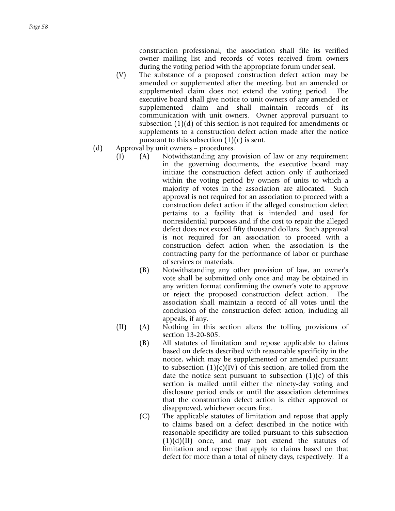construction professional, the association shall file its verified owner mailing list and records of votes received from owners during the voting period with the appropriate forum under seal.

- (V) The substance of a proposed construction defect action may be amended or supplemented after the meeting, but an amended or supplemented claim does not extend the voting period. The executive board shall give notice to unit owners of any amended or supplemented claim and shall maintain records of its communication with unit owners. Owner approval pursuant to subsection (1)(d) of this section is not required for amendments or supplements to a construction defect action made after the notice pursuant to this subsection  $(1)(c)$  is sent.
- (d) Approval by unit owners procedures.
	- (I) (A) Notwithstanding any provision of law or any requirement in the governing documents, the executive board may initiate the construction defect action only if authorized within the voting period by owners of units to which a majority of votes in the association are allocated. Such approval is not required for an association to proceed with a construction defect action if the alleged construction defect pertains to a facility that is intended and used for nonresidential purposes and if the cost to repair the alleged defect does not exceed fifty thousand dollars. Such approval is not required for an association to proceed with a construction defect action when the association is the contracting party for the performance of labor or purchase of services or materials.
		- (B) Notwithstanding any other provision of law, an owner's vote shall be submitted only once and may be obtained in any written format confirming the owner's vote to approve or reject the proposed construction defect action. The association shall maintain a record of all votes until the conclusion of the construction defect action, including all appeals, if any.
	- (II) (A) Nothing in this section alters the tolling provisions of section 13-20-805.
		- (B) All statutes of limitation and repose applicable to claims based on defects described with reasonable specificity in the notice, which may be supplemented or amended pursuant to subsection  $(1)(c)(IV)$  of this section, are tolled from the date the notice sent pursuant to subsection  $(1)(c)$  of this section is mailed until either the ninety-day voting and disclosure period ends or until the association determines that the construction defect action is either approved or disapproved, whichever occurs first.
		- (C) The applicable statutes of limitation and repose that apply to claims based on a defect described in the notice with reasonable specificity are tolled pursuant to this subsection (1)(d)(II) once, and may not extend the statutes of limitation and repose that apply to claims based on that defect for more than a total of ninety days, respectively. If a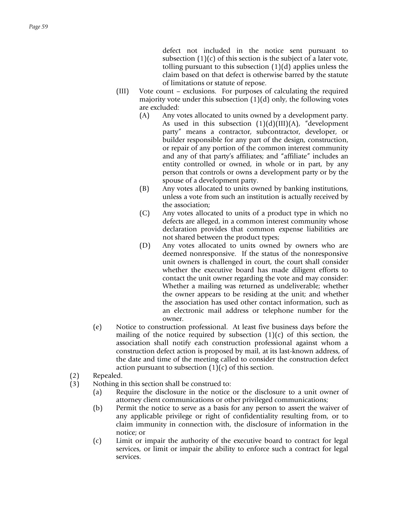defect not included in the notice sent pursuant to subsection  $(1)(c)$  of this section is the subject of a later vote, tolling pursuant to this subsection (1)(d) applies unless the claim based on that defect is otherwise barred by the statute of limitations or statute of repose.

- (III) Vote count exclusions. For purposes of calculating the required majority vote under this subsection (1)(d) only, the following votes are excluded:
	- (A) Any votes allocated to units owned by a development party. As used in this subsection  $(1)(d)(III)(A)$ , "development party" means a contractor, subcontractor, developer, or builder responsible for any part of the design, construction, or repair of any portion of the common interest community and any of that party's affiliates; and "affiliate" includes an entity controlled or owned, in whole or in part, by any person that controls or owns a development party or by the spouse of a development party.
		- (B) Any votes allocated to units owned by banking institutions, unless a vote from such an institution is actually received by the association;
		- (C) Any votes allocated to units of a product type in which no defects are alleged, in a common interest community whose declaration provides that common expense liabilities are not shared between the product types;
		- (D) Any votes allocated to units owned by owners who are deemed nonresponsive. If the status of the nonresponsive unit owners is challenged in court, the court shall consider whether the executive board has made diligent efforts to contact the unit owner regarding the vote and may consider: Whether a mailing was returned as undeliverable; whether the owner appears to be residing at the unit; and whether the association has used other contact information, such as an electronic mail address or telephone number for the owner.
- (e) Notice to construction professional. At least five business days before the mailing of the notice required by subsection  $(1)(c)$  of this section, the association shall notify each construction professional against whom a construction defect action is proposed by mail, at its last-known address, of the date and time of the meeting called to consider the construction defect action pursuant to subsection  $(1)(c)$  of this section.
- (2) Repealed.
- (3) Nothing in this section shall be construed to:
	- (a) Require the disclosure in the notice or the disclosure to a unit owner of attorney client communications or other privileged communications;
	- (b) Permit the notice to serve as a basis for any person to assert the waiver of any applicable privilege or right of confidentiality resulting from, or to claim immunity in connection with, the disclosure of information in the notice; or
	- (c) Limit or impair the authority of the executive board to contract for legal services, or limit or impair the ability to enforce such a contract for legal services.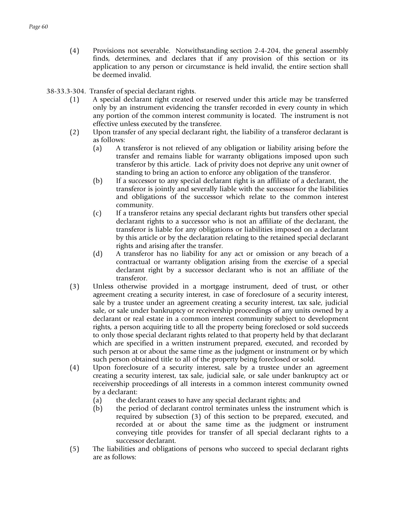- (4) Provisions not severable. Notwithstanding section 2-4-204, the general assembly finds, determines, and declares that if any provision of this section or its application to any person or circumstance is held invalid, the entire section shall be deemed invalid.
- 38-33.3-304. Transfer of special declarant rights.
	- (1) A special declarant right created or reserved under this article may be transferred only by an instrument evidencing the transfer recorded in every county in which any portion of the common interest community is located. The instrument is not effective unless executed by the transferee.
	- (2) Upon transfer of any special declarant right, the liability of a transferor declarant is as follows:
		- (a) A transferor is not relieved of any obligation or liability arising before the transfer and remains liable for warranty obligations imposed upon such transferor by this article. Lack of privity does not deprive any unit owner of standing to bring an action to enforce any obligation of the transferor.
		- (b) If a successor to any special declarant right is an affiliate of a declarant, the transferor is jointly and severally liable with the successor for the liabilities and obligations of the successor which relate to the common interest community.
		- (c) If a transferor retains any special declarant rights but transfers other special declarant rights to a successor who is not an affiliate of the declarant, the transferor is liable for any obligations or liabilities imposed on a declarant by this article or by the declaration relating to the retained special declarant rights and arising after the transfer.
		- (d) A transferor has no liability for any act or omission or any breach of a contractual or warranty obligation arising from the exercise of a special declarant right by a successor declarant who is not an affiliate of the transferor.
	- (3) Unless otherwise provided in a mortgage instrument, deed of trust, or other agreement creating a security interest, in case of foreclosure of a security interest, sale by a trustee under an agreement creating a security interest, tax sale, judicial sale, or sale under bankruptcy or receivership proceedings of any units owned by a declarant or real estate in a common interest community subject to development rights, a person acquiring title to all the property being foreclosed or sold succeeds to only those special declarant rights related to that property held by that declarant which are specified in a written instrument prepared, executed, and recorded by such person at or about the same time as the judgment or instrument or by which such person obtained title to all of the property being foreclosed or sold.
	- (4) Upon foreclosure of a security interest, sale by a trustee under an agreement creating a security interest, tax sale, judicial sale, or sale under bankruptcy act or receivership proceedings of all interests in a common interest community owned by a declarant:
		- (a) the declarant ceases to have any special declarant rights; and
		- (b) the period of declarant control terminates unless the instrument which is required by subsection (3) of this section to be prepared, executed, and recorded at or about the same time as the judgment or instrument conveying title provides for transfer of all special declarant rights to a successor declarant.
	- (5) The liabilities and obligations of persons who succeed to special declarant rights are as follows: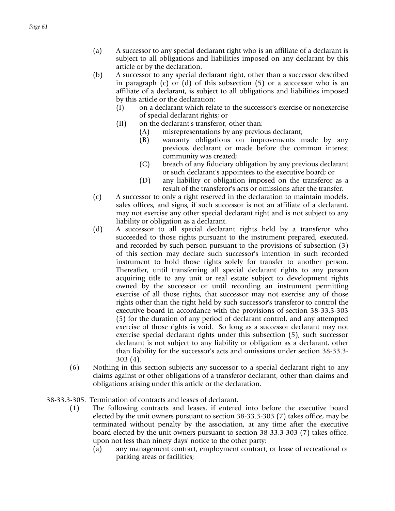- (a) A successor to any special declarant right who is an affiliate of a declarant is subject to all obligations and liabilities imposed on any declarant by this article or by the declaration.
- (b) A successor to any special declarant right, other than a successor described in paragraph (c) or (d) of this subsection (5) or a successor who is an affiliate of a declarant, is subject to all obligations and liabilities imposed by this article or the declaration:
	- (I) on a declarant which relate to the successor's exercise or nonexercise of special declarant rights; or
	- (II) on the declarant's transferor, other than:
		- (A) misrepresentations by any previous declarant;
		- (B) warranty obligations on improvements made by any previous declarant or made before the common interest community was created;
		- (C) breach of any fiduciary obligation by any previous declarant or such declarant's appointees to the executive board; or
		- (D) any liability or obligation imposed on the transferor as a result of the transferor's acts or omissions after the transfer.
- (c) A successor to only a right reserved in the declaration to maintain models, sales offices, and signs, if such successor is not an affiliate of a declarant, may not exercise any other special declarant right and is not subject to any liability or obligation as a declarant.
- (d) A successor to all special declarant rights held by a transferor who succeeded to those rights pursuant to the instrument prepared, executed, and recorded by such person pursuant to the provisions of subsection (3) of this section may declare such successor's intention in such recorded instrument to hold those rights solely for transfer to another person. Thereafter, until transferring all special declarant rights to any person acquiring title to any unit or real estate subject to development rights owned by the successor or until recording an instrument permitting exercise of all those rights, that successor may not exercise any of those rights other than the right held by such successor's transferor to control the executive board in accordance with the provisions of section 38-33.3-303 (5) for the duration of any period of declarant control, and any attempted exercise of those rights is void. So long as a successor declarant may not exercise special declarant rights under this subsection (5), such successor declarant is not subject to any liability or obligation as a declarant, other than liability for the successor's acts and omissions under section 38-33.3- 303 (4).
- (6) Nothing in this section subjects any successor to a special declarant right to any claims against or other obligations of a transferor declarant, other than claims and obligations arising under this article or the declaration.

## 38-33.3-305. Termination of contracts and leases of declarant.

- (1) The following contracts and leases, if entered into before the executive board elected by the unit owners pursuant to section 38-33.3-303 (7) takes office, may be terminated without penalty by the association, at any time after the executive board elected by the unit owners pursuant to section 38-33.3-303 (7) takes office, upon not less than ninety days' notice to the other party:
	- (a) any management contract, employment contract, or lease of recreational or parking areas or facilities;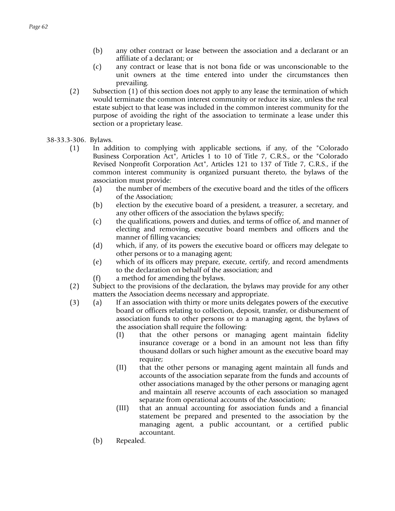- (b) any other contract or lease between the association and a declarant or an affiliate of a declarant; or
- (c) any contract or lease that is not bona fide or was unconscionable to the unit owners at the time entered into under the circumstances then prevailing.
- (2) Subsection (1) of this section does not apply to any lease the termination of which would terminate the common interest community or reduce its size, unless the real estate subject to that lease was included in the common interest community for the purpose of avoiding the right of the association to terminate a lease under this section or a proprietary lease.
- 38-33.3-306. Bylaws.
	- (1) In addition to complying with applicable sections, if any, of the "Colorado Business Corporation Act", Articles 1 to 10 of Title 7, C.R.S., or the "Colorado Revised Nonprofit Corporation Act", Articles 121 to 137 of Title 7, C.R.S., if the common interest community is organized pursuant thereto, the bylaws of the association must provide:
		- (a) the number of members of the executive board and the titles of the officers of the Association;
		- (b) election by the executive board of a president, a treasurer, a secretary, and any other officers of the association the bylaws specify;
		- (c) the qualifications, powers and duties, and terms of office of, and manner of electing and removing, executive board members and officers and the manner of filling vacancies;
		- (d) which, if any, of its powers the executive board or officers may delegate to other persons or to a managing agent;
		- (e) which of its officers may prepare, execute, certify, and record amendments to the declaration on behalf of the association; and
		- (f) a method for amending the bylaws.
	- (2) Subject to the provisions of the declaration, the bylaws may provide for any other matters the Association deems necessary and appropriate.
	- (3) (a) If an association with thirty or more units delegates powers of the executive board or officers relating to collection, deposit, transfer, or disbursement of association funds to other persons or to a managing agent, the bylaws of the association shall require the following:
		- (I) that the other persons or managing agent maintain fidelity insurance coverage or a bond in an amount not less than fifty thousand dollars or such higher amount as the executive board may require;
		- (II) that the other persons or managing agent maintain all funds and accounts of the association separate from the funds and accounts of other associations managed by the other persons or managing agent and maintain all reserve accounts of each association so managed separate from operational accounts of the Association;
		- (III) that an annual accounting for association funds and a financial statement be prepared and presented to the association by the managing agent, a public accountant, or a certified public accountant.
		- (b) Repealed.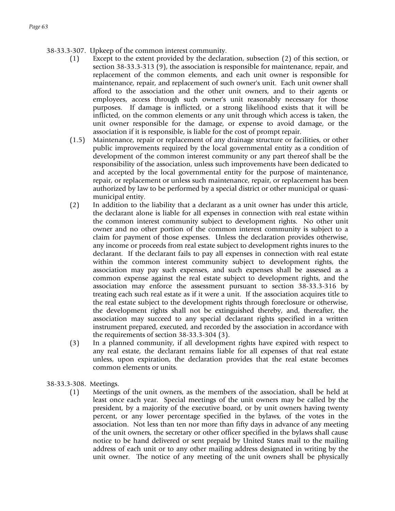- 38-33.3-307. Upkeep of the common interest community.
	- (1) Except to the extent provided by the declaration, subsection (2) of this section, or section 38-33.3-313 (9), the association is responsible for maintenance, repair, and replacement of the common elements, and each unit owner is responsible for maintenance, repair, and replacement of such owner's unit. Each unit owner shall afford to the association and the other unit owners, and to their agents or employees, access through such owner's unit reasonably necessary for those purposes. If damage is inflicted, or a strong likelihood exists that it will be inflicted, on the common elements or any unit through which access is taken, the unit owner responsible for the damage, or expense to avoid damage, or the association if it is responsible, is liable for the cost of prompt repair.
	- (1.5) Maintenance, repair or replacement of any drainage structure or facilities, or other public improvements required by the local governmental entity as a condition of development of the common interest community or any part thereof shall be the responsibility of the association, unless such improvements have been dedicated to and accepted by the local governmental entity for the purpose of maintenance, repair, or replacement or unless such maintenance, repair, or replacement has been authorized by law to be performed by a special district or other municipal or quasimunicipal entity.
	- (2) In addition to the liability that a declarant as a unit owner has under this article, the declarant alone is liable for all expenses in connection with real estate within the common interest community subject to development rights. No other unit owner and no other portion of the common interest community is subject to a claim for payment of those expenses. Unless the declaration provides otherwise, any income or proceeds from real estate subject to development rights inures to the declarant. If the declarant fails to pay all expenses in connection with real estate within the common interest community subject to development rights, the association may pay such expenses, and such expenses shall be assessed as a common expense against the real estate subject to development rights, and the association may enforce the assessment pursuant to section 38-33.3-316 by treating each such real estate as if it were a unit. If the association acquires title to the real estate subject to the development rights through foreclosure or otherwise, the development rights shall not be extinguished thereby, and, thereafter, the association may succeed to any special declarant rights specified in a written instrument prepared, executed, and recorded by the association in accordance with the requirements of section 38-33.3-304 (3).
	- (3) In a planned community, if all development rights have expired with respect to any real estate, the declarant remains liable for all expenses of that real estate unless, upon expiration, the declaration provides that the real estate becomes common elements or units.
- 38-33.3-308. Meetings.
	- (1) Meetings of the unit owners, as the members of the association, shall be held at least once each year. Special meetings of the unit owners may be called by the president, by a majority of the executive board, or by unit owners having twenty percent, or any lower percentage specified in the bylaws, of the votes in the association. Not less than ten nor more than fifty days in advance of any meeting of the unit owners, the secretary or other officer specified in the bylaws shall cause notice to be hand delivered or sent prepaid by United States mail to the mailing address of each unit or to any other mailing address designated in writing by the unit owner. The notice of any meeting of the unit owners shall be physically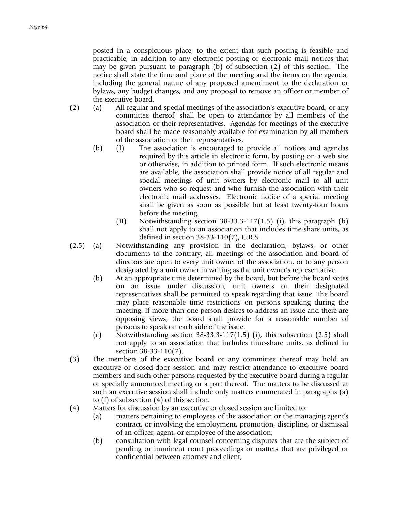posted in a conspicuous place, to the extent that such posting is feasible and practicable, in addition to any electronic posting or electronic mail notices that may be given pursuant to paragraph (b) of subsection (2) of this section. The notice shall state the time and place of the meeting and the items on the agenda, including the general nature of any proposed amendment to the declaration or bylaws, any budget changes, and any proposal to remove an officer or member of the executive board.

- (2) (a) All regular and special meetings of the association's executive board, or any committee thereof, shall be open to attendance by all members of the association or their representatives. Agendas for meetings of the executive board shall be made reasonably available for examination by all members of the association or their representatives.
	- (b) (I) The association is encouraged to provide all notices and agendas required by this article in electronic form, by posting on a web site or otherwise, in addition to printed form. If such electronic means are available, the association shall provide notice of all regular and special meetings of unit owners by electronic mail to all unit owners who so request and who furnish the association with their electronic mail addresses. Electronic notice of a special meeting shall be given as soon as possible but at least twenty-four hours before the meeting.
		- (II) Notwithstanding section 38-33.3-117(1.5) (i), this paragraph (b) shall not apply to an association that includes time-share units, as defined in section 38-33-110(7), C.R.S.
- (2.5) (a) Notwithstanding any provision in the declaration, bylaws, or other documents to the contrary, all meetings of the association and board of directors are open to every unit owner of the association, or to any person designated by a unit owner in writing as the unit owner's representative.
	- (b) At an appropriate time determined by the board, but before the board votes on an issue under discussion, unit owners or their designated representatives shall be permitted to speak regarding that issue. The board may place reasonable time restrictions on persons speaking during the meeting. If more than one-person desires to address an issue and there are opposing views, the board shall provide for a reasonable number of persons to speak on each side of the issue.
	- (c) Notwithstanding section 38-33.3-117(1.5) (i), this subsection (2.5) shall not apply to an association that includes time-share units, as defined in section 38-33-110(7).
- (3) The members of the executive board or any committee thereof may hold an executive or closed-door session and may restrict attendance to executive board members and such other persons requested by the executive board during a regular or specially announced meeting or a part thereof. The matters to be discussed at such an executive session shall include only matters enumerated in paragraphs (a) to (f) of subsection (4) of this section.
- (4) Matters for discussion by an executive or closed session are limited to:
	- (a) matters pertaining to employees of the association or the managing agent's contract, or involving the employment, promotion, discipline, or dismissal of an officer, agent, or employee of the association;
	- (b) consultation with legal counsel concerning disputes that are the subject of pending or imminent court proceedings or matters that are privileged or confidential between attorney and client;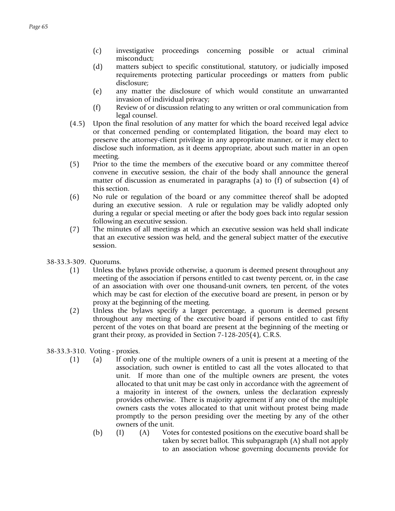- (c) investigative proceedings concerning possible or actual criminal misconduct;
- (d) matters subject to specific constitutional, statutory, or judicially imposed requirements protecting particular proceedings or matters from public disclosure;
- (e) any matter the disclosure of which would constitute an unwarranted invasion of individual privacy;
- (f) Review of or discussion relating to any written or oral communication from legal counsel.
- (4.5) Upon the final resolution of any matter for which the board received legal advice or that concerned pending or contemplated litigation, the board may elect to preserve the attorney-client privilege in any appropriate manner, or it may elect to disclose such information, as it deems appropriate, about such matter in an open meeting.
- (5) Prior to the time the members of the executive board or any committee thereof convene in executive session, the chair of the body shall announce the general matter of discussion as enumerated in paragraphs (a) to (f) of subsection (4) of this section.
- (6) No rule or regulation of the board or any committee thereof shall be adopted during an executive session. A rule or regulation may be validly adopted only during a regular or special meeting or after the body goes back into regular session following an executive session.
- (7) The minutes of all meetings at which an executive session was held shall indicate that an executive session was held, and the general subject matter of the executive session.
- 38-33.3-309. Quorums.
	- (1) Unless the bylaws provide otherwise, a quorum is deemed present throughout any meeting of the association if persons entitled to cast twenty percent, or, in the case of an association with over one thousand-unit owners, ten percent, of the votes which may be cast for election of the executive board are present, in person or by proxy at the beginning of the meeting.
	- (2) Unless the bylaws specify a larger percentage, a quorum is deemed present throughout any meeting of the executive board if persons entitled to cast fifty percent of the votes on that board are present at the beginning of the meeting or grant their proxy, as provided in Section 7-128-205(4), C.R.S.
- 38-33.3-310. Voting proxies.
	- (1) (a) If only one of the multiple owners of a unit is present at a meeting of the association, such owner is entitled to cast all the votes allocated to that unit. If more than one of the multiple owners are present, the votes allocated to that unit may be cast only in accordance with the agreement of a majority in interest of the owners, unless the declaration expressly provides otherwise. There is majority agreement if any one of the multiple owners casts the votes allocated to that unit without protest being made promptly to the person presiding over the meeting by any of the other owners of the unit.
		- (b) (I) (A) Votes for contested positions on the executive board shall be taken by secret ballot. This subparagraph (A) shall not apply to an association whose governing documents provide for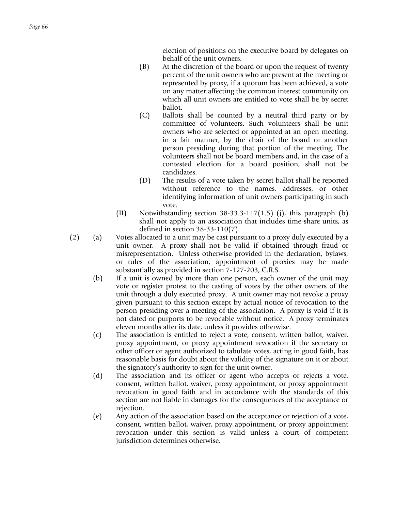election of positions on the executive board by delegates on behalf of the unit owners.

- (B) At the discretion of the board or upon the request of twenty percent of the unit owners who are present at the meeting or represented by proxy, if a quorum has been achieved, a vote on any matter affecting the common interest community on which all unit owners are entitled to vote shall be by secret ballot.
- (C) Ballots shall be counted by a neutral third party or by committee of volunteers. Such volunteers shall be unit owners who are selected or appointed at an open meeting, in a fair manner, by the chair of the board or another person presiding during that portion of the meeting. The volunteers shall not be board members and, in the case of a contested election for a board position, shall not be candidates.
- (D) The results of a vote taken by secret ballot shall be reported without reference to the names, addresses, or other identifying information of unit owners participating in such vote.
- (II) Notwithstanding section 38-33.3-117(1.5) (j), this paragraph (b) shall not apply to an association that includes time-share units, as defined in section 38-33-110(7).
- (2) (a) Votes allocated to a unit may be cast pursuant to a proxy duly executed by a unit owner. A proxy shall not be valid if obtained through fraud or misrepresentation. Unless otherwise provided in the declaration, bylaws, or rules of the association, appointment of proxies may be made substantially as provided in section 7-127-203, C.R.S.
	- (b) If a unit is owned by more than one person, each owner of the unit may vote or register protest to the casting of votes by the other owners of the unit through a duly executed proxy. A unit owner may not revoke a proxy given pursuant to this section except by actual notice of revocation to the person presiding over a meeting of the association. A proxy is void if it is not dated or purports to be revocable without notice. A proxy terminates eleven months after its date, unless it provides otherwise.
	- (c) The association is entitled to reject a vote, consent, written ballot, waiver, proxy appointment, or proxy appointment revocation if the secretary or other officer or agent authorized to tabulate votes, acting in good faith, has reasonable basis for doubt about the validity of the signature on it or about the signatory's authority to sign for the unit owner.
	- (d) The association and its officer or agent who accepts or rejects a vote, consent, written ballot, waiver, proxy appointment, or proxy appointment revocation in good faith and in accordance with the standards of this section are not liable in damages for the consequences of the acceptance or rejection.
	- (e) Any action of the association based on the acceptance or rejection of a vote, consent, written ballot, waiver, proxy appointment, or proxy appointment revocation under this section is valid unless a court of competent jurisdiction determines otherwise.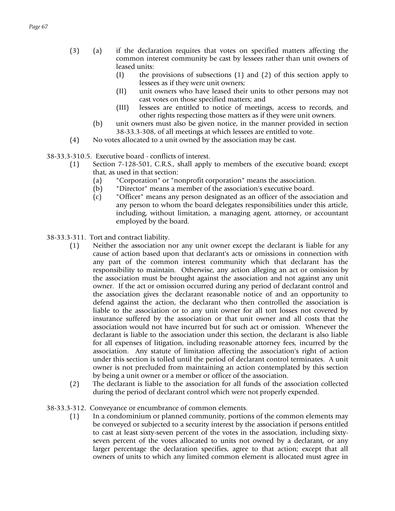- (3) (a) if the declaration requires that votes on specified matters affecting the common interest community be cast by lessees rather than unit owners of leased units:
	- (I) the provisions of subsections (1) and (2) of this section apply to lessees as if they were unit owners;
	- (II) unit owners who have leased their units to other persons may not cast votes on those specified matters; and
	- (III) lessees are entitled to notice of meetings, access to records, and other rights respecting those matters as if they were unit owners.
	- (b) unit owners must also be given notice, in the manner provided in section 38-33.3-308, of all meetings at which lessees are entitled to vote.
- (4) No votes allocated to a unit owned by the association may be cast.

38-33.3-310.5. Executive board - conflicts of interest.

- (1) Section 7-128-501, C.R.S., shall apply to members of the executive board; except that, as used in that section:
	- (a) "Corporation" or "nonprofit corporation" means the association.
	- (b) "Director" means a member of the association's executive board.
	- (c) "Officer" means any person designated as an officer of the association and any person to whom the board delegates responsibilities under this article, including, without limitation, a managing agent, attorney, or accountant employed by the board.
- 38-33.3-311. Tort and contract liability.
	- (1) Neither the association nor any unit owner except the declarant is liable for any cause of action based upon that declarant's acts or omissions in connection with any part of the common interest community which that declarant has the responsibility to maintain. Otherwise, any action alleging an act or omission by the association must be brought against the association and not against any unit owner. If the act or omission occurred during any period of declarant control and the association gives the declarant reasonable notice of and an opportunity to defend against the action, the declarant who then controlled the association is liable to the association or to any unit owner for all tort losses not covered by insurance suffered by the association or that unit owner and all costs that the association would not have incurred but for such act or omission. Whenever the declarant is liable to the association under this section, the declarant is also liable for all expenses of litigation, including reasonable attorney fees, incurred by the association. Any statute of limitation affecting the association's right of action under this section is tolled until the period of declarant control terminates. A unit owner is not precluded from maintaining an action contemplated by this section by being a unit owner or a member or officer of the association.
	- (2) The declarant is liable to the association for all funds of the association collected during the period of declarant control which were not properly expended.
- 38-33.3-312. Conveyance or encumbrance of common elements.
	- (1) In a condominium or planned community, portions of the common elements may be conveyed or subjected to a security interest by the association if persons entitled to cast at least sixty-seven percent of the votes in the association, including sixtyseven percent of the votes allocated to units not owned by a declarant, or any larger percentage the declaration specifies, agree to that action; except that all owners of units to which any limited common element is allocated must agree in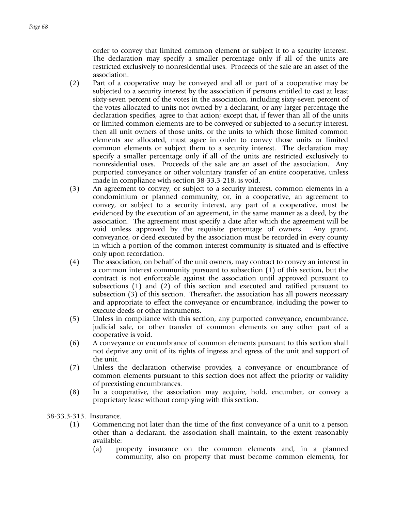order to convey that limited common element or subject it to a security interest. The declaration may specify a smaller percentage only if all of the units are restricted exclusively to nonresidential uses. Proceeds of the sale are an asset of the association.

- (2) Part of a cooperative may be conveyed and all or part of a cooperative may be subjected to a security interest by the association if persons entitled to cast at least sixty-seven percent of the votes in the association, including sixty-seven percent of the votes allocated to units not owned by a declarant, or any larger percentage the declaration specifies, agree to that action; except that, if fewer than all of the units or limited common elements are to be conveyed or subjected to a security interest, then all unit owners of those units, or the units to which those limited common elements are allocated, must agree in order to convey those units or limited common elements or subject them to a security interest. The declaration may specify a smaller percentage only if all of the units are restricted exclusively to nonresidential uses. Proceeds of the sale are an asset of the association. Any purported conveyance or other voluntary transfer of an entire cooperative, unless made in compliance with section 38-33.3-218, is void.
- (3) An agreement to convey, or subject to a security interest, common elements in a condominium or planned community, or, in a cooperative, an agreement to convey, or subject to a security interest, any part of a cooperative, must be evidenced by the execution of an agreement, in the same manner as a deed, by the association. The agreement must specify a date after which the agreement will be void unless approved by the requisite percentage of owners. Any grant, conveyance, or deed executed by the association must be recorded in every county in which a portion of the common interest community is situated and is effective only upon recordation.
- (4) The association, on behalf of the unit owners, may contract to convey an interest in a common interest community pursuant to subsection (1) of this section, but the contract is not enforceable against the association until approved pursuant to subsections (1) and (2) of this section and executed and ratified pursuant to subsection (3) of this section. Thereafter, the association has all powers necessary and appropriate to effect the conveyance or encumbrance, including the power to execute deeds or other instruments.
- (5) Unless in compliance with this section, any purported conveyance, encumbrance, judicial sale, or other transfer of common elements or any other part of a cooperative is void.
- (6) A conveyance or encumbrance of common elements pursuant to this section shall not deprive any unit of its rights of ingress and egress of the unit and support of the unit.
- (7) Unless the declaration otherwise provides, a conveyance or encumbrance of common elements pursuant to this section does not affect the priority or validity of preexisting encumbrances.
- (8) In a cooperative, the association may acquire, hold, encumber, or convey a proprietary lease without complying with this section.
- 38-33.3-313. Insurance.
	- (1) Commencing not later than the time of the first conveyance of a unit to a person other than a declarant, the association shall maintain, to the extent reasonably available:
		- (a) property insurance on the common elements and, in a planned community, also on property that must become common elements, for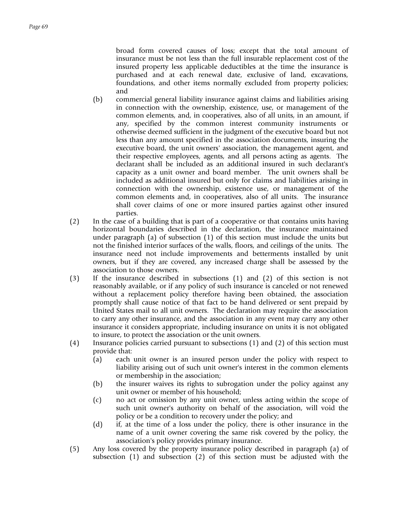broad form covered causes of loss; except that the total amount of insurance must be not less than the full insurable replacement cost of the insured property less applicable deductibles at the time the insurance is purchased and at each renewal date, exclusive of land, excavations, foundations, and other items normally excluded from property policies; and

- (b) commercial general liability insurance against claims and liabilities arising in connection with the ownership, existence, use, or management of the common elements, and, in cooperatives, also of all units, in an amount, if any, specified by the common interest community instruments or otherwise deemed sufficient in the judgment of the executive board but not less than any amount specified in the association documents, insuring the executive board, the unit owners' association, the management agent, and their respective employees, agents, and all persons acting as agents. The declarant shall be included as an additional insured in such declarant's capacity as a unit owner and board member. The unit owners shall be included as additional insured but only for claims and liabilities arising in connection with the ownership, existence use, or management of the common elements and, in cooperatives, also of all units. The insurance shall cover claims of one or more insured parties against other insured parties.
- (2) In the case of a building that is part of a cooperative or that contains units having horizontal boundaries described in the declaration, the insurance maintained under paragraph (a) of subsection (1) of this section must include the units but not the finished interior surfaces of the walls, floors, and ceilings of the units. The insurance need not include improvements and betterments installed by unit owners, but if they are covered, any increased charge shall be assessed by the association to those owners.
- (3) If the insurance described in subsections (1) and (2) of this section is not reasonably available, or if any policy of such insurance is canceled or not renewed without a replacement policy therefore having been obtained, the association promptly shall cause notice of that fact to be hand delivered or sent prepaid by United States mail to all unit owners. The declaration may require the association to carry any other insurance, and the association in any event may carry any other insurance it considers appropriate, including insurance on units it is not obligated to insure, to protect the association or the unit owners.
- (4) Insurance policies carried pursuant to subsections (1) and (2) of this section must provide that:
	- (a) each unit owner is an insured person under the policy with respect to liability arising out of such unit owner's interest in the common elements or membership in the association;
	- (b) the insurer waives its rights to subrogation under the policy against any unit owner or member of his household;
	- (c) no act or omission by any unit owner, unless acting within the scope of such unit owner's authority on behalf of the association, will void the policy or be a condition to recovery under the policy; and
	- (d) if, at the time of a loss under the policy, there is other insurance in the name of a unit owner covering the same risk covered by the policy, the association's policy provides primary insurance.
- (5) Any loss covered by the property insurance policy described in paragraph (a) of subsection (1) and subsection (2) of this section must be adjusted with the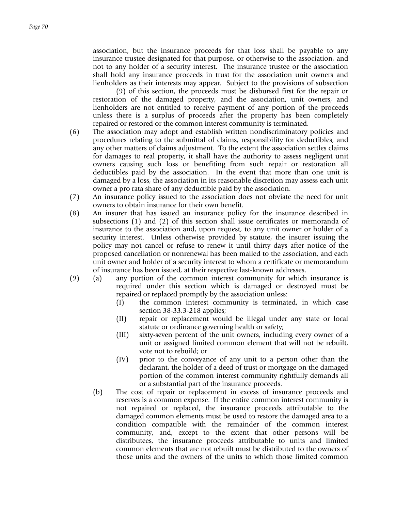association, but the insurance proceeds for that loss shall be payable to any insurance trustee designated for that purpose, or otherwise to the association, and not to any holder of a security interest. The insurance trustee or the association shall hold any insurance proceeds in trust for the association unit owners and lienholders as their interests may appear. Subject to the provisions of subsection

(9) of this section, the proceeds must be disbursed first for the repair or restoration of the damaged property, and the association, unit owners, and lienholders are not entitled to receive payment of any portion of the proceeds unless there is a surplus of proceeds after the property has been completely repaired or restored or the common interest community is terminated.

- (6) The association may adopt and establish written nondiscriminatory policies and procedures relating to the submittal of claims, responsibility for deductibles, and any other matters of claims adjustment. To the extent the association settles claims for damages to real property, it shall have the authority to assess negligent unit owners causing such loss or benefiting from such repair or restoration all deductibles paid by the association. In the event that more than one unit is damaged by a loss, the association in its reasonable discretion may assess each unit owner a pro rata share of any deductible paid by the association.
- (7) An insurance policy issued to the association does not obviate the need for unit owners to obtain insurance for their own benefit.
- (8) An insurer that has issued an insurance policy for the insurance described in subsections (1) and (2) of this section shall issue certificates or memoranda of insurance to the association and, upon request, to any unit owner or holder of a security interest. Unless otherwise provided by statute, the insurer issuing the policy may not cancel or refuse to renew it until thirty days after notice of the proposed cancellation or nonrenewal has been mailed to the association, and each unit owner and holder of a security interest to whom a certificate or memorandum of insurance has been issued, at their respective last-known addresses.
- (9) (a) any portion of the common interest community for which insurance is required under this section which is damaged or destroyed must be repaired or replaced promptly by the association unless:
	- (I) the common interest community is terminated, in which case section 38-33.3-218 applies;
	- (II) repair or replacement would be illegal under any state or local statute or ordinance governing health or safety;
	- (III) sixty-seven percent of the unit owners, including every owner of a unit or assigned limited common element that will not be rebuilt, vote not to rebuild; or
	- (IV) prior to the conveyance of any unit to a person other than the declarant, the holder of a deed of trust or mortgage on the damaged portion of the common interest community rightfully demands all or a substantial part of the insurance proceeds.
	- (b) The cost of repair or replacement in excess of insurance proceeds and reserves is a common expense. If the entire common interest community is not repaired or replaced, the insurance proceeds attributable to the damaged common elements must be used to restore the damaged area to a condition compatible with the remainder of the common interest community, and, except to the extent that other persons will be distributees, the insurance proceeds attributable to units and limited common elements that are not rebuilt must be distributed to the owners of those units and the owners of the units to which those limited common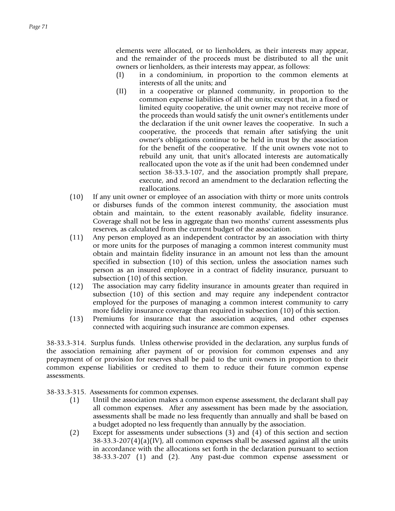- (I) in a condominium, in proportion to the common elements at interests of all the units; and
- (II) in a cooperative or planned community, in proportion to the common expense liabilities of all the units; except that, in a fixed or limited equity cooperative, the unit owner may not receive more of the proceeds than would satisfy the unit owner's entitlements under the declaration if the unit owner leaves the cooperative. In such a cooperative, the proceeds that remain after satisfying the unit owner's obligations continue to be held in trust by the association for the benefit of the cooperative. If the unit owners vote not to rebuild any unit, that unit's allocated interests are automatically reallocated upon the vote as if the unit had been condemned under section 38-33.3-107, and the association promptly shall prepare, execute, and record an amendment to the declaration reflecting the reallocations.
- (10) If any unit owner or employee of an association with thirty or more units controls or disburses funds of the common interest community, the association must obtain and maintain, to the extent reasonably available, fidelity insurance. Coverage shall not be less in aggregate than two months' current assessments plus reserves, as calculated from the current budget of the association.
- (11) Any person employed as an independent contractor by an association with thirty or more units for the purposes of managing a common interest community must obtain and maintain fidelity insurance in an amount not less than the amount specified in subsection (10) of this section, unless the association names such person as an insured employee in a contract of fidelity insurance, pursuant to subsection (10) of this section.
- (12) The association may carry fidelity insurance in amounts greater than required in subsection (10) of this section and may require any independent contractor employed for the purposes of managing a common interest community to carry more fidelity insurance coverage than required in subsection (10) of this section.
- (13) Premiums for insurance that the association acquires, and other expenses connected with acquiring such insurance are common expenses.

38-33.3-314. Surplus funds. Unless otherwise provided in the declaration, any surplus funds of the association remaining after payment of or provision for common expenses and any prepayment of or provision for reserves shall be paid to the unit owners in proportion to their common expense liabilities or credited to them to reduce their future common expense assessments.

38-33.3-315. Assessments for common expenses.

- (1) Until the association makes a common expense assessment, the declarant shall pay all common expenses. After any assessment has been made by the association, assessments shall be made no less frequently than annually and shall be based on a budget adopted no less frequently than annually by the association.
- (2) Except for assessments under subsections (3) and (4) of this section and section 38-33.3-207(4)(a)(IV), all common expenses shall be assessed against all the units in accordance with the allocations set forth in the declaration pursuant to section 38-33.3-207 (1) and (2). Any past-due common expense assessment or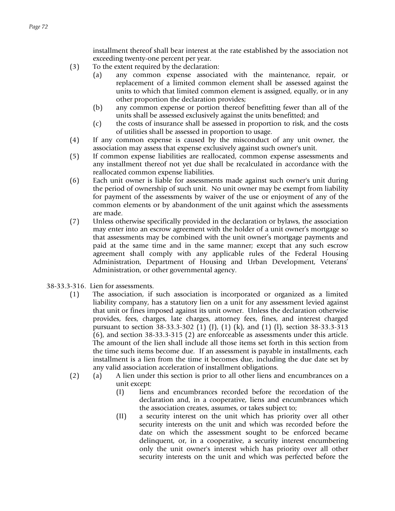installment thereof shall bear interest at the rate established by the association not exceeding twenty-one percent per year.

- (3) To the extent required by the declaration:
	- (a) any common expense associated with the maintenance, repair, or replacement of a limited common element shall be assessed against the units to which that limited common element is assigned, equally, or in any other proportion the declaration provides;
	- (b) any common expense or portion thereof benefitting fewer than all of the units shall be assessed exclusively against the units benefitted; and
	- (c) the costs of insurance shall be assessed in proportion to risk, and the costs of utilities shall be assessed in proportion to usage.
- (4) If any common expense is caused by the misconduct of any unit owner, the association may assess that expense exclusively against such owner's unit.
- (5) If common expense liabilities are reallocated, common expense assessments and any installment thereof not yet due shall be recalculated in accordance with the reallocated common expense liabilities.
- (6) Each unit owner is liable for assessments made against such owner's unit during the period of ownership of such unit. No unit owner may be exempt from liability for payment of the assessments by waiver of the use or enjoyment of any of the common elements or by abandonment of the unit against which the assessments are made.
- (7) Unless otherwise specifically provided in the declaration or bylaws, the association may enter into an escrow agreement with the holder of a unit owner's mortgage so that assessments may be combined with the unit owner's mortgage payments and paid at the same time and in the same manner; except that any such escrow agreement shall comply with any applicable rules of the Federal Housing Administration, Department of Housing and Urban Development, Veterans' Administration, or other governmental agency.
- 38-33.3-316. Lien for assessments.
	- (1) The association, if such association is incorporated or organized as a limited liability company, has a statutory lien on a unit for any assessment levied against that unit or fines imposed against its unit owner. Unless the declaration otherwise provides, fees, charges, late charges, attorney fees, fines, and interest charged pursuant to section 38-33.3-302 (1) (J), (1) (k), and (1) (l), section 38-33.3-313 (6), and section 38-33.3-315 (2) are enforceable as assessments under this article. The amount of the lien shall include all those items set forth in this section from the time such items become due. If an assessment is payable in installments, each installment is a lien from the time it becomes due, including the due date set by any valid association acceleration of installment obligations.
	- (2) (a) A lien under this section is prior to all other liens and encumbrances on a unit except:
		- (I) liens and encumbrances recorded before the recordation of the declaration and, in a cooperative, liens and encumbrances which the association creates, assumes, or takes subject to;
		- (II) a security interest on the unit which has priority over all other security interests on the unit and which was recorded before the date on which the assessment sought to be enforced became delinquent, or, in a cooperative, a security interest encumbering only the unit owner's interest which has priority over all other security interests on the unit and which was perfected before the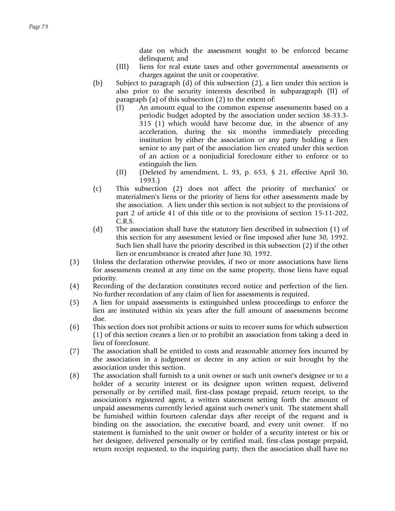date on which the assessment sought to be enforced became delinquent; and

- (III) liens for real estate taxes and other governmental assessments or charges against the unit or cooperative.
- (b) Subject to paragraph (d) of this subsection (2), a lien under this section is also prior to the security interests described in subparagraph (II) of paragraph (a) of this subsection (2) to the extent of:
	- (I) An amount equal to the common expense assessments based on a periodic budget adopted by the association under section 38-33.3- 315 (1) which would have become due, in the absence of any acceleration, during the six months immediately preceding institution by either the association or any party holding a lien senior to any part of the association lien created under this section of an action or a nonjudicial foreclosure either to enforce or to extinguish the lien.
	- (II) (Deleted by amendment, L. 93, p. 653, § 21, effective April 30, 1993.)
- (c) This subsection (2) does not affect the priority of mechanics' or materialmen's liens or the priority of liens for other assessments made by the association. A lien under this section is not subject to the provisions of part 2 of article 41 of this title or to the provisions of section 15-11-202, C.R.S.
- (d) The association shall have the statutory lien described in subsection (1) of this section for any assessment levied or fine imposed after June 30, 1992. Such lien shall have the priority described in this subsection (2) if the other lien or encumbrance is created after June 30, 1992.
- (3) Unless the declaration otherwise provides, if two or more associations have liens for assessments created at any time on the same property, those liens have equal priority.
- (4) Recording of the declaration constitutes record notice and perfection of the lien. No further recordation of any claim of lien for assessments is required.
- (5) A lien for unpaid assessments is extinguished unless proceedings to enforce the lien are instituted within six years after the full amount of assessments become due.
- (6) This section does not prohibit actions or suits to recover sums for which subsection (1) of this section creates a lien or to prohibit an association from taking a deed in lieu of foreclosure.
- (7) The association shall be entitled to costs and reasonable attorney fees incurred by the association in a judgment or decree in any action or suit brought by the association under this section.
- (8) The association shall furnish to a unit owner or such unit owner's designee or to a holder of a security interest or its designee upon written request, delivered personally or by certified mail, first-class postage prepaid, return receipt, to the association's registered agent, a written statement setting forth the amount of unpaid assessments currently levied against such owner's unit. The statement shall be furnished within fourteen calendar days after receipt of the request and is binding on the association, the executive board, and every unit owner. If no statement is furnished to the unit owner or holder of a security interest or his or her designee, delivered personally or by certified mail, first-class postage prepaid, return receipt requested, to the inquiring party, then the association shall have no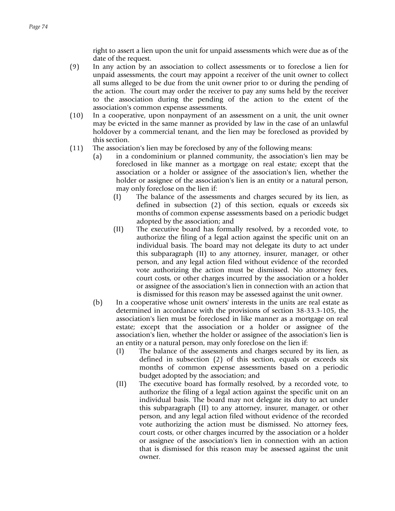right to assert a lien upon the unit for unpaid assessments which were due as of the date of the request.

- (9) In any action by an association to collect assessments or to foreclose a lien for unpaid assessments, the court may appoint a receiver of the unit owner to collect all sums alleged to be due from the unit owner prior to or during the pending of the action. The court may order the receiver to pay any sums held by the receiver to the association during the pending of the action to the extent of the association's common expense assessments.
- (10) In a cooperative, upon nonpayment of an assessment on a unit, the unit owner may be evicted in the same manner as provided by law in the case of an unlawful holdover by a commercial tenant, and the lien may be foreclosed as provided by this section.
- (11) The association's lien may be foreclosed by any of the following means:
	- (a) in a condominium or planned community, the association's lien may be foreclosed in like manner as a mortgage on real estate; except that the association or a holder or assignee of the association's lien, whether the holder or assignee of the association's lien is an entity or a natural person, may only foreclose on the lien if:
		- (I) The balance of the assessments and charges secured by its lien, as defined in subsection (2) of this section, equals or exceeds six months of common expense assessments based on a periodic budget adopted by the association; and
		- (II) The executive board has formally resolved, by a recorded vote, to authorize the filing of a legal action against the specific unit on an individual basis. The board may not delegate its duty to act under this subparagraph (II) to any attorney, insurer, manager, or other person, and any legal action filed without evidence of the recorded vote authorizing the action must be dismissed. No attorney fees, court costs, or other charges incurred by the association or a holder or assignee of the association's lien in connection with an action that is dismissed for this reason may be assessed against the unit owner.
	- (b) In a cooperative whose unit owners' interests in the units are real estate as determined in accordance with the provisions of section 38-33.3-105, the association's lien must be foreclosed in like manner as a mortgage on real estate; except that the association or a holder or assignee of the association's lien, whether the holder or assignee of the association's lien is an entity or a natural person, may only foreclose on the lien if:
		- (I) The balance of the assessments and charges secured by its lien, as defined in subsection (2) of this section, equals or exceeds six months of common expense assessments based on a periodic budget adopted by the association; and
		- (II) The executive board has formally resolved, by a recorded vote, to authorize the filing of a legal action against the specific unit on an individual basis. The board may not delegate its duty to act under this subparagraph (II) to any attorney, insurer, manager, or other person, and any legal action filed without evidence of the recorded vote authorizing the action must be dismissed. No attorney fees, court costs, or other charges incurred by the association or a holder or assignee of the association's lien in connection with an action that is dismissed for this reason may be assessed against the unit owner.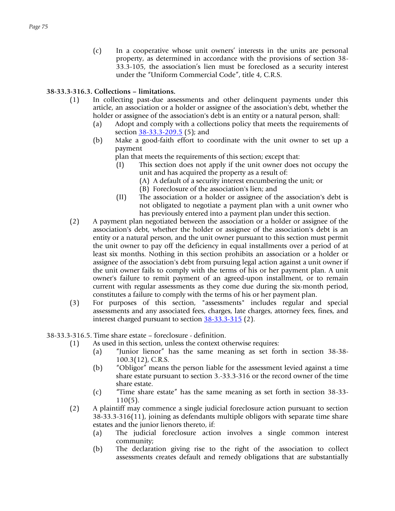(c) In a cooperative whose unit owners' interests in the units are personal property, as determined in accordance with the provisions of section 38- 33.3-105, the association's lien must be foreclosed as a security interest under the "Uniform Commercial Code", title 4, C.R.S.

# **38-33.3-316.3. Collections – limitations.**

- (1) In collecting past-due assessments and other delinquent payments under this article, an association or a holder or assignee of the association's debt, whether the holder or assignee of the association's debt is an entity or a natural person, shall:
	- (a) Adopt and comply with a collections policy that meets the requirements of section [38-33.3-209.5](http://www.lexisnexis.com/hottopics/colorado?source=COLO;CODE&tocpath=1S9YBPRO2JO8SSPMH,22QCH5SGPOIB4BIKR,39BDO43DFOQC9FNJK;1S9IIJKWOW6PRW4TI,2SS8YJ4MV8Q1H5QC9,3FF9ROYUHLP8Q1H5Q;1YTH8Q6QJJK3HW728,2TFHNJ6I5K2RF41H3,3WQQS8XKTKVQNC8WD;1T0G0T0GJH25XA9P3,2EJ4EGGSUA92EUDLA,34TZS5U7NLUH3GBPH;1WRRQVXINQEOW5R3Y,2BMMF5ILB7TTYXIUA,34IIRQWNFC5Q30L5V&shortheader=no) (5); and
	- (b) Make a good-faith effort to coordinate with the unit owner to set up a payment

plan that meets the requirements of this section; except that:

- (I) This section does not apply if the unit owner does not occupy the unit and has acquired the property as a result of:
	- (A) A default of a security interest encumbering the unit; or
	- (B) Foreclosure of the association's lien; and
- (II) The association or a holder or assignee of the association's debt is not obligated to negotiate a payment plan with a unit owner who has previously entered into a payment plan under this section.
- (2) A payment plan negotiated between the association or a holder or assignee of the association's debt, whether the holder or assignee of the association's debt is an entity or a natural person, and the unit owner pursuant to this section must permit the unit owner to pay off the deficiency in equal installments over a period of at least six months. Nothing in this section prohibits an association or a holder or assignee of the association's debt from pursuing legal action against a unit owner if the unit owner fails to comply with the terms of his or her payment plan. A unit owner's failure to remit payment of an agreed-upon installment, or to remain current with regular assessments as they come due during the six-month period, constitutes a failure to comply with the terms of his or her payment plan.
- (3) For purposes of this section, "assessments" includes regular and special assessments and any associated fees, charges, late charges, attorney fees, fines, and interest charged pursuant to section [38-33.3-315](http://www.lexisnexis.com/hottopics/colorado?source=COLO;CODE&tocpath=1S9YBPRO2JO8SSPMH,22QCH5SGPOIB4BIKR,39BDO43DFOQC9FNJK;1S9IIJKWOW6PRW4TI,2SS8YJ4MV8Q1H5QC9,3FF9ROYUHLP8Q1H5Q;1YTH8Q6QJJK3HW728,2TFHNJ6I5K2RF41H3,3WQQS8XKTKVQNC8WD;1WZEEJUWJ8KV4O9FP,2XLATC8KQYDM44GDW,3UIAYKYBNJKXRXK78;12LY0NG3D6KAS2DQJ,2NBIL5SN1CTP6JK86,3583VWG32LQSP36JK&shortheader=no) (2).

38-33.3-316.5. Time share estate – foreclosure - definition.

- (1) As used in this section, unless the context otherwise requires:
	- (a) "Junior lienor" has the same meaning as set forth in section 38-38- 100.3(12), C.R.S.
	- (b) "Obligor" means the person liable for the assessment levied against a time share estate pursuant to section 3.-33.3-316 or the record owner of the time share estate.
	- (c) "Time share estate" has the same meaning as set forth in section 38-33- 110(5).
- (2) A plaintiff may commence a single judicial foreclosure action pursuant to section 38-33.3-316(11), joining as defendants multiple obligors with separate time share estates and the junior lienors thereto, if:
	- (a) The judicial foreclosure action involves a single common interest community;
	- (b) The declaration giving rise to the right of the association to collect assessments creates default and remedy obligations that are substantially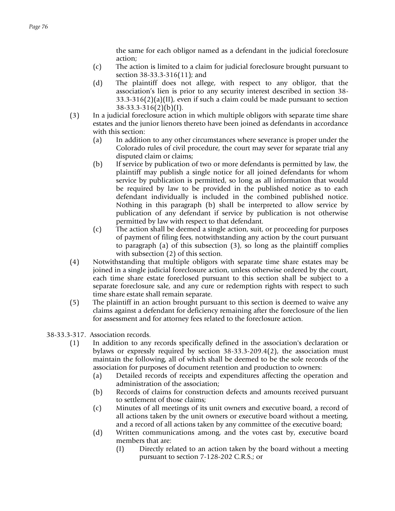the same for each obligor named as a defendant in the judicial foreclosure action;

- (c) The action is limited to a claim for judicial foreclosure brought pursuant to section 38-33.3-316(11); and
- (d) The plaintiff does not allege, with respect to any obligor, that the association's lien is prior to any security interest described in section 38-  $33.3-316(2)(a)(II)$ , even if such a claim could be made pursuant to section 38-33.3-316(2)(b)(I).
- (3) In a judicial foreclosure action in which multiple obligors with separate time share estates and the junior lienors thereto have been joined as defendants in accordance with this section:
	- (a) In addition to any other circumstances where severance is proper under the Colorado rules of civil procedure, the court may sever for separate trial any disputed claim or claims;
	- (b) If service by publication of two or more defendants is permitted by law, the plaintiff may publish a single notice for all joined defendants for whom service by publication is permitted, so long as all information that would be required by law to be provided in the published notice as to each defendant individually is included in the combined published notice. Nothing in this paragraph (b) shall be interpreted to allow service by publication of any defendant if service by publication is not otherwise permitted by law with respect to that defendant.
	- (c) The action shall be deemed a single action, suit, or proceeding for purposes of payment of filing fees, notwithstanding any action by the court pursuant to paragraph (a) of this subsection (3), so long as the plaintiff complies with subsection (2) of this section.
- (4) Notwithstanding that multiple obligors with separate time share estates may be joined in a single judicial foreclosure action, unless otherwise ordered by the court, each time share estate foreclosed pursuant to this section shall be subject to a separate foreclosure sale, and any cure or redemption rights with respect to such time share estate shall remain separate.
- (5) The plaintiff in an action brought pursuant to this section is deemed to waive any claims against a defendant for deficiency remaining after the foreclosure of the lien for assessment and for attorney fees related to the foreclosure action.
- 38-33.3-317. Association records.
	- (1) In addition to any records specifically defined in the association's declaration or bylaws or expressly required by section 38-33.3-209.4(2), the association must maintain the following, all of which shall be deemed to be the sole records of the association for purposes of document retention and production to owners:
		- (a) Detailed records of receipts and expenditures affecting the operation and administration of the association;
		- (b) Records of claims for construction defects and amounts received pursuant to settlement of those claims;
		- (c) Minutes of all meetings of its unit owners and executive board, a record of all actions taken by the unit owners or executive board without a meeting, and a record of all actions taken by any committee of the executive board;
		- (d) Written communications among, and the votes cast by, executive board members that are:
			- (I) Directly related to an action taken by the board without a meeting pursuant to section 7-128-202 C.R.S.; or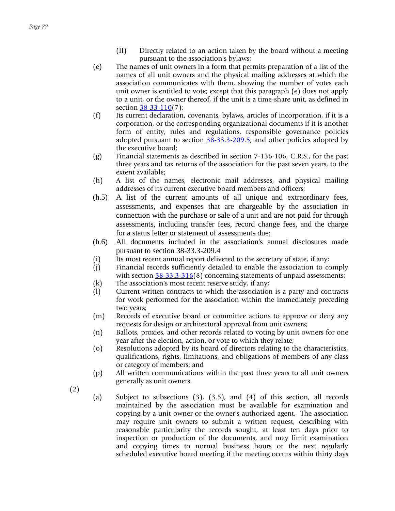- (II) Directly related to an action taken by the board without a meeting pursuant to the association's bylaws;
- (e) The names of unit owners in a form that permits preparation of a list of the names of all unit owners and the physical mailing addresses at which the association communicates with them, showing the number of votes each unit owner is entitled to vote; except that this paragraph (e) does not apply to a unit, or the owner thereof, if the unit is a time-share unit, as defined in section [38-33-110\(](http://www.lexisnexis.com/hottopics/colorado?source=COLO;CODE&tocpath=1S9YBPRO2JO8SSPMH,22QCH5SGPOIB4BIKR,39BDO43DFOQC9FNJK;1S9IIJKWOW6PRW4TI,2SS8YJ4MV8Q1H5QC9,3FF9ROYUHLP8Q1H5Q;1CXQNQR8EYW9S08U1,28MK31SQMG45XMQ4B,3RICIC5H2FJ0SW9TS;108HOUS8A9UPMWC68,21QKZ7FHPGOAG9SC5,3WTOMG0BDJP47S5QM&shortheader=no)7);
- (f) Its current declaration, covenants, bylaws, articles of incorporation, if it is a corporation, or the corresponding organizational documents if it is another form of entity, rules and regulations, responsible governance policies adopted pursuant to section [38-33.3-209.5,](http://www.lexisnexis.com/hottopics/colorado?source=COLO;CODE&tocpath=1S9YBPRO2JO8SSPMH,22QCH5SGPOIB4BIKR,39BDO43DFOQC9FNJK;1S9IIJKWOW6PRW4TI,2SS8YJ4MV8Q1H5QC9,3FF9ROYUHLP8Q1H5Q;1YTH8Q6QJJK3HW728,2TFHNJ6I5K2RF41H3,3WQQS8XKTKVQNC8WD;1T0G0T0GJH25XA9P3,2EJ4EGGSUA92EUDLA,34TZS5U7NLUH3GBPH;1WRRQVXINQEOW5R3Y,2BMMF5ILB7TTYXIUA,34IIRQWNFC5Q30L5V&shortheader=no) and other policies adopted by the executive board;
- (g) Financial statements as described in section 7-136-106, C.R.S., for the past three years and tax returns of the association for the past seven years, to the extent available;
- (h) A list of the names, electronic mail addresses, and physical mailing addresses of its current executive board members and officers;
- (h.5) A list of the current amounts of all unique and extraordinary fees, assessments, and expenses that are chargeable by the association in connection with the purchase or sale of a unit and are not paid for through assessments, including transfer fees, record change fees, and the charge for a status letter or statement of assessments due;
- (h.6) All documents included in the association's annual disclosures made pursuant to section 38-33.3-209.4
- (i) Its most recent annual report delivered to the secretary of state, if any;
- (j) Financial records sufficiently detailed to enable the association to comply with section [38-33.3-316\(](http://www.lexisnexis.com/hottopics/colorado?source=COLO;CODE&tocpath=1S9YBPRO2JO8SSPMH,22QCH5SGPOIB4BIKR,39BDO43DFOQC9FNJK;1S9IIJKWOW6PRW4TI,2SS8YJ4MV8Q1H5QC9,3FF9ROYUHLP8Q1H5Q;1YTH8Q6QJJK3HW728,2TFHNJ6I5K2RF41H3,3WQQS8XKTKVQNC8WD;1WZEEJUWJ8KV4O9FP,2XLATC8KQYDM44GDW,3UIAYKYBNJKXRXK78;1KBPGVSKVDHBS0CPJ,2HKSHWMASKBYD9S86,3EXYOCPNKJKKV1QGP&shortheader=no)8) concerning statements of unpaid assessments;
- (k) The association's most recent reserve study, if any;
- (l) Current written contracts to which the association is a party and contracts for work performed for the association within the immediately preceding two years;
- (m) Records of executive board or committee actions to approve or deny any requests for design or architectural approval from unit owners;
- (n) Ballots, proxies, and other records related to voting by unit owners for one year after the election, action, or vote to which they relate;
- (o) Resolutions adopted by its board of directors relating to the characteristics, qualifications, rights, limitations, and obligations of members of any class or category of members; and
- (p) All written communications within the past three years to all unit owners generally as unit owners.
- (2)
- (a) Subject to subsections (3), (3.5), and (4) of this section, all records maintained by the association must be available for examination and copying by a unit owner or the owner's authorized agent. The association may require unit owners to submit a written request, describing with reasonable particularity the records sought, at least ten days prior to inspection or production of the documents, and may limit examination and copying times to normal business hours or the next regularly scheduled executive board meeting if the meeting occurs within thirty days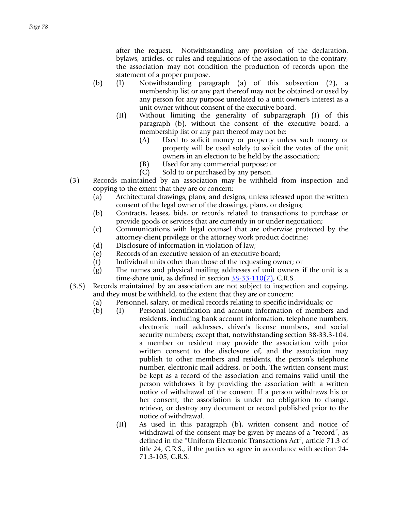after the request. Notwithstanding any provision of the declaration, bylaws, articles, or rules and regulations of the association to the contrary, the association may not condition the production of records upon the statement of a proper purpose.

- (b) (I) Notwithstanding paragraph (a) of this subsection (2), a membership list or any part thereof may not be obtained or used by any person for any purpose unrelated to a unit owner's interest as a unit owner without consent of the executive board.
	- (II) Without limiting the generality of subparagraph (I) of this paragraph (b), without the consent of the executive board, a membership list or any part thereof may not be:
		- (A) Used to solicit money or property unless such money or property will be used solely to solicit the votes of the unit owners in an election to be held by the association;
		- (B) Used for any commercial purpose; or
		- (C) Sold to or purchased by any person.
- (3) Records maintained by an association may be withheld from inspection and copying to the extent that they are or concern:
	- (a) Architectural drawings, plans, and designs, unless released upon the written consent of the legal owner of the drawings, plans, or designs;
	- (b) Contracts, leases, bids, or records related to transactions to purchase or provide goods or services that are currently in or under negotiation;
	- (c) Communications with legal counsel that are otherwise protected by the attorney-client privilege or the attorney work product doctrine;
	- (d) Disclosure of information in violation of law;
	- (e) Records of an executive session of an executive board;
	- (f) Individual units other than those of the requesting owner; or
	- (g) The names and physical mailing addresses of unit owners if the unit is a time-share unit, as defined in section [38-33-110\(7\),](http://www.lexisnexis.com/hottopics/colorado?source=COLO;CODE&tocpath=1S9YBPRO2JO8SSPMH,22QCH5SGPOIB4BIKR,39BDO43DFOQC9FNJK;1S9IIJKWOW6PRW4TI,2SS8YJ4MV8Q1H5QC9,3FF9ROYUHLP8Q1H5Q;1CXQNQR8EYW9S08U1,28MK31SQMG45XMQ4B,3RICIC5H2FJ0SW9TS;108HOUS8A9UPMWC68,21QKZ7FHPGOAG9SC5,3WTOMG0BDJP47S5QM&shortheader=no) C.R.S.
- (3.5) Records maintained by an association are not subject to inspection and copying, and they must be withheld, to the extent that they are or concern:
	- (a) Personnel, salary, or medical records relating to specific individuals; or
	- (b) (I) Personal identification and account information of members and residents, including bank account information, telephone numbers, electronic mail addresses, driver's license numbers, and social security numbers; except that, notwithstanding section 38-33.3-104, a member or resident may provide the association with prior written consent to the disclosure of, and the association may publish to other members and residents, the person's telephone number, electronic mail address, or both. The written consent must be kept as a record of the association and remains valid until the person withdraws it by providing the association with a written notice of withdrawal of the consent. If a person withdraws his or her consent, the association is under no obligation to change, retrieve, or destroy any document or record published prior to the notice of withdrawal.
		- (II) As used in this paragraph (b), written consent and notice of withdrawal of the consent may be given by means of a "record", as defined in the "Uniform Electronic Transactions Act", article 71.3 of title 24, C.R.S., if the parties so agree in accordance with section 24- 71.3-105, C.R.S.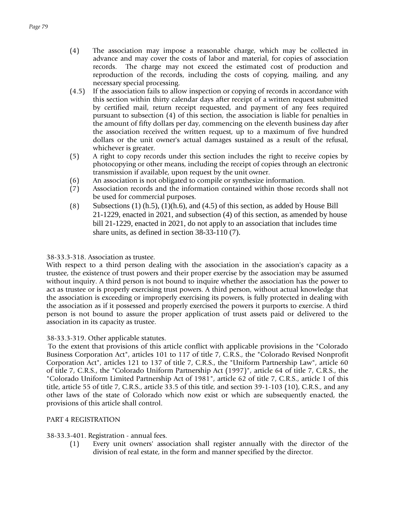- (4) The association may impose a reasonable charge, which may be collected in advance and may cover the costs of labor and material, for copies of association records. The charge may not exceed the estimated cost of production and reproduction of the records, including the costs of copying, mailing, and any necessary special processing.
- (4.5) If the association fails to allow inspection or copying of records in accordance with this section within thirty calendar days after receipt of a written request submitted by certified mail, return receipt requested, and payment of any fees required pursuant to subsection (4) of this section, the association is liable for penalties in the amount of fifty dollars per day, commencing on the eleventh business day after the association received the written request, up to a maximum of five hundred dollars or the unit owner's actual damages sustained as a result of the refusal, whichever is greater.
- (5) A right to copy records under this section includes the right to receive copies by photocopying or other means, including the receipt of copies through an electronic transmission if available, upon request by the unit owner.
- (6) An association is not obligated to compile or synthesize information.
- (7) Association records and the information contained within those records shall not be used for commercial purposes.
- (8) Subsections (1) (h.5), (1)(h.6), and (4.5) of this section, as added by House Bill 21-1229, enacted in 2021, and subsection (4) of this section, as amended by house bill 21-1229, enacted in 2021, do not apply to an association that includes time share units, as defined in section 38-33-110 (7).

### 38-33.3-318. Association as trustee.

With respect to a third person dealing with the association in the association's capacity as a trustee, the existence of trust powers and their proper exercise by the association may be assumed without inquiry. A third person is not bound to inquire whether the association has the power to act as trustee or is properly exercising trust powers. A third person, without actual knowledge that the association is exceeding or improperly exercising its powers, is fully protected in dealing with the association as if it possessed and properly exercised the powers it purports to exercise. A third person is not bound to assure the proper application of trust assets paid or delivered to the association in its capacity as trustee.

#### 38-33.3-319. Other applicable statutes.

To the extent that provisions of this article conflict with applicable provisions in the "Colorado Business Corporation Act", articles 101 to 117 of title 7, C.R.S., the "Colorado Revised Nonprofit Corporation Act", articles 121 to 137 of title 7, C.R.S., the "Uniform Partnership Law", article 60 of title 7, C.R.S., the "Colorado Uniform Partnership Act (1997)", article 64 of title 7, C.R.S., the "Colorado Uniform Limited Partnership Act of 1981", article 62 of title 7, C.R.S., article 1 of this title, article 55 of title 7, C.R.S., article 33.5 of this title, and section 39-1-103 (10), C.R.S., and any other laws of the state of Colorado which now exist or which are subsequently enacted, the provisions of this article shall control.

#### PART 4 REGISTRATION

## 38-33.3-401. Registration - annual fees.

(1) Every unit owners' association shall register annually with the director of the division of real estate, in the form and manner specified by the director.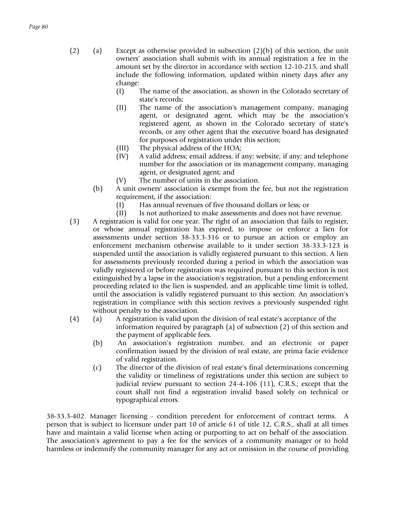- (2) (a) Except as otherwise provided in subsection (2)(b) of this section, the unit owners' association shall submit with its annual registration a fee in the amount set by the director in accordance with section 12-10-215, and shall include the following information, updated within ninety days after any change:
	- (I) The name of the association, as shown in the Colorado secretary of state's records;
	- (II) The name of the association's management company, managing agent, or designated agent, which may be the association's registered agent, as shown in the Colorado secretary of state's records, or any other agent that the executive board has designated for purposes of registration under this section;
	- (III) The physical address of the HOA;
	- (IV) A valid address; email address, if any; website, if any; and telephone number for the association or its management company, managing agent, or designated agent; and
	- (V) The number of units in the association.
	- (b) A unit owners' association is exempt from the fee, but not the registration requirement, if the association:
		- (I) Has annual revenues of five thousand dollars or less; or
		- (II) Is not authorized to make assessments and does not have revenue.
- (3) A registration is valid for one year. The right of an association that fails to register, or whose annual registration has expired, to impose or enforce a lien for assessments under section 38-33.3-316 or to pursue an action or employ an enforcement mechanism otherwise available to it under section 38-33.3-123 is suspended until the association is validly registered pursuant to this section. A lien for assessments previously recorded during a period in which the association was validly registered or before registration was required pursuant to this section is not extinguished by a lapse in the association's registration, but a pending enforcement proceeding related to the lien is suspended, and an applicable time limit is tolled, until the association is validly registered pursuant to this section. An association's registration in compliance with this section revives a previously suspended right without penalty to the association.
- (4) (a) A registration is valid upon the division of real estate's acceptance of the information required by paragraph (a) of subsection (2) of this section and the payment of applicable fees.
	- (b) An association's registration number, and an electronic or paper confirmation issued by the division of real estate, are prima facie evidence of valid registration.
	- (c) The director of the division of real estate's final determinations concerning the validity or timeliness of registrations under this section are subject to judicial review pursuant to section 24-4-106 (11), C.R.S.; except that the court shall not find a registration invalid based solely on technical or typographical errors.

38-33.3-402. Manager licensing - condition precedent for enforcement of contract terms. A person that is subject to licensure under part 10 of article 61 of title 12, C.R.S., shall at all times have and maintain a valid license when acting or purporting to act on behalf of the association. The association's agreement to pay a fee for the services of a community manager or to hold harmless or indemnify the community manager for any act or omission in the course of providing